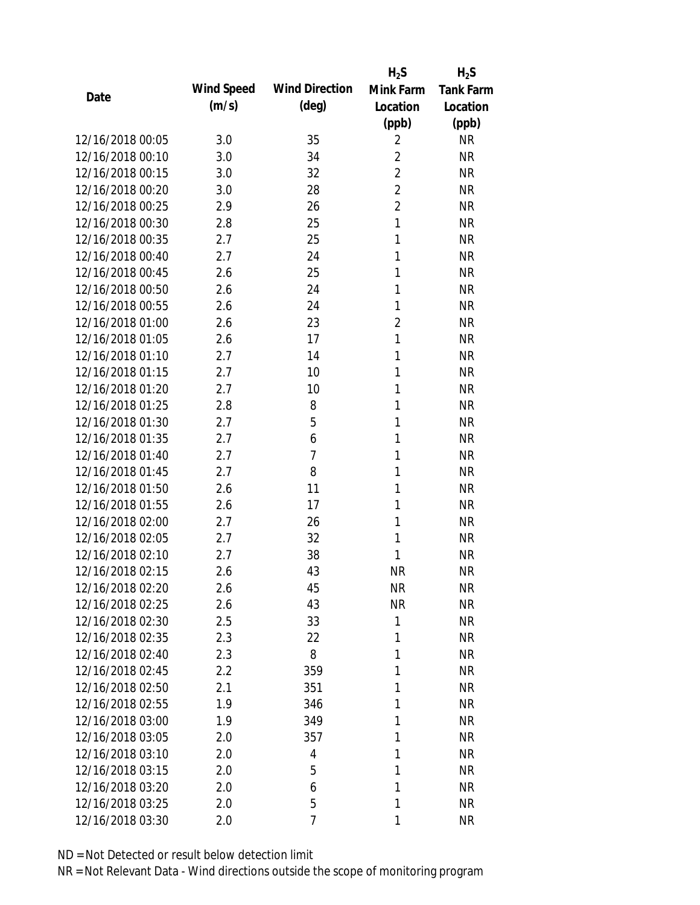|                  |            |                       | $H_2S$         | $H_2S$           |
|------------------|------------|-----------------------|----------------|------------------|
| Date             | Wind Speed | <b>Wind Direction</b> | Mink Farm      | <b>Tank Farm</b> |
|                  | (m/s)      | $(\text{deg})$        | Location       | Location         |
|                  |            |                       | (ppb)          | (ppb)            |
| 12/16/2018 00:05 | 3.0        | 35                    | $\overline{2}$ | <b>NR</b>        |
| 12/16/2018 00:10 | 3.0        | 34                    | $\overline{2}$ | <b>NR</b>        |
| 12/16/2018 00:15 | 3.0        | 32                    | $\overline{2}$ | <b>NR</b>        |
| 12/16/2018 00:20 | 3.0        | 28                    | $\overline{2}$ | <b>NR</b>        |
| 12/16/2018 00:25 | 2.9        | 26                    | $\overline{2}$ | <b>NR</b>        |
| 12/16/2018 00:30 | 2.8        | 25                    | $\mathbf{1}$   | <b>NR</b>        |
| 12/16/2018 00:35 | 2.7        | 25                    | 1              | <b>NR</b>        |
| 12/16/2018 00:40 | 2.7        | 24                    | 1              | <b>NR</b>        |
| 12/16/2018 00:45 | 2.6        | 25                    | 1              | <b>NR</b>        |
| 12/16/2018 00:50 | 2.6        | 24                    | 1              | <b>NR</b>        |
| 12/16/2018 00:55 | 2.6        | 24                    | 1              | <b>NR</b>        |
| 12/16/2018 01:00 | 2.6        | 23                    | $\overline{2}$ | <b>NR</b>        |
| 12/16/2018 01:05 | 2.6        | 17                    | $\mathbf{1}$   | <b>NR</b>        |
| 12/16/2018 01:10 | 2.7        | 14                    | 1              | <b>NR</b>        |
| 12/16/2018 01:15 | 2.7        | 10                    | 1              | <b>NR</b>        |
| 12/16/2018 01:20 | 2.7        | 10                    | 1              | <b>NR</b>        |
| 12/16/2018 01:25 | 2.8        | 8                     | 1              | <b>NR</b>        |
| 12/16/2018 01:30 | 2.7        | 5                     | 1              | <b>NR</b>        |
| 12/16/2018 01:35 | 2.7        | 6                     | 1              | <b>NR</b>        |
| 12/16/2018 01:40 | 2.7        | $\overline{7}$        | 1              | <b>NR</b>        |
| 12/16/2018 01:45 | 2.7        | 8                     | 1              | <b>NR</b>        |
| 12/16/2018 01:50 | 2.6        | 11                    | 1              | <b>NR</b>        |
| 12/16/2018 01:55 | 2.6        | 17                    | 1              | <b>NR</b>        |
| 12/16/2018 02:00 | 2.7        | 26                    | 1              | <b>NR</b>        |
| 12/16/2018 02:05 | 2.7        | 32                    | 1              | <b>NR</b>        |
| 12/16/2018 02:10 | 2.7        | 38                    | 1              | <b>NR</b>        |
| 12/16/2018 02:15 | 2.6        | 43                    | <b>NR</b>      | <b>NR</b>        |
| 12/16/2018 02:20 | 2.6        | 45                    | <b>NR</b>      | <b>NR</b>        |
| 12/16/2018 02:25 | 2.6        | 43                    | <b>NR</b>      | <b>NR</b>        |
| 12/16/2018 02:30 | 2.5        | 33                    | 1              | <b>NR</b>        |
| 12/16/2018 02:35 | 2.3        | 22                    | 1              | <b>NR</b>        |
| 12/16/2018 02:40 | 2.3        | 8                     | 1              | <b>NR</b>        |
| 12/16/2018 02:45 | 2.2        | 359                   | 1              | <b>NR</b>        |
| 12/16/2018 02:50 | 2.1        | 351                   | 1              | <b>NR</b>        |
| 12/16/2018 02:55 | 1.9        | 346                   | 1              | <b>NR</b>        |
| 12/16/2018 03:00 | 1.9        | 349                   | 1              | <b>NR</b>        |
| 12/16/2018 03:05 | 2.0        | 357                   | 1              | <b>NR</b>        |
| 12/16/2018 03:10 | 2.0        | 4                     | 1              | <b>NR</b>        |
| 12/16/2018 03:15 | 2.0        | 5                     | 1              | <b>NR</b>        |
| 12/16/2018 03:20 | 2.0        | 6                     | 1              | <b>NR</b>        |
| 12/16/2018 03:25 | 2.0        | 5                     | 1              | <b>NR</b>        |
| 12/16/2018 03:30 | 2.0        | 7                     | 1              | <b>NR</b>        |
|                  |            |                       |                |                  |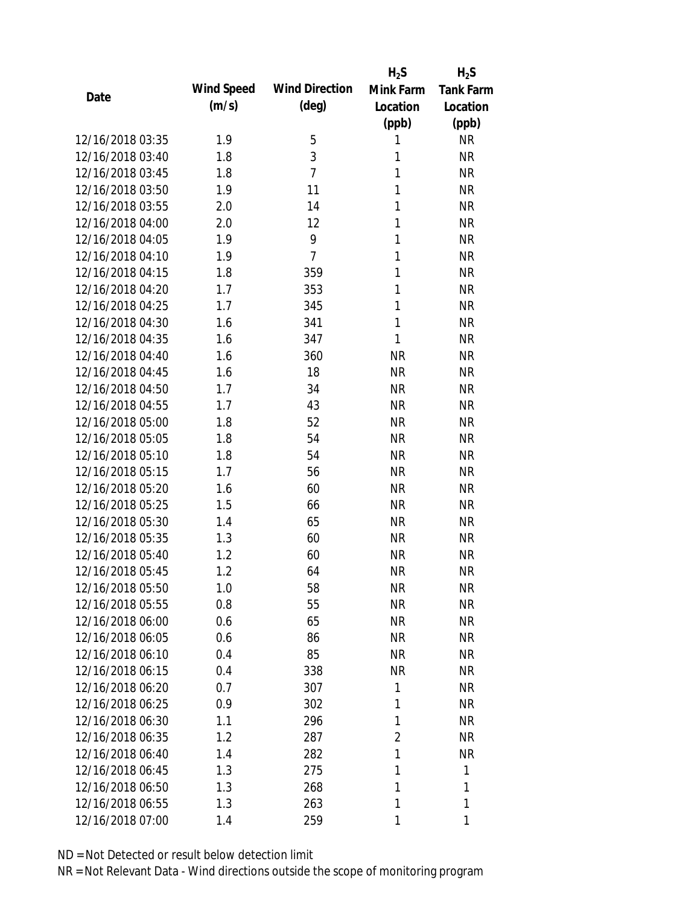|                  |            |                       | $H_2S$       | $H_2S$           |
|------------------|------------|-----------------------|--------------|------------------|
|                  | Wind Speed | <b>Wind Direction</b> | Mink Farm    | <b>Tank Farm</b> |
| Date             | (m/s)      | $(\text{deg})$        | Location     | Location         |
|                  |            |                       | (ppb)        | (ppb)            |
| 12/16/2018 03:35 | 1.9        | 5                     | 1            | <b>NR</b>        |
| 12/16/2018 03:40 | 1.8        | 3                     | 1            | <b>NR</b>        |
| 12/16/2018 03:45 | 1.8        | $\overline{7}$        | $\mathbf{1}$ | <b>NR</b>        |
| 12/16/2018 03:50 | 1.9        | 11                    | $\mathbf{1}$ | <b>NR</b>        |
| 12/16/2018 03:55 | 2.0        | 14                    | $\mathbf{1}$ | <b>NR</b>        |
| 12/16/2018 04:00 | 2.0        | 12                    | 1            | <b>NR</b>        |
| 12/16/2018 04:05 | 1.9        | 9                     | 1            | <b>NR</b>        |
| 12/16/2018 04:10 | 1.9        | $\overline{7}$        | $\mathbf{1}$ | <b>NR</b>        |
| 12/16/2018 04:15 | 1.8        | 359                   | $\mathbf{1}$ | <b>NR</b>        |
| 12/16/2018 04:20 | 1.7        | 353                   | 1            | <b>NR</b>        |
| 12/16/2018 04:25 | 1.7        | 345                   | 1            | <b>NR</b>        |
| 12/16/2018 04:30 | 1.6        | 341                   | $\mathbf{1}$ | <b>NR</b>        |
| 12/16/2018 04:35 | 1.6        | 347                   | $\mathbf{1}$ | <b>NR</b>        |
| 12/16/2018 04:40 | 1.6        | 360                   | <b>NR</b>    | <b>NR</b>        |
| 12/16/2018 04:45 | 1.6        | 18                    | <b>NR</b>    | <b>NR</b>        |
| 12/16/2018 04:50 | 1.7        | 34                    | <b>NR</b>    | <b>NR</b>        |
| 12/16/2018 04:55 | 1.7        | 43                    | <b>NR</b>    | <b>NR</b>        |
| 12/16/2018 05:00 | 1.8        | 52                    | <b>NR</b>    | <b>NR</b>        |
| 12/16/2018 05:05 | 1.8        | 54                    | <b>NR</b>    | <b>NR</b>        |
| 12/16/2018 05:10 | 1.8        | 54                    | <b>NR</b>    | <b>NR</b>        |
| 12/16/2018 05:15 | 1.7        | 56                    | <b>NR</b>    | <b>NR</b>        |
| 12/16/2018 05:20 | 1.6        | 60                    | <b>NR</b>    | <b>NR</b>        |
| 12/16/2018 05:25 | 1.5        | 66                    | <b>NR</b>    | <b>NR</b>        |
| 12/16/2018 05:30 | 1.4        | 65                    | <b>NR</b>    | <b>NR</b>        |
| 12/16/2018 05:35 | 1.3        | 60                    | <b>NR</b>    | <b>NR</b>        |
| 12/16/2018 05:40 | 1.2        | 60                    | <b>NR</b>    | <b>NR</b>        |
| 12/16/2018 05:45 | 1.2        | 64                    | <b>NR</b>    | <b>NR</b>        |
| 12/16/2018 05:50 | 1.0        | 58                    | <b>NR</b>    | <b>NR</b>        |
| 12/16/2018 05:55 | 0.8        | 55                    | <b>NR</b>    | <b>NR</b>        |
| 12/16/2018 06:00 | 0.6        | 65                    | <b>NR</b>    | NR               |
| 12/16/2018 06:05 | 0.6        | 86                    | <b>NR</b>    | <b>NR</b>        |
| 12/16/2018 06:10 | 0.4        | 85                    | <b>NR</b>    | NR               |
| 12/16/2018 06:15 | 0.4        | 338                   | <b>NR</b>    | NR               |
| 12/16/2018 06:20 | 0.7        | 307                   | 1            | <b>NR</b>        |
| 12/16/2018 06:25 | 0.9        | 302                   | 1            | <b>NR</b>        |
| 12/16/2018 06:30 | 1.1        | 296                   | 1            | <b>NR</b>        |
| 12/16/2018 06:35 | 1.2        | 287                   | 2            | <b>NR</b>        |
| 12/16/2018 06:40 | 1.4        | 282                   | 1            | <b>NR</b>        |
| 12/16/2018 06:45 | 1.3        | 275                   | 1            | 1                |
| 12/16/2018 06:50 | 1.3        | 268                   | 1            | 1                |
| 12/16/2018 06:55 | 1.3        | 263                   | 1            | 1                |
| 12/16/2018 07:00 | 1.4        | 259                   | 1            | 1                |
|                  |            |                       |              |                  |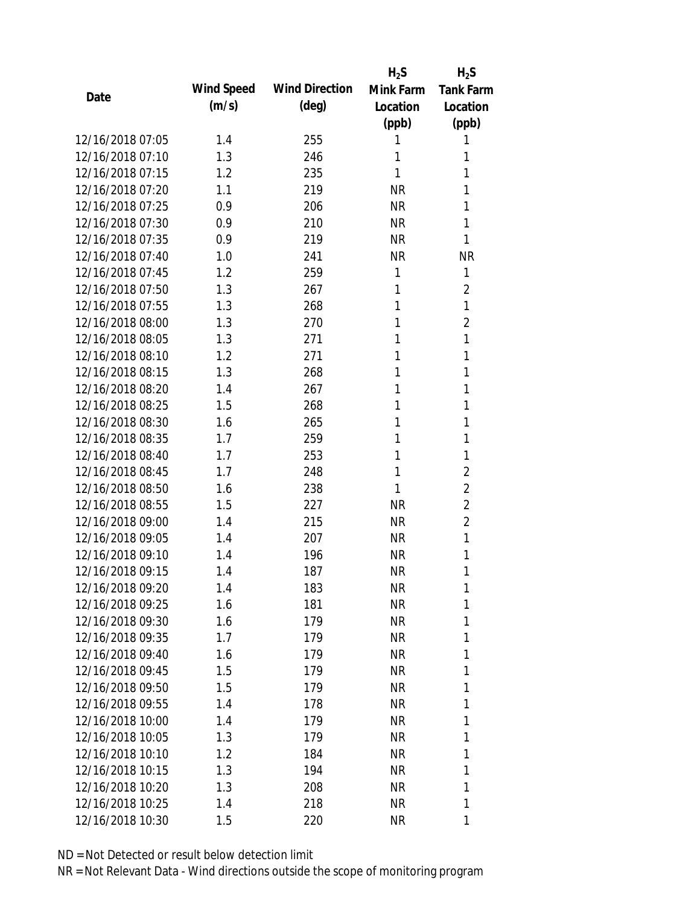|                  |            |                       | $H_2S$    | $H_2S$           |
|------------------|------------|-----------------------|-----------|------------------|
| Date             | Wind Speed | <b>Wind Direction</b> | Mink Farm | <b>Tank Farm</b> |
|                  | (m/s)      | $(\text{deg})$        | Location  | Location         |
|                  |            |                       | (ppb)     | (ppb)            |
| 12/16/2018 07:05 | 1.4        | 255                   | 1         | 1                |
| 12/16/2018 07:10 | 1.3        | 246                   | 1         | 1                |
| 12/16/2018 07:15 | 1.2        | 235                   | 1         | 1                |
| 12/16/2018 07:20 | 1.1        | 219                   | <b>NR</b> | 1                |
| 12/16/2018 07:25 | 0.9        | 206                   | <b>NR</b> | 1                |
| 12/16/2018 07:30 | 0.9        | 210                   | <b>NR</b> | 1                |
| 12/16/2018 07:35 | 0.9        | 219                   | <b>NR</b> | 1                |
| 12/16/2018 07:40 | 1.0        | 241                   | <b>NR</b> | <b>NR</b>        |
| 12/16/2018 07:45 | 1.2        | 259                   | 1         | 1                |
| 12/16/2018 07:50 | 1.3        | 267                   | 1         | $\overline{2}$   |
| 12/16/2018 07:55 | 1.3        | 268                   | 1         | $\mathbf{1}$     |
| 12/16/2018 08:00 | 1.3        | 270                   | 1         | $\overline{2}$   |
| 12/16/2018 08:05 | 1.3        | 271                   | 1         | 1                |
| 12/16/2018 08:10 | 1.2        | 271                   | 1         | 1                |
| 12/16/2018 08:15 | 1.3        | 268                   | 1         | 1                |
| 12/16/2018 08:20 | 1.4        | 267                   | 1         | 1                |
| 12/16/2018 08:25 | 1.5        | 268                   | 1         | 1                |
| 12/16/2018 08:30 | 1.6        | 265                   | 1         | 1                |
| 12/16/2018 08:35 | 1.7        | 259                   | 1         | 1                |
| 12/16/2018 08:40 | 1.7        | 253                   | 1         | 1                |
| 12/16/2018 08:45 | 1.7        | 248                   | 1         | $\overline{2}$   |
| 12/16/2018 08:50 | 1.6        | 238                   | 1         | $\overline{2}$   |
| 12/16/2018 08:55 | 1.5        | 227                   | <b>NR</b> | $\overline{2}$   |
| 12/16/2018 09:00 | 1.4        | 215                   | <b>NR</b> | $\overline{2}$   |
| 12/16/2018 09:05 | 1.4        | 207                   | <b>NR</b> | $\mathbf{1}$     |
| 12/16/2018 09:10 | 1.4        | 196                   | <b>NR</b> | 1                |
| 12/16/2018 09:15 | 1.4        | 187                   | <b>NR</b> | 1                |
| 12/16/2018 09:20 | 1.4        | 183                   | <b>NR</b> | 1                |
| 12/16/2018 09:25 | 1.6        | 181                   | <b>NR</b> | 1                |
| 12/16/2018 09:30 | 1.6        | 179                   | <b>NR</b> | 1                |
| 12/16/2018 09:35 | 1.7        | 179                   | <b>NR</b> | 1                |
| 12/16/2018 09:40 | 1.6        | 179                   | <b>NR</b> | 1                |
| 12/16/2018 09:45 | 1.5        | 179                   | <b>NR</b> | 1                |
| 12/16/2018 09:50 | 1.5        | 179                   | <b>NR</b> | 1                |
| 12/16/2018 09:55 | 1.4        | 178                   | <b>NR</b> | 1                |
| 12/16/2018 10:00 | 1.4        | 179                   | <b>NR</b> | 1                |
| 12/16/2018 10:05 | 1.3        | 179                   | <b>NR</b> | 1                |
| 12/16/2018 10:10 | 1.2        | 184                   | NR        | 1                |
| 12/16/2018 10:15 | 1.3        | 194                   | <b>NR</b> | 1                |
| 12/16/2018 10:20 | 1.3        | 208                   | <b>NR</b> | 1                |
| 12/16/2018 10:25 | 1.4        | 218                   | <b>NR</b> | 1                |
| 12/16/2018 10:30 | 1.5        | 220                   | <b>NR</b> | 1                |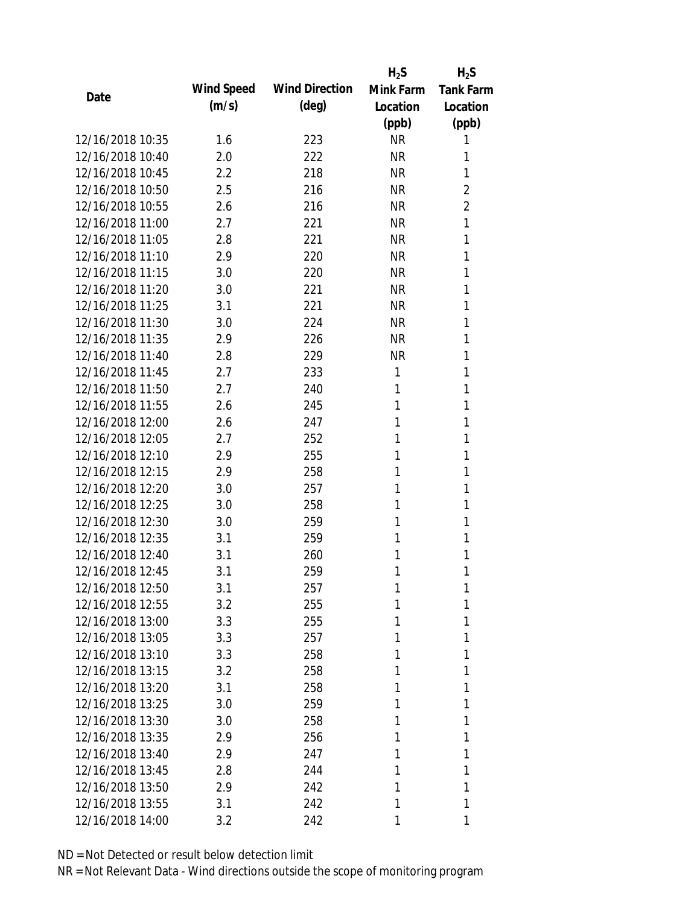|                  |            |                       | $H_2S$    | $H_2S$           |
|------------------|------------|-----------------------|-----------|------------------|
| Date             | Wind Speed | <b>Wind Direction</b> | Mink Farm | <b>Tank Farm</b> |
|                  | (m/s)      | $(\text{deg})$        | Location  | Location         |
|                  |            |                       | (ppb)     | (ppb)            |
| 12/16/2018 10:35 | 1.6        | 223                   | <b>NR</b> | 1                |
| 12/16/2018 10:40 | 2.0        | 222                   | <b>NR</b> | 1                |
| 12/16/2018 10:45 | 2.2        | 218                   | <b>NR</b> | 1                |
| 12/16/2018 10:50 | 2.5        | 216                   | <b>NR</b> | $\overline{2}$   |
| 12/16/2018 10:55 | 2.6        | 216                   | <b>NR</b> | $\overline{2}$   |
| 12/16/2018 11:00 | 2.7        | 221                   | <b>NR</b> | 1                |
| 12/16/2018 11:05 | 2.8        | 221                   | <b>NR</b> | 1                |
| 12/16/2018 11:10 | 2.9        | 220                   | <b>NR</b> | 1                |
| 12/16/2018 11:15 | 3.0        | 220                   | <b>NR</b> | 1                |
| 12/16/2018 11:20 | 3.0        | 221                   | <b>NR</b> | 1                |
| 12/16/2018 11:25 | 3.1        | 221                   | <b>NR</b> | 1                |
| 12/16/2018 11:30 | 3.0        | 224                   | <b>NR</b> | 1                |
| 12/16/2018 11:35 | 2.9        | 226                   | <b>NR</b> | 1                |
| 12/16/2018 11:40 | 2.8        | 229                   | <b>NR</b> | 1                |
| 12/16/2018 11:45 | 2.7        | 233                   | 1         | 1                |
| 12/16/2018 11:50 | 2.7        | 240                   | 1         | 1                |
| 12/16/2018 11:55 | 2.6        | 245                   | 1         | 1                |
| 12/16/2018 12:00 | 2.6        | 247                   | 1         | 1                |
| 12/16/2018 12:05 | 2.7        | 252                   | 1         | 1                |
| 12/16/2018 12:10 | 2.9        | 255                   | 1         | 1                |
| 12/16/2018 12:15 | 2.9        | 258                   | 1         | 1                |
| 12/16/2018 12:20 | 3.0        | 257                   | 1         | 1                |
| 12/16/2018 12:25 | 3.0        | 258                   | 1         | 1                |
| 12/16/2018 12:30 | 3.0        | 259                   | 1         | 1                |
| 12/16/2018 12:35 | 3.1        | 259                   | 1         | 1                |
| 12/16/2018 12:40 | 3.1        | 260                   | 1         | 1                |
| 12/16/2018 12:45 | 3.1        | 259                   | 1         | 1                |
| 12/16/2018 12:50 | 3.1        | 257                   | 1         | 1                |
| 12/16/2018 12:55 | 3.2        | 255                   | 1         | 1                |
| 12/16/2018 13:00 | 3.3        | 255                   | 1         | 1                |
| 12/16/2018 13:05 | 3.3        | 257                   | 1         | 1                |
| 12/16/2018 13:10 | 3.3        | 258                   | 1         | 1                |
| 12/16/2018 13:15 | 3.2        | 258                   | 1         | 1                |
| 12/16/2018 13:20 | 3.1        | 258                   | 1         | 1                |
| 12/16/2018 13:25 | 3.0        | 259                   | 1         | 1                |
| 12/16/2018 13:30 | 3.0        | 258                   | 1         | 1                |
| 12/16/2018 13:35 | 2.9        | 256                   | 1         | 1                |
| 12/16/2018 13:40 | 2.9        | 247                   | 1         | 1                |
| 12/16/2018 13:45 | 2.8        | 244                   | 1         | 1                |
| 12/16/2018 13:50 | 2.9        | 242                   | 1         | 1                |
| 12/16/2018 13:55 | 3.1        | 242                   | 1         | 1                |
| 12/16/2018 14:00 | 3.2        | 242                   | 1         | 1                |
|                  |            |                       |           |                  |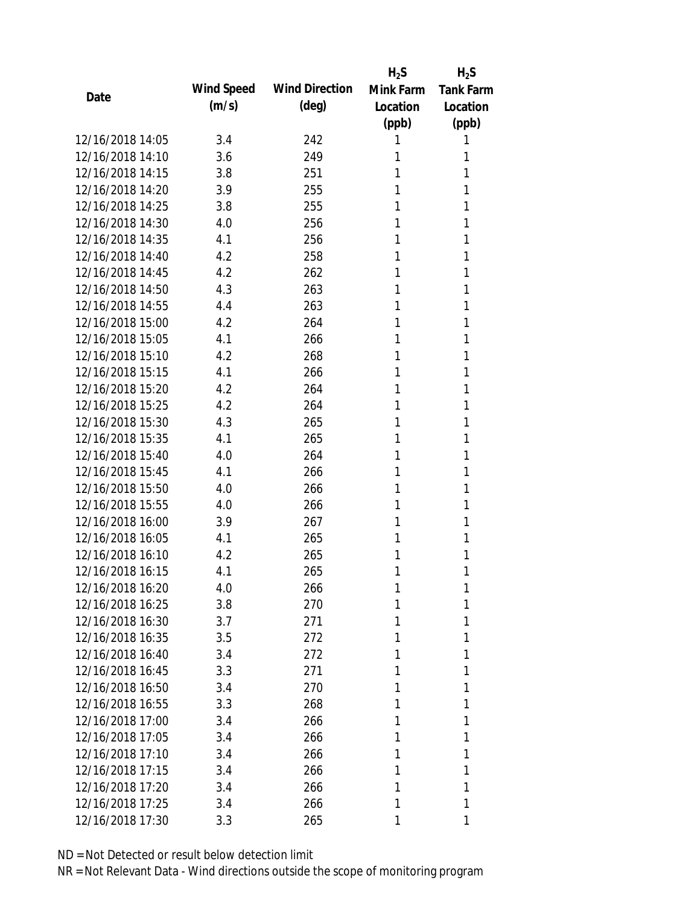|                  |            |                       | $H_2S$    | $H_2S$           |
|------------------|------------|-----------------------|-----------|------------------|
| Date             | Wind Speed | <b>Wind Direction</b> | Mink Farm | <b>Tank Farm</b> |
|                  | (m/s)      | $(\text{deg})$        | Location  | Location         |
|                  |            |                       | (ppb)     | (ppb)            |
| 12/16/2018 14:05 | 3.4        | 242                   | 1         | 1                |
| 12/16/2018 14:10 | 3.6        | 249                   | 1         | 1                |
| 12/16/2018 14:15 | 3.8        | 251                   | 1         | 1                |
| 12/16/2018 14:20 | 3.9        | 255                   | 1         | 1                |
| 12/16/2018 14:25 | 3.8        | 255                   | 1         | 1                |
| 12/16/2018 14:30 | 4.0        | 256                   | 1         | 1                |
| 12/16/2018 14:35 | 4.1        | 256                   | 1         | 1                |
| 12/16/2018 14:40 | 4.2        | 258                   | 1         | 1                |
| 12/16/2018 14:45 | 4.2        | 262                   | 1         | 1                |
| 12/16/2018 14:50 | 4.3        | 263                   | 1         | 1                |
| 12/16/2018 14:55 | 4.4        | 263                   | 1         | 1                |
| 12/16/2018 15:00 | 4.2        | 264                   | 1         | 1                |
| 12/16/2018 15:05 | 4.1        | 266                   | 1         | 1                |
| 12/16/2018 15:10 | 4.2        | 268                   | 1         | 1                |
| 12/16/2018 15:15 | 4.1        | 266                   | 1         | 1                |
| 12/16/2018 15:20 | 4.2        | 264                   | 1         | 1                |
| 12/16/2018 15:25 | 4.2        | 264                   | 1         | 1                |
| 12/16/2018 15:30 | 4.3        | 265                   | 1         | 1                |
| 12/16/2018 15:35 | 4.1        | 265                   | 1         | 1                |
| 12/16/2018 15:40 | 4.0        | 264                   | 1         | 1                |
| 12/16/2018 15:45 | 4.1        | 266                   | 1         | 1                |
| 12/16/2018 15:50 | 4.0        | 266                   | 1         | 1                |
| 12/16/2018 15:55 | 4.0        | 266                   | 1         | 1                |
| 12/16/2018 16:00 | 3.9        | 267                   | 1         | 1                |
| 12/16/2018 16:05 | 4.1        | 265                   | 1         | 1                |
| 12/16/2018 16:10 | 4.2        | 265                   | 1         | 1                |
| 12/16/2018 16:15 | 4.1        | 265                   | 1         | 1                |
| 12/16/2018 16:20 | 4.0        | 266                   | 1         | 1                |
| 12/16/2018 16:25 | 3.8        | 270                   | 1         | 1                |
| 12/16/2018 16:30 | 3.7        | 271                   | 1         | 1                |
| 12/16/2018 16:35 | 3.5        | 272                   | 1         | 1                |
| 12/16/2018 16:40 | 3.4        | 272                   | 1         | 1                |
| 12/16/2018 16:45 | 3.3        | 271                   | 1         | 1                |
| 12/16/2018 16:50 | 3.4        | 270                   | 1         | 1                |
| 12/16/2018 16:55 | 3.3        | 268                   | 1         | 1                |
| 12/16/2018 17:00 | 3.4        | 266                   | 1         | 1                |
| 12/16/2018 17:05 | 3.4        | 266                   | 1         | 1                |
| 12/16/2018 17:10 | 3.4        | 266                   | 1         | 1                |
| 12/16/2018 17:15 | 3.4        | 266                   | 1         | 1                |
| 12/16/2018 17:20 | 3.4        | 266                   | 1         | 1                |
| 12/16/2018 17:25 | 3.4        | 266                   | 1         | 1                |
| 12/16/2018 17:30 | 3.3        | 265                   | 1         | 1                |
|                  |            |                       |           |                  |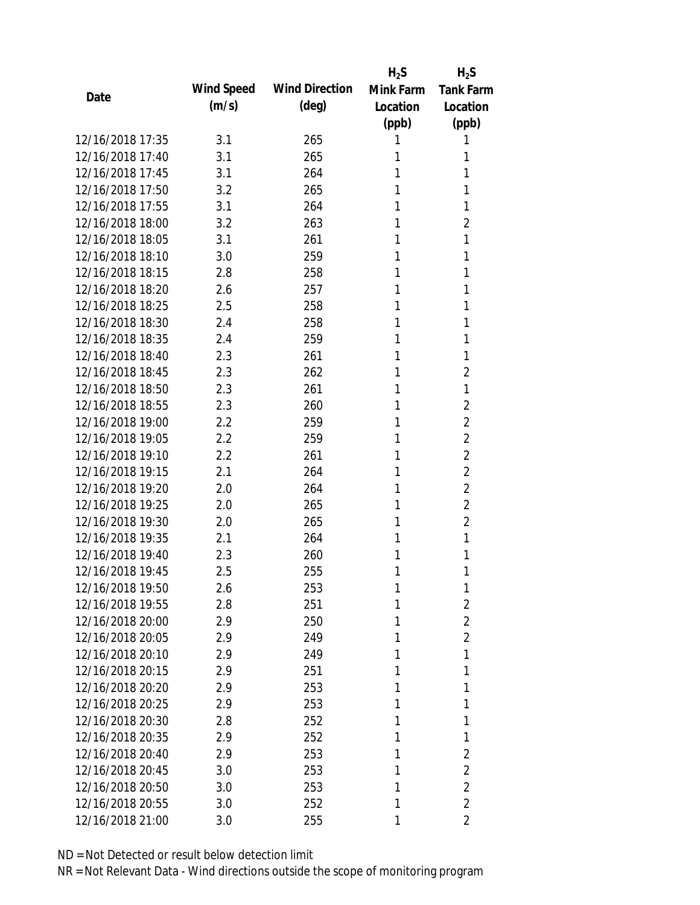|                  |            |                       | $H_2S$    | $H_2S$           |
|------------------|------------|-----------------------|-----------|------------------|
| Date             | Wind Speed | <b>Wind Direction</b> | Mink Farm | <b>Tank Farm</b> |
|                  | (m/s)      | $(\text{deg})$        | Location  | Location         |
|                  |            |                       | (ppb)     | (ppb)            |
| 12/16/2018 17:35 | 3.1        | 265                   | 1         | 1                |
| 12/16/2018 17:40 | 3.1        | 265                   | 1         | 1                |
| 12/16/2018 17:45 | 3.1        | 264                   | 1         | 1                |
| 12/16/2018 17:50 | 3.2        | 265                   | 1         | 1                |
| 12/16/2018 17:55 | 3.1        | 264                   | 1         | 1                |
| 12/16/2018 18:00 | 3.2        | 263                   | 1         | 2                |
| 12/16/2018 18:05 | 3.1        | 261                   | 1         | 1                |
| 12/16/2018 18:10 | 3.0        | 259                   | 1         | 1                |
| 12/16/2018 18:15 | 2.8        | 258                   | 1         | 1                |
| 12/16/2018 18:20 | 2.6        | 257                   | 1         | 1                |
| 12/16/2018 18:25 | 2.5        | 258                   | 1         | 1                |
| 12/16/2018 18:30 | 2.4        | 258                   | 1         | 1                |
| 12/16/2018 18:35 | 2.4        | 259                   | 1         | 1                |
| 12/16/2018 18:40 | 2.3        | 261                   | 1         | 1                |
| 12/16/2018 18:45 | 2.3        | 262                   | 1         | $\overline{2}$   |
| 12/16/2018 18:50 | 2.3        | 261                   | 1         | 1                |
| 12/16/2018 18:55 | 2.3        | 260                   | 1         | $\overline{2}$   |
| 12/16/2018 19:00 | 2.2        | 259                   | 1         | 2                |
| 12/16/2018 19:05 | 2.2        | 259                   | 1         | $\overline{2}$   |
| 12/16/2018 19:10 | 2.2        | 261                   | 1         | $\overline{2}$   |
| 12/16/2018 19:15 | 2.1        | 264                   | 1         | $\overline{2}$   |
| 12/16/2018 19:20 | 2.0        | 264                   | 1         | $\overline{2}$   |
| 12/16/2018 19:25 | 2.0        | 265                   | 1         | $\overline{2}$   |
| 12/16/2018 19:30 | 2.0        | 265                   | 1         | $\overline{2}$   |
| 12/16/2018 19:35 | 2.1        | 264                   | 1         | 1                |
| 12/16/2018 19:40 | 2.3        | 260                   | 1         | 1                |
| 12/16/2018 19:45 | 2.5        | 255                   | 1         | 1                |
| 12/16/2018 19:50 | 2.6        | 253                   | 1         | 1                |
| 12/16/2018 19:55 | 2.8        | 251                   | 1         | $\overline{2}$   |
| 12/16/2018 20:00 | 2.9        | 250                   | 1         | $\overline{2}$   |
| 12/16/2018 20:05 | 2.9        | 249                   | 1         | $\overline{2}$   |
| 12/16/2018 20:10 | 2.9        | 249                   | 1         | 1                |
| 12/16/2018 20:15 | 2.9        | 251                   | 1         | 1                |
| 12/16/2018 20:20 | 2.9        | 253                   | 1         | 1                |
| 12/16/2018 20:25 | 2.9        | 253                   | 1         | 1                |
| 12/16/2018 20:30 | 2.8        | 252                   | 1         | 1                |
| 12/16/2018 20:35 | 2.9        | 252                   | 1         | 1                |
| 12/16/2018 20:40 | 2.9        | 253                   | 1         | 2                |
| 12/16/2018 20:45 | 3.0        | 253                   | 1         | $\overline{2}$   |
| 12/16/2018 20:50 | 3.0        | 253                   | 1         | $\overline{2}$   |
| 12/16/2018 20:55 | 3.0        | 252                   | 1         | $\overline{2}$   |
| 12/16/2018 21:00 | 3.0        | 255                   | 1         | $\overline{2}$   |
|                  |            |                       |           |                  |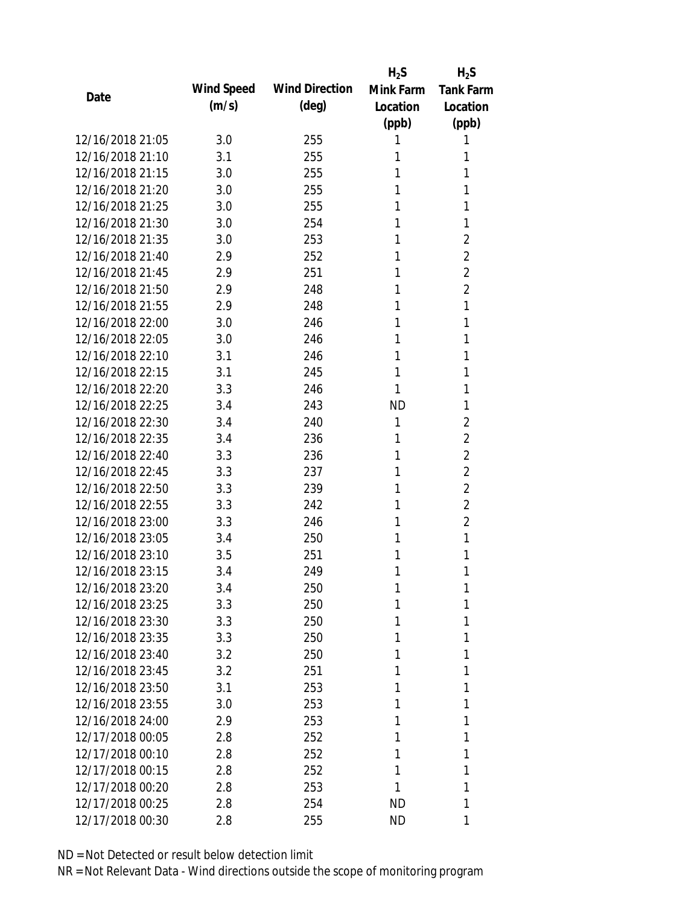|                  |            |                       | $H_2S$    | $H_2S$           |
|------------------|------------|-----------------------|-----------|------------------|
|                  | Wind Speed | <b>Wind Direction</b> | Mink Farm | <b>Tank Farm</b> |
| Date             | (m/s)      | $(\text{deg})$        | Location  | Location         |
|                  |            |                       | (ppb)     | (ppb)            |
| 12/16/2018 21:05 | 3.0        | 255                   | 1         | 1                |
| 12/16/2018 21:10 | 3.1        | 255                   | 1         | 1                |
| 12/16/2018 21:15 | 3.0        | 255                   | 1         | 1                |
| 12/16/2018 21:20 | 3.0        | 255                   | 1         | 1                |
| 12/16/2018 21:25 | 3.0        | 255                   | 1         | 1                |
| 12/16/2018 21:30 | 3.0        | 254                   | 1         | 1                |
| 12/16/2018 21:35 | 3.0        | 253                   | 1         | $\overline{2}$   |
| 12/16/2018 21:40 | 2.9        | 252                   | 1         | 2                |
| 12/16/2018 21:45 | 2.9        | 251                   | 1         | $\overline{2}$   |
| 12/16/2018 21:50 | 2.9        | 248                   | 1         | $\overline{2}$   |
| 12/16/2018 21:55 | 2.9        | 248                   | 1         | 1                |
| 12/16/2018 22:00 | 3.0        | 246                   | 1         | 1                |
| 12/16/2018 22:05 | 3.0        | 246                   | 1         | 1                |
| 12/16/2018 22:10 | 3.1        | 246                   | 1         | 1                |
| 12/16/2018 22:15 | 3.1        | 245                   | 1         | 1                |
| 12/16/2018 22:20 | 3.3        | 246                   | 1         | 1                |
| 12/16/2018 22:25 | 3.4        | 243                   | <b>ND</b> | 1                |
| 12/16/2018 22:30 | 3.4        | 240                   | 1         | 2                |
| 12/16/2018 22:35 | 3.4        | 236                   | 1         | $\overline{2}$   |
| 12/16/2018 22:40 | 3.3        | 236                   | 1         | $\overline{2}$   |
| 12/16/2018 22:45 | 3.3        | 237                   | 1         | $\overline{2}$   |
| 12/16/2018 22:50 | 3.3        | 239                   | 1         | $\overline{2}$   |
| 12/16/2018 22:55 | 3.3        | 242                   | 1         | $\overline{2}$   |
| 12/16/2018 23:00 | 3.3        | 246                   | 1         | $\overline{2}$   |
| 12/16/2018 23:05 | 3.4        | 250                   | 1         | 1                |
| 12/16/2018 23:10 | 3.5        | 251                   | 1         | 1                |
| 12/16/2018 23:15 | 3.4        | 249                   | 1         | 1                |
| 12/16/2018 23:20 | 3.4        | 250                   | 1         | 1                |
| 12/16/2018 23:25 | 3.3        | 250                   | 1         | 1                |
| 12/16/2018 23:30 | 3.3        | 250                   | 1         | 1                |
| 12/16/2018 23:35 | 3.3        | 250                   | 1         | 1                |
| 12/16/2018 23:40 | 3.2        | 250                   | 1         | 1                |
| 12/16/2018 23:45 | 3.2        | 251                   | 1         | 1                |
| 12/16/2018 23:50 | 3.1        | 253                   | 1         | 1                |
| 12/16/2018 23:55 | 3.0        | 253                   | 1         | 1                |
| 12/16/2018 24:00 | 2.9        | 253                   | 1         | 1                |
| 12/17/2018 00:05 | 2.8        | 252                   | 1         | 1                |
| 12/17/2018 00:10 | 2.8        | 252                   | 1         | 1                |
| 12/17/2018 00:15 | 2.8        | 252                   | 1         | 1                |
| 12/17/2018 00:20 | 2.8        | 253                   | 1         | 1                |
| 12/17/2018 00:25 | 2.8        | 254                   | ND        | 1                |
| 12/17/2018 00:30 | 2.8        | 255                   | <b>ND</b> | 1                |
|                  |            |                       |           |                  |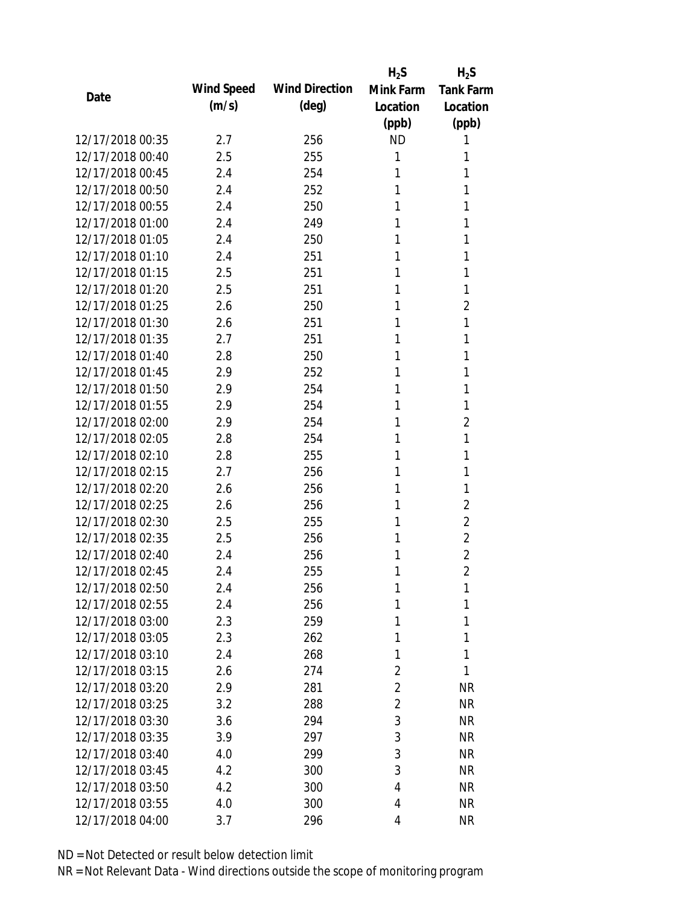|                  |            |                       | $H_2S$         | $H_2S$           |
|------------------|------------|-----------------------|----------------|------------------|
| Date             | Wind Speed | <b>Wind Direction</b> | Mink Farm      | <b>Tank Farm</b> |
|                  | (m/s)      | $(\text{deg})$        | Location       | Location         |
|                  |            |                       | (ppb)          | (ppb)            |
| 12/17/2018 00:35 | 2.7        | 256                   | <b>ND</b>      | 1                |
| 12/17/2018 00:40 | 2.5        | 255                   | 1              | 1                |
| 12/17/2018 00:45 | 2.4        | 254                   | 1              | 1                |
| 12/17/2018 00:50 | 2.4        | 252                   | 1              | 1                |
| 12/17/2018 00:55 | 2.4        | 250                   | 1              | 1                |
| 12/17/2018 01:00 | 2.4        | 249                   | 1              | 1                |
| 12/17/2018 01:05 | 2.4        | 250                   | 1              | 1                |
| 12/17/2018 01:10 | 2.4        | 251                   | 1              | 1                |
| 12/17/2018 01:15 | 2.5        | 251                   | 1              | 1                |
| 12/17/2018 01:20 | 2.5        | 251                   | 1              | 1                |
| 12/17/2018 01:25 | 2.6        | 250                   | 1              | 2                |
| 12/17/2018 01:30 | 2.6        | 251                   | 1              | 1                |
| 12/17/2018 01:35 | 2.7        | 251                   | 1              | 1                |
| 12/17/2018 01:40 | 2.8        | 250                   | 1              | 1                |
| 12/17/2018 01:45 | 2.9        | 252                   | 1              | 1                |
| 12/17/2018 01:50 | 2.9        | 254                   | 1              | 1                |
| 12/17/2018 01:55 | 2.9        | 254                   | 1              | 1                |
| 12/17/2018 02:00 | 2.9        | 254                   | 1              | $\overline{2}$   |
| 12/17/2018 02:05 | 2.8        | 254                   | 1              | 1                |
| 12/17/2018 02:10 | 2.8        | 255                   | 1              | 1                |
| 12/17/2018 02:15 | 2.7        | 256                   | 1              | 1                |
| 12/17/2018 02:20 | 2.6        | 256                   | 1              | 1                |
| 12/17/2018 02:25 | 2.6        | 256                   | 1              | 2                |
| 12/17/2018 02:30 | 2.5        | 255                   | 1              | 2                |
| 12/17/2018 02:35 | 2.5        | 256                   | 1              | $\overline{2}$   |
| 12/17/2018 02:40 | 2.4        | 256                   | 1              | $\overline{2}$   |
| 12/17/2018 02:45 | 2.4        | 255                   | 1              | $\overline{2}$   |
| 12/17/2018 02:50 | 2.4        | 256                   | 1              | 1                |
| 12/17/2018 02:55 | 2.4        | 256                   | 1              | 1                |
| 12/17/2018 03:00 | 2.3        | 259                   | 1              | 1                |
| 12/17/2018 03:05 | 2.3        | 262                   | 1              | 1                |
| 12/17/2018 03:10 | 2.4        | 268                   | 1              | 1                |
| 12/17/2018 03:15 | 2.6        | 274                   | 2              | 1                |
| 12/17/2018 03:20 | 2.9        | 281                   | $\overline{2}$ | <b>NR</b>        |
| 12/17/2018 03:25 | 3.2        | 288                   | $\overline{2}$ | <b>NR</b>        |
| 12/17/2018 03:30 | 3.6        | 294                   | 3              | <b>NR</b>        |
| 12/17/2018 03:35 |            |                       | 3              | <b>NR</b>        |
|                  | 3.9        | 297                   |                |                  |
| 12/17/2018 03:40 | 4.0        | 299                   | 3              | <b>NR</b>        |
| 12/17/2018 03:45 | 4.2        | 300                   | 3              | <b>NR</b>        |
| 12/17/2018 03:50 | 4.2        | 300                   | 4              | <b>NR</b>        |
| 12/17/2018 03:55 | 4.0        | 300                   | 4              | <b>NR</b>        |
| 12/17/2018 04:00 | 3.7        | 296                   | 4              | <b>NR</b>        |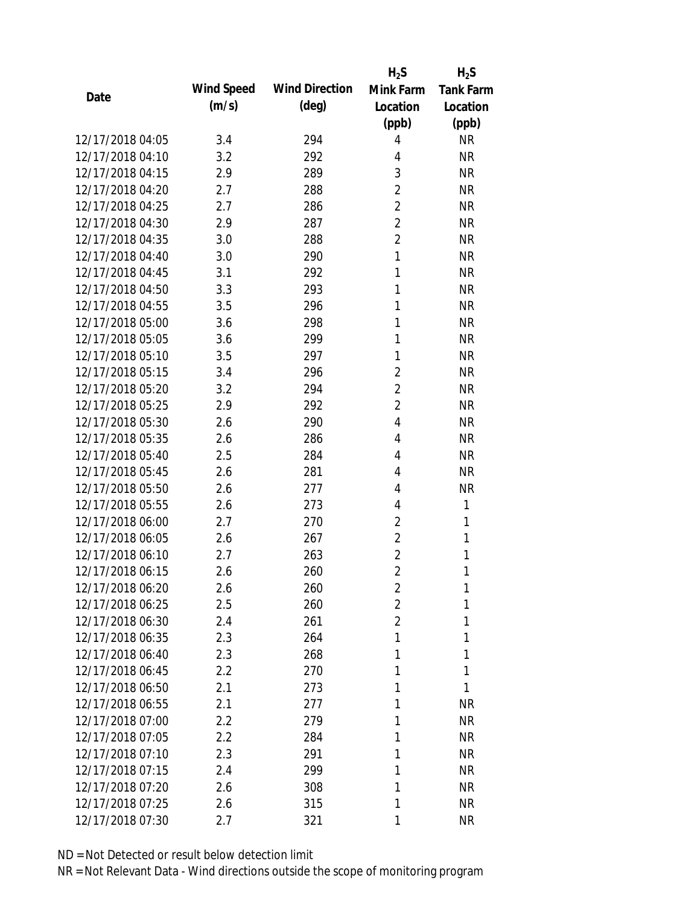|                  |            |                       | $H_2S$         | $H_2S$           |
|------------------|------------|-----------------------|----------------|------------------|
| Date             | Wind Speed | <b>Wind Direction</b> | Mink Farm      | <b>Tank Farm</b> |
|                  | (m/s)      | $(\text{deg})$        | Location       | Location         |
|                  |            |                       | (ppb)          | (ppb)            |
| 12/17/2018 04:05 | 3.4        | 294                   | $\overline{4}$ | <b>NR</b>        |
| 12/17/2018 04:10 | 3.2        | 292                   | 4              | <b>NR</b>        |
| 12/17/2018 04:15 | 2.9        | 289                   | 3              | <b>NR</b>        |
| 12/17/2018 04:20 | 2.7        | 288                   | $\overline{2}$ | <b>NR</b>        |
| 12/17/2018 04:25 | 2.7        | 286                   | $\overline{2}$ | <b>NR</b>        |
| 12/17/2018 04:30 | 2.9        | 287                   | $\overline{2}$ | <b>NR</b>        |
| 12/17/2018 04:35 | 3.0        | 288                   | $\overline{2}$ | <b>NR</b>        |
| 12/17/2018 04:40 | 3.0        | 290                   | $\mathbf{1}$   | <b>NR</b>        |
| 12/17/2018 04:45 | 3.1        | 292                   | 1              | <b>NR</b>        |
| 12/17/2018 04:50 | 3.3        | 293                   | 1              | <b>NR</b>        |
| 12/17/2018 04:55 | 3.5        | 296                   | 1              | <b>NR</b>        |
| 12/17/2018 05:00 | 3.6        | 298                   | 1              | <b>NR</b>        |
| 12/17/2018 05:05 | 3.6        | 299                   | 1              | <b>NR</b>        |
| 12/17/2018 05:10 | 3.5        | 297                   | 1              | <b>NR</b>        |
| 12/17/2018 05:15 | 3.4        | 296                   | $\overline{2}$ | <b>NR</b>        |
| 12/17/2018 05:20 | 3.2        | 294                   | $\overline{2}$ | <b>NR</b>        |
| 12/17/2018 05:25 | 2.9        | 292                   | $\overline{2}$ | <b>NR</b>        |
| 12/17/2018 05:30 | 2.6        | 290                   | $\overline{4}$ | <b>NR</b>        |
| 12/17/2018 05:35 | 2.6        | 286                   | 4              | <b>NR</b>        |
| 12/17/2018 05:40 | 2.5        | 284                   | 4              | <b>NR</b>        |
| 12/17/2018 05:45 | 2.6        | 281                   | 4              | <b>NR</b>        |
| 12/17/2018 05:50 | 2.6        | 277                   | 4              | <b>NR</b>        |
| 12/17/2018 05:55 | 2.6        | 273                   | 4              | 1                |
| 12/17/2018 06:00 | 2.7        | 270                   | $\overline{2}$ | 1                |
| 12/17/2018 06:05 | 2.6        | 267                   | $\overline{2}$ | 1                |
| 12/17/2018 06:10 | 2.7        | 263                   | $\overline{2}$ | 1                |
| 12/17/2018 06:15 | 2.6        | 260                   | $\overline{2}$ | 1                |
| 12/17/2018 06:20 | 2.6        | 260                   | $\overline{2}$ | 1                |
| 12/17/2018 06:25 | 2.5        | 260                   | $\overline{2}$ | 1                |
| 12/17/2018 06:30 | 2.4        | 261                   | $\overline{2}$ | 1                |
| 12/17/2018 06:35 | 2.3        | 264                   | 1              | 1                |
| 12/17/2018 06:40 | 2.3        | 268                   | 1              | 1                |
| 12/17/2018 06:45 | 2.2        | 270                   | 1              | 1                |
| 12/17/2018 06:50 | 2.1        | 273                   | 1              | 1                |
| 12/17/2018 06:55 | 2.1        | 277                   | 1              | <b>NR</b>        |
| 12/17/2018 07:00 | 2.2        | 279                   | 1              | <b>NR</b>        |
| 12/17/2018 07:05 | 2.2        | 284                   | 1              | NR               |
| 12/17/2018 07:10 | 2.3        | 291                   | 1              | NR               |
| 12/17/2018 07:15 | 2.4        | 299                   | 1              | NR               |
| 12/17/2018 07:20 | 2.6        | 308                   | 1              | <b>NR</b>        |
| 12/17/2018 07:25 | 2.6        | 315                   | 1              | <b>NR</b>        |
| 12/17/2018 07:30 | 2.7        | 321                   | 1              | <b>NR</b>        |
|                  |            |                       |                |                  |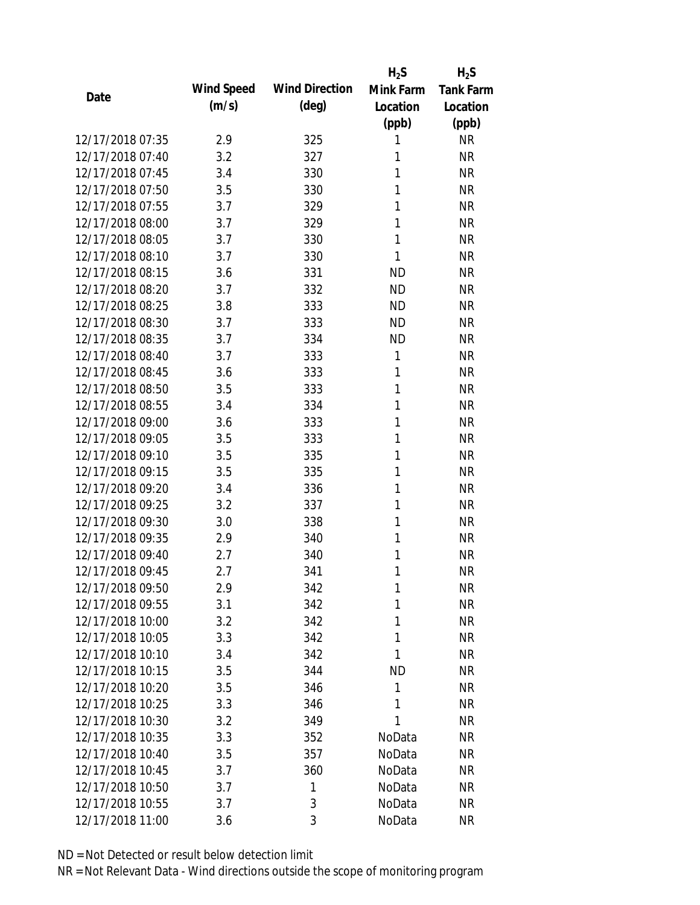|                  |            |                       | $H_2S$       | $H_2S$           |
|------------------|------------|-----------------------|--------------|------------------|
| Date             | Wind Speed | <b>Wind Direction</b> | Mink Farm    | <b>Tank Farm</b> |
|                  | (m/s)      | $(\text{deg})$        | Location     | Location         |
|                  |            |                       | (ppb)        | (ppb)            |
| 12/17/2018 07:35 | 2.9        | 325                   | 1            | <b>NR</b>        |
| 12/17/2018 07:40 | 3.2        | 327                   | 1            | <b>NR</b>        |
| 12/17/2018 07:45 | 3.4        | 330                   | 1            | <b>NR</b>        |
| 12/17/2018 07:50 | 3.5        | 330                   | 1            | <b>NR</b>        |
| 12/17/2018 07:55 | 3.7        | 329                   | 1            | <b>NR</b>        |
| 12/17/2018 08:00 | 3.7        | 329                   | 1            | <b>NR</b>        |
| 12/17/2018 08:05 | 3.7        | 330                   | 1            | <b>NR</b>        |
| 12/17/2018 08:10 | 3.7        | 330                   | $\mathbf{1}$ | <b>NR</b>        |
| 12/17/2018 08:15 | 3.6        | 331                   | <b>ND</b>    | <b>NR</b>        |
| 12/17/2018 08:20 | 3.7        | 332                   | <b>ND</b>    | <b>NR</b>        |
| 12/17/2018 08:25 | 3.8        | 333                   | <b>ND</b>    | <b>NR</b>        |
| 12/17/2018 08:30 | 3.7        | 333                   | <b>ND</b>    | <b>NR</b>        |
| 12/17/2018 08:35 | 3.7        | 334                   | <b>ND</b>    | <b>NR</b>        |
| 12/17/2018 08:40 | 3.7        | 333                   | 1            | <b>NR</b>        |
| 12/17/2018 08:45 | 3.6        | 333                   | 1            | <b>NR</b>        |
| 12/17/2018 08:50 | 3.5        | 333                   | 1            | <b>NR</b>        |
| 12/17/2018 08:55 | 3.4        | 334                   | 1            | <b>NR</b>        |
| 12/17/2018 09:00 | 3.6        | 333                   | 1            | <b>NR</b>        |
| 12/17/2018 09:05 | 3.5        | 333                   | $\mathbf{1}$ | <b>NR</b>        |
| 12/17/2018 09:10 | 3.5        | 335                   | 1            | <b>NR</b>        |
| 12/17/2018 09:15 | 3.5        | 335                   | 1            | <b>NR</b>        |
| 12/17/2018 09:20 | 3.4        | 336                   | 1            | <b>NR</b>        |
| 12/17/2018 09:25 | 3.2        | 337                   | 1            | <b>NR</b>        |
| 12/17/2018 09:30 | 3.0        | 338                   | 1            | <b>NR</b>        |
| 12/17/2018 09:35 | 2.9        | 340                   | 1            | <b>NR</b>        |
| 12/17/2018 09:40 | 2.7        | 340                   | 1            | <b>NR</b>        |
| 12/17/2018 09:45 | 2.7        | 341                   | 1            | <b>NR</b>        |
| 12/17/2018 09:50 | 2.9        | 342                   | 1            | <b>NR</b>        |
| 12/17/2018 09:55 | 3.1        | 342                   | 1            | <b>NR</b>        |
| 12/17/2018 10:00 | 3.2        | 342                   | 1            | <b>NR</b>        |
| 12/17/2018 10:05 | 3.3        | 342                   | 1            | <b>NR</b>        |
| 12/17/2018 10:10 | 3.4        | 342                   | 1            | <b>NR</b>        |
| 12/17/2018 10:15 | 3.5        | 344                   | ND           | <b>NR</b>        |
| 12/17/2018 10:20 | 3.5        | 346                   | 1            | <b>NR</b>        |
| 12/17/2018 10:25 | 3.3        | 346                   | 1            | <b>NR</b>        |
| 12/17/2018 10:30 | 3.2        | 349                   | 1            | <b>NR</b>        |
| 12/17/2018 10:35 | 3.3        | 352                   | NoData       | NR               |
| 12/17/2018 10:40 | 3.5        | 357                   | NoData       | <b>NR</b>        |
| 12/17/2018 10:45 | 3.7        | 360                   | NoData       | NR               |
| 12/17/2018 10:50 | 3.7        | 1                     | NoData       | NR               |
| 12/17/2018 10:55 | 3.7        | 3                     | NoData       | <b>NR</b>        |
| 12/17/2018 11:00 | 3.6        | 3                     | NoData       | <b>NR</b>        |
|                  |            |                       |              |                  |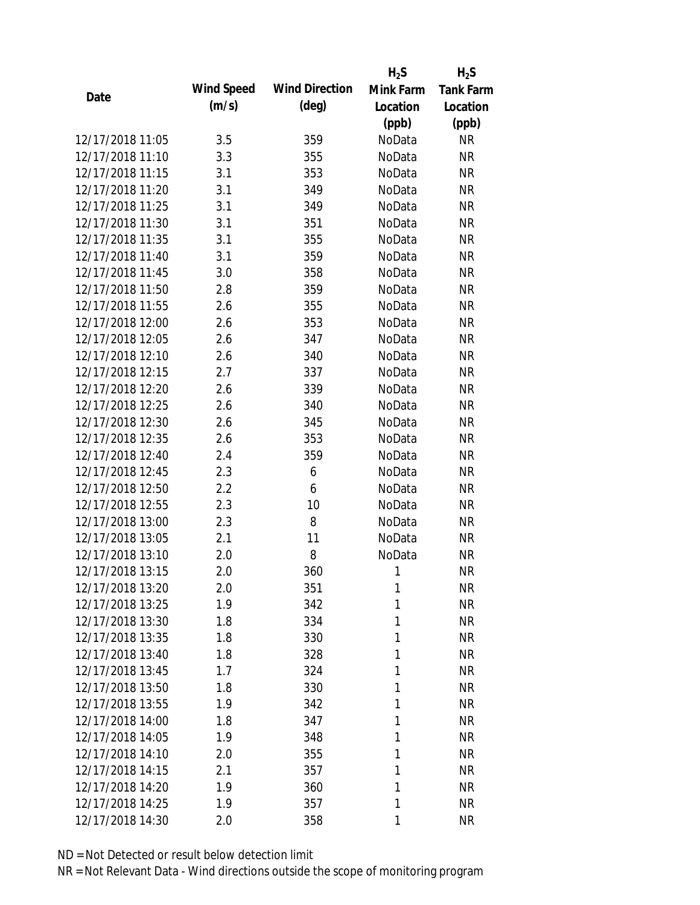|                  |            |                       | $H_2S$    | $H_2S$           |
|------------------|------------|-----------------------|-----------|------------------|
| Date             | Wind Speed | <b>Wind Direction</b> | Mink Farm | <b>Tank Farm</b> |
|                  | (m/s)      | $(\text{deg})$        | Location  | Location         |
|                  |            |                       | (ppb)     | (ppb)            |
| 12/17/2018 11:05 | 3.5        | 359                   | NoData    | <b>NR</b>        |
| 12/17/2018 11:10 | 3.3        | 355                   | NoData    | <b>NR</b>        |
| 12/17/2018 11:15 | 3.1        | 353                   | NoData    | <b>NR</b>        |
| 12/17/2018 11:20 | 3.1        | 349                   | NoData    | <b>NR</b>        |
| 12/17/2018 11:25 | 3.1        | 349                   | NoData    | <b>NR</b>        |
| 12/17/2018 11:30 | 3.1        | 351                   | NoData    | <b>NR</b>        |
| 12/17/2018 11:35 | 3.1        | 355                   | NoData    | <b>NR</b>        |
| 12/17/2018 11:40 | 3.1        | 359                   | NoData    | <b>NR</b>        |
| 12/17/2018 11:45 | 3.0        | 358                   | NoData    | <b>NR</b>        |
| 12/17/2018 11:50 | 2.8        | 359                   | NoData    | <b>NR</b>        |
| 12/17/2018 11:55 | 2.6        | 355                   | NoData    | <b>NR</b>        |
| 12/17/2018 12:00 | 2.6        | 353                   | NoData    | <b>NR</b>        |
| 12/17/2018 12:05 | 2.6        | 347                   | NoData    | <b>NR</b>        |
| 12/17/2018 12:10 | 2.6        | 340                   | NoData    | <b>NR</b>        |
| 12/17/2018 12:15 | 2.7        | 337                   | NoData    | <b>NR</b>        |
| 12/17/2018 12:20 | 2.6        | 339                   | NoData    | <b>NR</b>        |
| 12/17/2018 12:25 | 2.6        | 340                   | NoData    | <b>NR</b>        |
| 12/17/2018 12:30 | 2.6        | 345                   | NoData    | <b>NR</b>        |
| 12/17/2018 12:35 | 2.6        | 353                   | NoData    | <b>NR</b>        |
| 12/17/2018 12:40 | 2.4        | 359                   | NoData    | <b>NR</b>        |
| 12/17/2018 12:45 | 2.3        | 6                     | NoData    | <b>NR</b>        |
| 12/17/2018 12:50 | 2.2        | 6                     | NoData    | <b>NR</b>        |
| 12/17/2018 12:55 | 2.3        | 10                    | NoData    | <b>NR</b>        |
| 12/17/2018 13:00 | 2.3        | 8                     | NoData    | <b>NR</b>        |
| 12/17/2018 13:05 | 2.1        | 11                    | NoData    | <b>NR</b>        |
| 12/17/2018 13:10 | 2.0        | 8                     | NoData    | <b>NR</b>        |
| 12/17/2018 13:15 | 2.0        | 360                   | 1         | <b>NR</b>        |
| 12/17/2018 13:20 | 2.0        | 351                   | 1         | <b>NR</b>        |
| 12/17/2018 13:25 | 1.9        | 342                   | 1         | <b>NR</b>        |
| 12/17/2018 13:30 | 1.8        | 334                   | 1         | <b>NR</b>        |
| 12/17/2018 13:35 | 1.8        | 330                   | 1         | <b>NR</b>        |
| 12/17/2018 13:40 | 1.8        | 328                   | 1         | <b>NR</b>        |
| 12/17/2018 13:45 | 1.7        | 324                   | 1         | NR               |
| 12/17/2018 13:50 | 1.8        | 330                   | 1         | <b>NR</b>        |
| 12/17/2018 13:55 | 1.9        | 342                   | 1         | <b>NR</b>        |
| 12/17/2018 14:00 | 1.8        | 347                   | 1         | <b>NR</b>        |
| 12/17/2018 14:05 | 1.9        | 348                   | 1         | <b>NR</b>        |
| 12/17/2018 14:10 | 2.0        | 355                   | 1         | <b>NR</b>        |
| 12/17/2018 14:15 | 2.1        | 357                   | 1         | <b>NR</b>        |
| 12/17/2018 14:20 | 1.9        | 360                   | 1         | <b>NR</b>        |
| 12/17/2018 14:25 | 1.9        | 357                   | 1         | <b>NR</b>        |
| 12/17/2018 14:30 | 2.0        | 358                   | 1         | <b>NR</b>        |
|                  |            |                       |           |                  |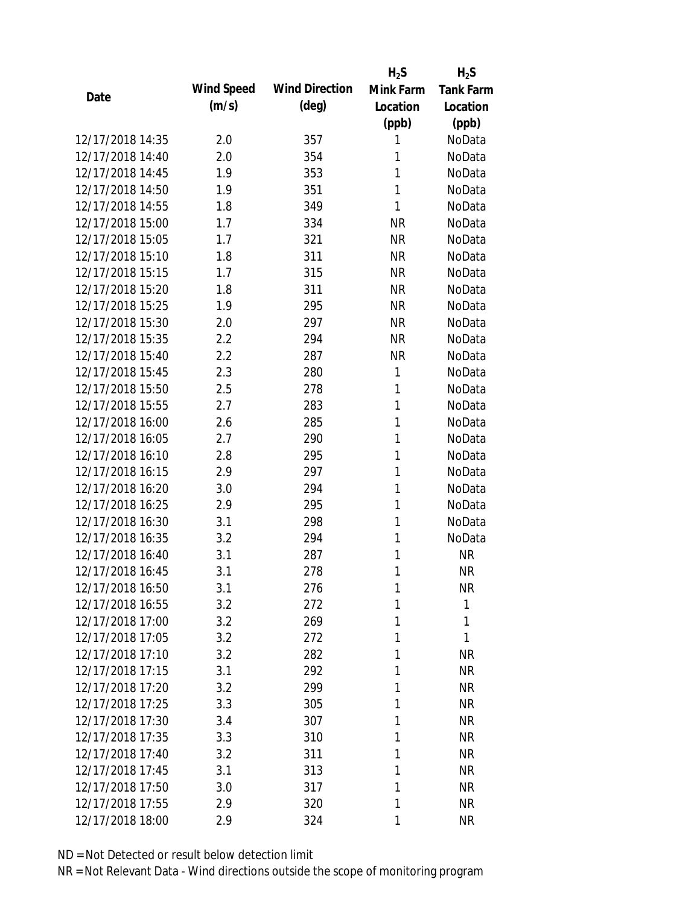|                  |            |                       | $H_2S$    | $H_2S$           |
|------------------|------------|-----------------------|-----------|------------------|
|                  | Wind Speed | <b>Wind Direction</b> | Mink Farm | <b>Tank Farm</b> |
| Date             | (m/s)      | $(\text{deg})$        | Location  | Location         |
|                  |            |                       | (ppb)     | (ppb)            |
| 12/17/2018 14:35 | 2.0        | 357                   | 1         | NoData           |
| 12/17/2018 14:40 | 2.0        | 354                   | 1         | NoData           |
| 12/17/2018 14:45 | 1.9        | 353                   | 1         | NoData           |
| 12/17/2018 14:50 | 1.9        | 351                   | 1         | NoData           |
| 12/17/2018 14:55 | 1.8        | 349                   | 1         | NoData           |
| 12/17/2018 15:00 | 1.7        | 334                   | <b>NR</b> | NoData           |
| 12/17/2018 15:05 | 1.7        | 321                   | <b>NR</b> | NoData           |
| 12/17/2018 15:10 | 1.8        | 311                   | <b>NR</b> | NoData           |
| 12/17/2018 15:15 | 1.7        | 315                   | <b>NR</b> | NoData           |
| 12/17/2018 15:20 | 1.8        | 311                   | <b>NR</b> | NoData           |
| 12/17/2018 15:25 | 1.9        | 295                   | <b>NR</b> | NoData           |
| 12/17/2018 15:30 | 2.0        | 297                   | <b>NR</b> | NoData           |
| 12/17/2018 15:35 | 2.2        | 294                   | <b>NR</b> | NoData           |
| 12/17/2018 15:40 | 2.2        | 287                   | <b>NR</b> | NoData           |
| 12/17/2018 15:45 | 2.3        | 280                   | 1         | NoData           |
| 12/17/2018 15:50 | 2.5        | 278                   | 1         | NoData           |
| 12/17/2018 15:55 | 2.7        | 283                   | 1         | NoData           |
| 12/17/2018 16:00 | 2.6        | 285                   | 1         | NoData           |
| 12/17/2018 16:05 | 2.7        | 290                   | 1         | NoData           |
| 12/17/2018 16:10 | 2.8        | 295                   | 1         | NoData           |
| 12/17/2018 16:15 | 2.9        | 297                   | 1         | NoData           |
| 12/17/2018 16:20 | 3.0        | 294                   | 1         | NoData           |
| 12/17/2018 16:25 | 2.9        | 295                   | 1         | NoData           |
| 12/17/2018 16:30 | 3.1        | 298                   | 1         | NoData           |
| 12/17/2018 16:35 | 3.2        | 294                   | 1         | NoData           |
| 12/17/2018 16:40 | 3.1        | 287                   | 1         | <b>NR</b>        |
| 12/17/2018 16:45 | 3.1        | 278                   | 1         | <b>NR</b>        |
| 12/17/2018 16:50 | 3.1        | 276                   | 1         | <b>NR</b>        |
| 12/17/2018 16:55 | 3.2        | 272                   | 1         | 1                |
| 12/17/2018 17:00 | 3.2        | 269                   | 1         | 1                |
| 12/17/2018 17:05 | 3.2        | 272                   | 1         | 1                |
| 12/17/2018 17:10 | 3.2        | 282                   | 1         | <b>NR</b>        |
| 12/17/2018 17:15 | 3.1        | 292                   | 1         | <b>NR</b>        |
| 12/17/2018 17:20 | 3.2        | 299                   | 1         | <b>NR</b>        |
| 12/17/2018 17:25 | 3.3        | 305                   | 1         | <b>NR</b>        |
| 12/17/2018 17:30 | 3.4        | 307                   | 1         | <b>NR</b>        |
| 12/17/2018 17:35 | 3.3        | 310                   | 1         | <b>NR</b>        |
| 12/17/2018 17:40 | 3.2        | 311                   | 1         | <b>NR</b>        |
| 12/17/2018 17:45 | 3.1        | 313                   | 1         | <b>NR</b>        |
| 12/17/2018 17:50 | 3.0        | 317                   | 1         | NR               |
| 12/17/2018 17:55 | 2.9        | 320                   | 1         | <b>NR</b>        |
| 12/17/2018 18:00 | 2.9        | 324                   | 1         | <b>NR</b>        |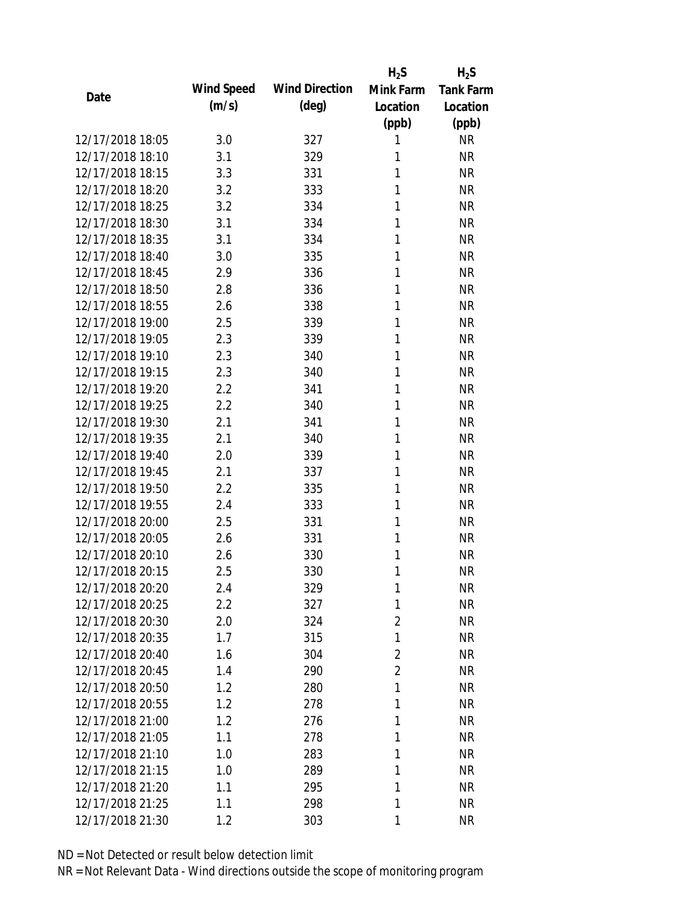|                  |            |                       | $H_2S$         | $H_2S$           |
|------------------|------------|-----------------------|----------------|------------------|
| Date             | Wind Speed | <b>Wind Direction</b> | Mink Farm      | <b>Tank Farm</b> |
|                  | (m/s)      | $(\text{deg})$        | Location       | Location         |
|                  |            |                       | (ppb)          | (ppb)            |
| 12/17/2018 18:05 | 3.0        | 327                   | 1              | <b>NR</b>        |
| 12/17/2018 18:10 | 3.1        | 329                   | 1              | <b>NR</b>        |
| 12/17/2018 18:15 | 3.3        | 331                   | 1              | <b>NR</b>        |
| 12/17/2018 18:20 | 3.2        | 333                   | 1              | <b>NR</b>        |
| 12/17/2018 18:25 | 3.2        | 334                   | 1              | <b>NR</b>        |
| 12/17/2018 18:30 | 3.1        | 334                   | 1              | <b>NR</b>        |
| 12/17/2018 18:35 | 3.1        | 334                   | 1              | <b>NR</b>        |
| 12/17/2018 18:40 | 3.0        | 335                   | 1              | <b>NR</b>        |
| 12/17/2018 18:45 | 2.9        | 336                   | 1              | <b>NR</b>        |
| 12/17/2018 18:50 | 2.8        | 336                   | 1              | <b>NR</b>        |
| 12/17/2018 18:55 | 2.6        | 338                   | 1              | <b>NR</b>        |
| 12/17/2018 19:00 | 2.5        | 339                   | 1              | <b>NR</b>        |
| 12/17/2018 19:05 | 2.3        | 339                   | 1              | <b>NR</b>        |
| 12/17/2018 19:10 | 2.3        | 340                   | 1              | <b>NR</b>        |
| 12/17/2018 19:15 | 2.3        | 340                   | 1              | <b>NR</b>        |
| 12/17/2018 19:20 | 2.2        | 341                   | 1              | <b>NR</b>        |
| 12/17/2018 19:25 | 2.2        | 340                   | 1              | <b>NR</b>        |
| 12/17/2018 19:30 | 2.1        | 341                   | 1              | <b>NR</b>        |
| 12/17/2018 19:35 | 2.1        | 340                   | 1              | <b>NR</b>        |
| 12/17/2018 19:40 | 2.0        | 339                   | 1              | <b>NR</b>        |
| 12/17/2018 19:45 | 2.1        | 337                   | 1              | <b>NR</b>        |
| 12/17/2018 19:50 | 2.2        | 335                   | 1              | <b>NR</b>        |
| 12/17/2018 19:55 | 2.4        | 333                   | 1              | <b>NR</b>        |
| 12/17/2018 20:00 | 2.5        | 331                   | 1              | <b>NR</b>        |
| 12/17/2018 20:05 | 2.6        | 331                   | 1              | <b>NR</b>        |
| 12/17/2018 20:10 | 2.6        | 330                   | 1              | <b>NR</b>        |
| 12/17/2018 20:15 | 2.5        | 330                   | 1              | <b>NR</b>        |
| 12/17/2018 20:20 | 2.4        | 329                   | 1              | <b>NR</b>        |
| 12/17/2018 20:25 | 2.2        | 327                   | 1              | <b>NR</b>        |
| 12/17/2018 20:30 | 2.0        | 324                   | $\overline{2}$ | <b>NR</b>        |
| 12/17/2018 20:35 | 1.7        | 315                   | 1              | <b>NR</b>        |
| 12/17/2018 20:40 | 1.6        | 304                   | $\overline{2}$ | <b>NR</b>        |
| 12/17/2018 20:45 | 1.4        | 290                   | $\overline{2}$ | <b>NR</b>        |
| 12/17/2018 20:50 | 1.2        | 280                   | 1              | <b>NR</b>        |
| 12/17/2018 20:55 | 1.2        | 278                   | 1              | <b>NR</b>        |
| 12/17/2018 21:00 | 1.2        | 276                   | 1              | <b>NR</b>        |
| 12/17/2018 21:05 | 1.1        | 278                   | 1              | <b>NR</b>        |
| 12/17/2018 21:10 | 1.0        | 283                   | 1              | <b>NR</b>        |
| 12/17/2018 21:15 | 1.0        | 289                   | 1              | <b>NR</b>        |
| 12/17/2018 21:20 | 1.1        | 295                   | 1              | <b>NR</b>        |
| 12/17/2018 21:25 | 1.1        | 298                   | 1              | <b>NR</b>        |
| 12/17/2018 21:30 | 1.2        | 303                   | 1              | <b>NR</b>        |
|                  |            |                       |                |                  |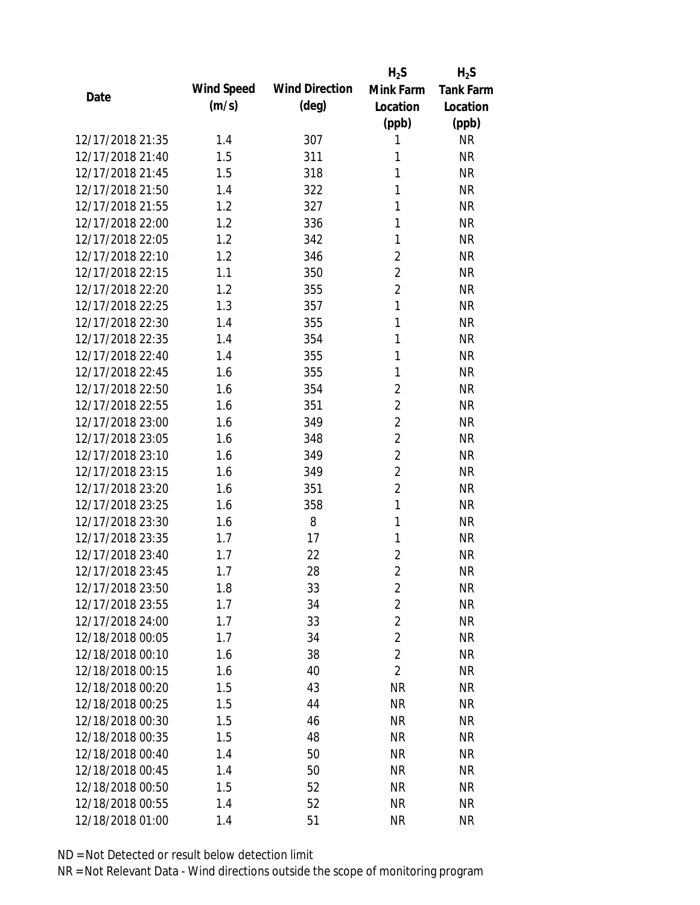|                  |            |                       | $H_2S$         | $H_2S$           |
|------------------|------------|-----------------------|----------------|------------------|
| Date             | Wind Speed | <b>Wind Direction</b> | Mink Farm      | <b>Tank Farm</b> |
|                  | (m/s)      | $(\text{deg})$        | Location       | Location         |
|                  |            |                       | (ppb)          | (ppb)            |
| 12/17/2018 21:35 | 1.4        | 307                   | 1              | <b>NR</b>        |
| 12/17/2018 21:40 | 1.5        | 311                   | 1              | <b>NR</b>        |
| 12/17/2018 21:45 | 1.5        | 318                   | 1              | <b>NR</b>        |
| 12/17/2018 21:50 | 1.4        | 322                   | 1              | <b>NR</b>        |
| 12/17/2018 21:55 | 1.2        | 327                   | 1              | <b>NR</b>        |
| 12/17/2018 22:00 | 1.2        | 336                   | 1              | <b>NR</b>        |
| 12/17/2018 22:05 | 1.2        | 342                   | 1              | <b>NR</b>        |
| 12/17/2018 22:10 | 1.2        | 346                   | $\overline{2}$ | <b>NR</b>        |
| 12/17/2018 22:15 | 1.1        | 350                   | $\overline{2}$ | <b>NR</b>        |
| 12/17/2018 22:20 | 1.2        | 355                   | $\overline{2}$ | <b>NR</b>        |
| 12/17/2018 22:25 | 1.3        | 357                   | 1              | <b>NR</b>        |
| 12/17/2018 22:30 | 1.4        | 355                   | 1              | <b>NR</b>        |
| 12/17/2018 22:35 | 1.4        | 354                   | 1              | <b>NR</b>        |
| 12/17/2018 22:40 | 1.4        | 355                   | 1              | <b>NR</b>        |
| 12/17/2018 22:45 | 1.6        | 355                   | 1              | <b>NR</b>        |
| 12/17/2018 22:50 | 1.6        | 354                   | $\overline{2}$ | <b>NR</b>        |
| 12/17/2018 22:55 | 1.6        | 351                   | $\overline{2}$ | <b>NR</b>        |
| 12/17/2018 23:00 | 1.6        | 349                   | $\overline{2}$ | <b>NR</b>        |
| 12/17/2018 23:05 | 1.6        | 348                   | $\overline{2}$ | <b>NR</b>        |
| 12/17/2018 23:10 | 1.6        | 349                   | $\overline{2}$ | <b>NR</b>        |
| 12/17/2018 23:15 | 1.6        | 349                   | $\overline{2}$ | <b>NR</b>        |
| 12/17/2018 23:20 | 1.6        | 351                   | $\overline{2}$ | <b>NR</b>        |
| 12/17/2018 23:25 | 1.6        | 358                   | $\mathbf{1}$   | <b>NR</b>        |
| 12/17/2018 23:30 | 1.6        | 8                     | 1              | <b>NR</b>        |
| 12/17/2018 23:35 | 1.7        | 17                    | 1              | <b>NR</b>        |
| 12/17/2018 23:40 | 1.7        | 22                    | $\overline{2}$ | <b>NR</b>        |
| 12/17/2018 23:45 | 1.7        | 28                    | $\overline{2}$ | <b>NR</b>        |
| 12/17/2018 23:50 | 1.8        | 33                    | $\overline{c}$ | <b>NR</b>        |
| 12/17/2018 23:55 | 1.7        | 34                    | $\overline{2}$ | <b>NR</b>        |
| 12/17/2018 24:00 | 1.7        | 33                    | $\overline{2}$ | <b>NR</b>        |
| 12/18/2018 00:05 | 1.7        | 34                    | $\overline{2}$ | <b>NR</b>        |
| 12/18/2018 00:10 | 1.6        | 38                    | $\overline{2}$ | <b>NR</b>        |
| 12/18/2018 00:15 | 1.6        | 40                    | $\overline{2}$ | <b>NR</b>        |
| 12/18/2018 00:20 | 1.5        | 43                    | <b>NR</b>      | <b>NR</b>        |
| 12/18/2018 00:25 | 1.5        | 44                    | <b>NR</b>      | <b>NR</b>        |
| 12/18/2018 00:30 | 1.5        | 46                    | <b>NR</b>      | <b>NR</b>        |
| 12/18/2018 00:35 | 1.5        | 48                    | <b>NR</b>      | <b>NR</b>        |
| 12/18/2018 00:40 | 1.4        | 50                    | <b>NR</b>      | <b>NR</b>        |
| 12/18/2018 00:45 | 1.4        | 50                    | <b>NR</b>      | <b>NR</b>        |
| 12/18/2018 00:50 | 1.5        | 52                    | <b>NR</b>      | <b>NR</b>        |
| 12/18/2018 00:55 | 1.4        | 52                    | <b>NR</b>      | <b>NR</b>        |
| 12/18/2018 01:00 | 1.4        | 51                    | <b>NR</b>      | <b>NR</b>        |
|                  |            |                       |                |                  |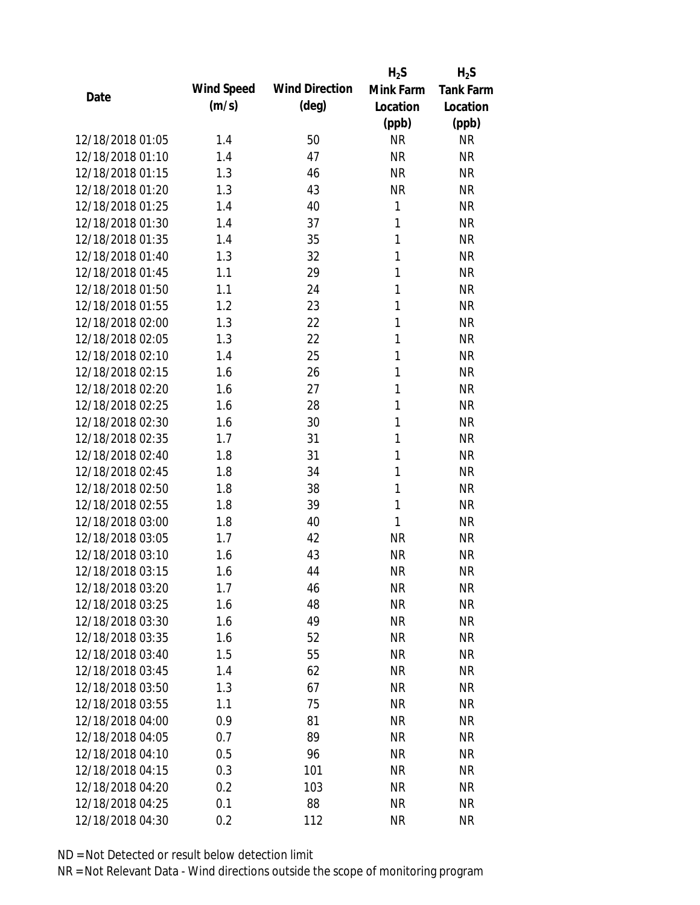|                  |            |                       | $H_2S$       | $H_2S$           |
|------------------|------------|-----------------------|--------------|------------------|
| Date             | Wind Speed | <b>Wind Direction</b> | Mink Farm    | <b>Tank Farm</b> |
|                  | (m/s)      | (deg)                 | Location     | Location         |
|                  |            |                       | (ppb)        | (ppb)            |
| 12/18/2018 01:05 | 1.4        | 50                    | <b>NR</b>    | <b>NR</b>        |
| 12/18/2018 01:10 | 1.4        | 47                    | <b>NR</b>    | <b>NR</b>        |
| 12/18/2018 01:15 | 1.3        | 46                    | <b>NR</b>    | <b>NR</b>        |
| 12/18/2018 01:20 | 1.3        | 43                    | <b>NR</b>    | <b>NR</b>        |
| 12/18/2018 01:25 | 1.4        | 40                    | 1            | <b>NR</b>        |
| 12/18/2018 01:30 | 1.4        | 37                    | 1            | <b>NR</b>        |
| 12/18/2018 01:35 | 1.4        | 35                    | $\mathbf{1}$ | <b>NR</b>        |
| 12/18/2018 01:40 | 1.3        | 32                    | 1            | <b>NR</b>        |
| 12/18/2018 01:45 | 1.1        | 29                    | 1            | <b>NR</b>        |
| 12/18/2018 01:50 | 1.1        | 24                    | 1            | <b>NR</b>        |
| 12/18/2018 01:55 | 1.2        | 23                    | 1            | <b>NR</b>        |
| 12/18/2018 02:00 | 1.3        | 22                    | 1            | <b>NR</b>        |
| 12/18/2018 02:05 | 1.3        | 22                    | 1            | <b>NR</b>        |
| 12/18/2018 02:10 | 1.4        | 25                    | 1            | <b>NR</b>        |
| 12/18/2018 02:15 | 1.6        | 26                    | 1            | <b>NR</b>        |
| 12/18/2018 02:20 | 1.6        | 27                    | 1            | <b>NR</b>        |
| 12/18/2018 02:25 | 1.6        | 28                    | 1            | <b>NR</b>        |
| 12/18/2018 02:30 | 1.6        | 30                    | 1            | <b>NR</b>        |
| 12/18/2018 02:35 | 1.7        | 31                    | $\mathbf{1}$ | <b>NR</b>        |
| 12/18/2018 02:40 | 1.8        | 31                    | 1            | <b>NR</b>        |
| 12/18/2018 02:45 | 1.8        | 34                    | 1            | <b>NR</b>        |
| 12/18/2018 02:50 | 1.8        | 38                    | 1            | <b>NR</b>        |
| 12/18/2018 02:55 | 1.8        | 39                    | 1            | <b>NR</b>        |
| 12/18/2018 03:00 | 1.8        | 40                    | 1            | <b>NR</b>        |
| 12/18/2018 03:05 | 1.7        | 42                    | <b>NR</b>    | <b>NR</b>        |
| 12/18/2018 03:10 | 1.6        | 43                    | <b>NR</b>    | <b>NR</b>        |
| 12/18/2018 03:15 | 1.6        | 44                    | <b>NR</b>    | <b>NR</b>        |
| 12/18/2018 03:20 | 1.7        | 46                    | <b>NR</b>    | <b>NR</b>        |
| 12/18/2018 03:25 | 1.6        | 48                    | <b>NR</b>    | <b>NR</b>        |
| 12/18/2018 03:30 | 1.6        | 49                    | <b>NR</b>    | <b>NR</b>        |
| 12/18/2018 03:35 | 1.6        | 52                    | <b>NR</b>    | <b>NR</b>        |
| 12/18/2018 03:40 | 1.5        | 55                    | <b>NR</b>    | <b>NR</b>        |
| 12/18/2018 03:45 | 1.4        | 62                    | <b>NR</b>    | <b>NR</b>        |
| 12/18/2018 03:50 | 1.3        | 67                    | <b>NR</b>    | <b>NR</b>        |
| 12/18/2018 03:55 | 1.1        | 75                    | <b>NR</b>    | NR               |
| 12/18/2018 04:00 | 0.9        | 81                    | <b>NR</b>    | <b>NR</b>        |
| 12/18/2018 04:05 | 0.7        | 89                    | <b>NR</b>    | NR               |
| 12/18/2018 04:10 |            | 96                    |              |                  |
|                  | 0.5        |                       | NR           | NR               |
| 12/18/2018 04:15 | 0.3        | 101                   | <b>NR</b>    | NR               |
| 12/18/2018 04:20 | 0.2        | 103                   | <b>NR</b>    | NR               |
| 12/18/2018 04:25 | 0.1        | 88                    | <b>NR</b>    | <b>NR</b>        |
| 12/18/2018 04:30 | 0.2        | 112                   | <b>NR</b>    | <b>NR</b>        |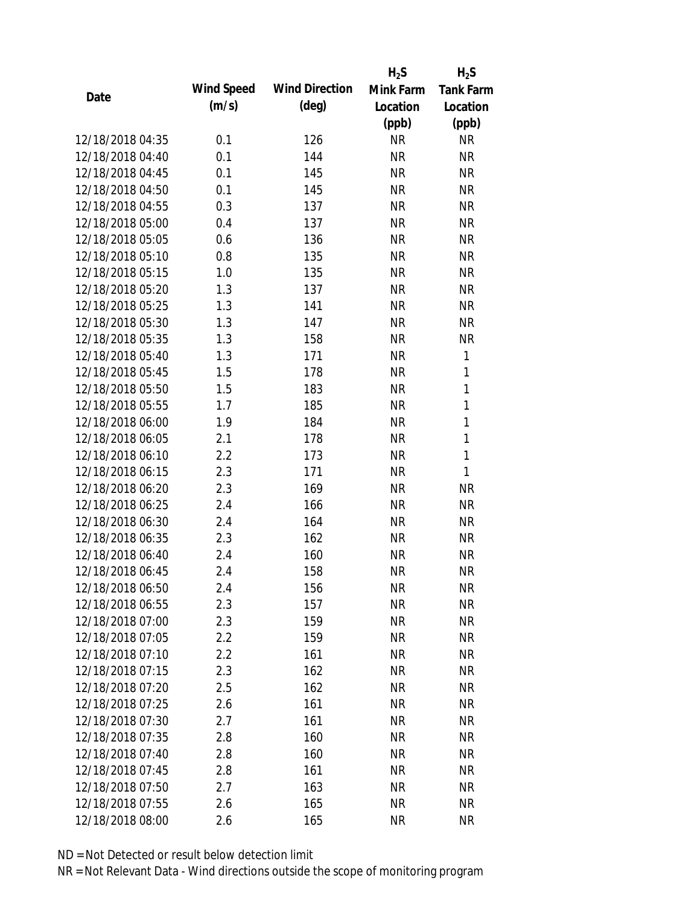|                  |            |                       | $H_2S$    | $H_2S$           |
|------------------|------------|-----------------------|-----------|------------------|
|                  | Wind Speed | <b>Wind Direction</b> | Mink Farm | <b>Tank Farm</b> |
| Date             | (m/s)      | $(\text{deg})$        | Location  | Location         |
|                  |            |                       | (ppb)     | (ppb)            |
| 12/18/2018 04:35 | 0.1        | 126                   | <b>NR</b> | <b>NR</b>        |
| 12/18/2018 04:40 | 0.1        | 144                   | <b>NR</b> | <b>NR</b>        |
| 12/18/2018 04:45 | 0.1        | 145                   | <b>NR</b> | <b>NR</b>        |
| 12/18/2018 04:50 | 0.1        | 145                   | <b>NR</b> | <b>NR</b>        |
| 12/18/2018 04:55 | 0.3        | 137                   | <b>NR</b> | <b>NR</b>        |
| 12/18/2018 05:00 | 0.4        | 137                   | <b>NR</b> | <b>NR</b>        |
| 12/18/2018 05:05 | 0.6        | 136                   | <b>NR</b> | <b>NR</b>        |
| 12/18/2018 05:10 | 0.8        | 135                   | <b>NR</b> | <b>NR</b>        |
| 12/18/2018 05:15 | 1.0        | 135                   | <b>NR</b> | <b>NR</b>        |
| 12/18/2018 05:20 | 1.3        | 137                   | <b>NR</b> | <b>NR</b>        |
| 12/18/2018 05:25 | 1.3        | 141                   | <b>NR</b> | <b>NR</b>        |
| 12/18/2018 05:30 | 1.3        | 147                   | <b>NR</b> | <b>NR</b>        |
| 12/18/2018 05:35 | 1.3        | 158                   | <b>NR</b> | <b>NR</b>        |
| 12/18/2018 05:40 | 1.3        | 171                   | <b>NR</b> | $\mathbf{1}$     |
| 12/18/2018 05:45 | 1.5        | 178                   | <b>NR</b> | 1                |
| 12/18/2018 05:50 | 1.5        | 183                   | <b>NR</b> | 1                |
| 12/18/2018 05:55 | 1.7        | 185                   | <b>NR</b> | 1                |
| 12/18/2018 06:00 | 1.9        | 184                   | <b>NR</b> | 1                |
| 12/18/2018 06:05 | 2.1        | 178                   | <b>NR</b> | 1                |
| 12/18/2018 06:10 | 2.2        | 173                   | <b>NR</b> | 1                |
| 12/18/2018 06:15 | 2.3        | 171                   | <b>NR</b> | 1                |
| 12/18/2018 06:20 | 2.3        | 169                   | <b>NR</b> | <b>NR</b>        |
| 12/18/2018 06:25 | 2.4        | 166                   | <b>NR</b> | <b>NR</b>        |
| 12/18/2018 06:30 | 2.4        | 164                   | <b>NR</b> | <b>NR</b>        |
| 12/18/2018 06:35 | 2.3        | 162                   | <b>NR</b> | <b>NR</b>        |
| 12/18/2018 06:40 | 2.4        | 160                   | <b>NR</b> | <b>NR</b>        |
| 12/18/2018 06:45 | 2.4        | 158                   | <b>NR</b> | <b>NR</b>        |
| 12/18/2018 06:50 | 2.4        | 156                   | <b>NR</b> | <b>NR</b>        |
| 12/18/2018 06:55 | 2.3        | 157                   | <b>NR</b> | <b>NR</b>        |
| 12/18/2018 07:00 | 2.3        | 159                   | <b>NR</b> | <b>NR</b>        |
| 12/18/2018 07:05 | 2.2        | 159                   | <b>NR</b> | <b>NR</b>        |
| 12/18/2018 07:10 | 2.2        | 161                   | <b>NR</b> | <b>NR</b>        |
| 12/18/2018 07:15 | 2.3        | 162                   | <b>NR</b> | <b>NR</b>        |
| 12/18/2018 07:20 | 2.5        | 162                   | <b>NR</b> | <b>NR</b>        |
| 12/18/2018 07:25 | 2.6        | 161                   | <b>NR</b> | <b>NR</b>        |
| 12/18/2018 07:30 | 2.7        | 161                   | <b>NR</b> | <b>NR</b>        |
| 12/18/2018 07:35 | 2.8        | 160                   | <b>NR</b> | <b>NR</b>        |
| 12/18/2018 07:40 | 2.8        | 160                   | <b>NR</b> | <b>NR</b>        |
| 12/18/2018 07:45 | 2.8        | 161                   | <b>NR</b> | <b>NR</b>        |
| 12/18/2018 07:50 | 2.7        | 163                   | <b>NR</b> | <b>NR</b>        |
| 12/18/2018 07:55 | 2.6        | 165                   | <b>NR</b> | <b>NR</b>        |
| 12/18/2018 08:00 | 2.6        | 165                   | <b>NR</b> | <b>NR</b>        |
|                  |            |                       |           |                  |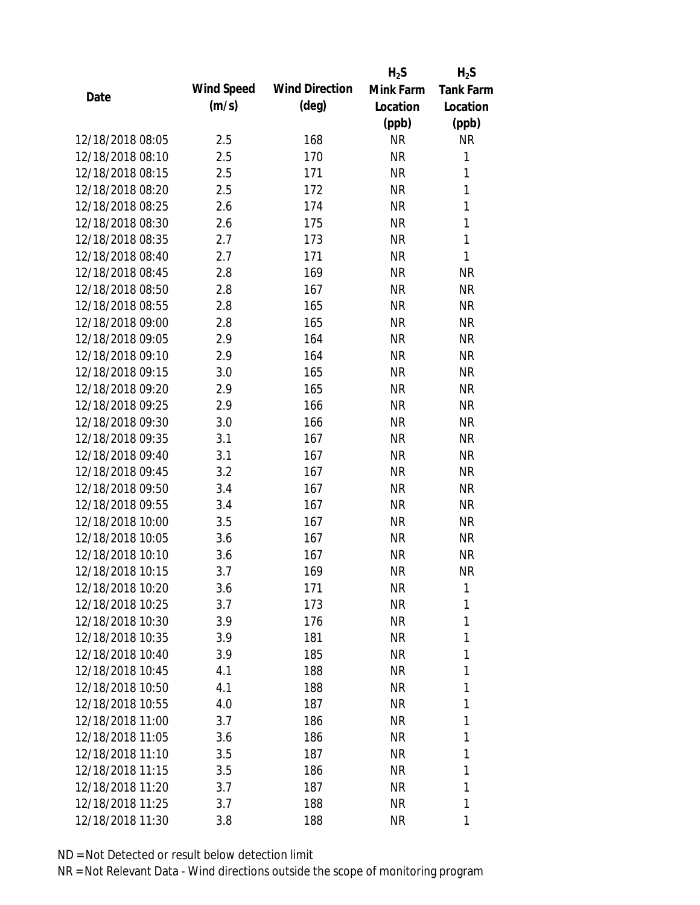|                  |            |                       | $H_2S$    | $H_2S$           |
|------------------|------------|-----------------------|-----------|------------------|
| Date             | Wind Speed | <b>Wind Direction</b> | Mink Farm | <b>Tank Farm</b> |
|                  | (m/s)      | $(\text{deg})$        | Location  | Location         |
|                  |            |                       | (ppb)     | (ppb)            |
| 12/18/2018 08:05 | 2.5        | 168                   | <b>NR</b> | <b>NR</b>        |
| 12/18/2018 08:10 | 2.5        | 170                   | <b>NR</b> | 1                |
| 12/18/2018 08:15 | 2.5        | 171                   | <b>NR</b> | $\mathbf{1}$     |
| 12/18/2018 08:20 | 2.5        | 172                   | <b>NR</b> | 1                |
| 12/18/2018 08:25 | 2.6        | 174                   | <b>NR</b> | $\mathbf{1}$     |
| 12/18/2018 08:30 | 2.6        | 175                   | <b>NR</b> | $\mathbf{1}$     |
| 12/18/2018 08:35 | 2.7        | 173                   | NR        | $\mathbf{1}$     |
| 12/18/2018 08:40 | 2.7        | 171                   | <b>NR</b> | $\mathbf{1}$     |
| 12/18/2018 08:45 | 2.8        | 169                   | <b>NR</b> | <b>NR</b>        |
| 12/18/2018 08:50 | 2.8        | 167                   | <b>NR</b> | <b>NR</b>        |
| 12/18/2018 08:55 | 2.8        | 165                   | <b>NR</b> | <b>NR</b>        |
| 12/18/2018 09:00 | 2.8        | 165                   | NR        | <b>NR</b>        |
| 12/18/2018 09:05 | 2.9        | 164                   | <b>NR</b> | <b>NR</b>        |
| 12/18/2018 09:10 | 2.9        | 164                   | NR        | <b>NR</b>        |
| 12/18/2018 09:15 | 3.0        | 165                   | <b>NR</b> | <b>NR</b>        |
| 12/18/2018 09:20 | 2.9        | 165                   | <b>NR</b> | <b>NR</b>        |
| 12/18/2018 09:25 | 2.9        | 166                   | NR        | <b>NR</b>        |
| 12/18/2018 09:30 | 3.0        | 166                   | <b>NR</b> | <b>NR</b>        |
| 12/18/2018 09:35 | 3.1        | 167                   | <b>NR</b> | <b>NR</b>        |
| 12/18/2018 09:40 | 3.1        | 167                   | <b>NR</b> | <b>NR</b>        |
| 12/18/2018 09:45 | 3.2        | 167                   | <b>NR</b> | <b>NR</b>        |
| 12/18/2018 09:50 | 3.4        | 167                   | <b>NR</b> | <b>NR</b>        |
| 12/18/2018 09:55 | 3.4        | 167                   | <b>NR</b> | <b>NR</b>        |
| 12/18/2018 10:00 | 3.5        | 167                   | <b>NR</b> | <b>NR</b>        |
| 12/18/2018 10:05 | 3.6        | 167                   | <b>NR</b> | <b>NR</b>        |
| 12/18/2018 10:10 | 3.6        | 167                   | <b>NR</b> | <b>NR</b>        |
| 12/18/2018 10:15 | 3.7        | 169                   | <b>NR</b> | <b>NR</b>        |
| 12/18/2018 10:20 | 3.6        | 171                   | <b>NR</b> | 1                |
| 12/18/2018 10:25 | 3.7        | 173                   | <b>NR</b> | 1                |
| 12/18/2018 10:30 | 3.9        | 176                   | NR        | 1                |
| 12/18/2018 10:35 | 3.9        | 181                   | NR        | 1                |
| 12/18/2018 10:40 | 3.9        | 185                   | NR        | 1                |
| 12/18/2018 10:45 | 4.1        | 188                   | NR        | 1                |
| 12/18/2018 10:50 | 4.1        | 188                   | <b>NR</b> | 1                |
| 12/18/2018 10:55 | 4.0        | 187                   | NR        | 1                |
| 12/18/2018 11:00 | 3.7        | 186                   | NR        | 1                |
| 12/18/2018 11:05 | 3.6        | 186                   | NR        | 1                |
| 12/18/2018 11:10 | 3.5        | 187                   | NR        | 1                |
| 12/18/2018 11:15 | 3.5        | 186                   | NR        | 1                |
| 12/18/2018 11:20 | 3.7        | 187                   | <b>NR</b> | 1                |
| 12/18/2018 11:25 | 3.7        | 188                   | <b>NR</b> | 1                |
| 12/18/2018 11:30 | 3.8        | 188                   | <b>NR</b> | 1                |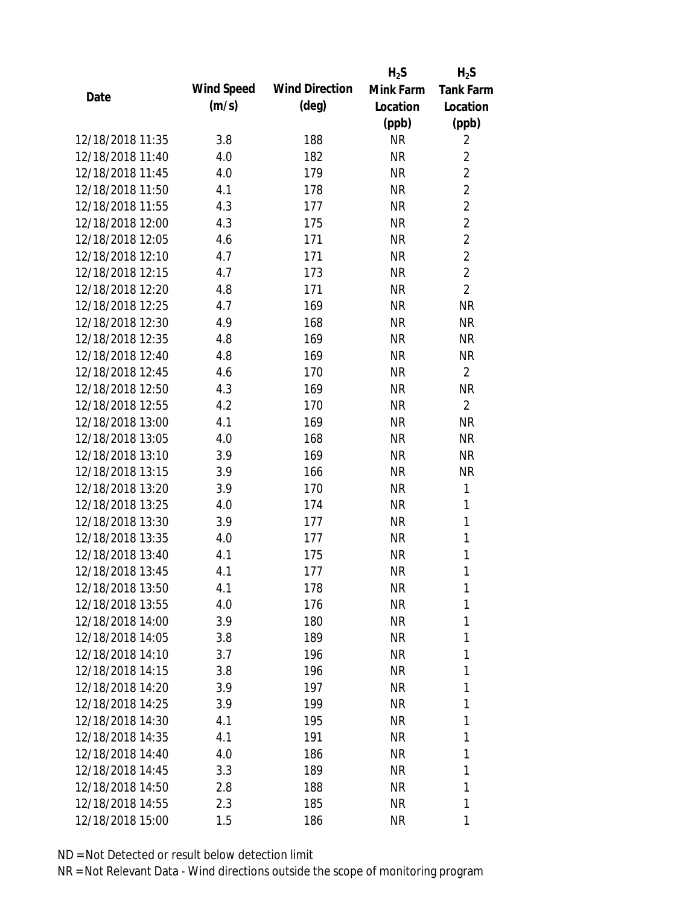|                  |            |                       | $H_2S$    | $H_2S$           |
|------------------|------------|-----------------------|-----------|------------------|
| Date             | Wind Speed | <b>Wind Direction</b> | Mink Farm | <b>Tank Farm</b> |
|                  | (m/s)      | $(\text{deg})$        | Location  | Location         |
|                  |            |                       | (ppb)     | (ppb)            |
| 12/18/2018 11:35 | 3.8        | 188                   | <b>NR</b> | $\overline{2}$   |
| 12/18/2018 11:40 | 4.0        | 182                   | <b>NR</b> | $\overline{2}$   |
| 12/18/2018 11:45 | 4.0        | 179                   | <b>NR</b> | $\overline{2}$   |
| 12/18/2018 11:50 | 4.1        | 178                   | <b>NR</b> | $\overline{2}$   |
| 12/18/2018 11:55 | 4.3        | 177                   | <b>NR</b> | $\overline{2}$   |
| 12/18/2018 12:00 | 4.3        | 175                   | <b>NR</b> | $\overline{2}$   |
| 12/18/2018 12:05 | 4.6        | 171                   | NR        | $\overline{2}$   |
| 12/18/2018 12:10 | 4.7        | 171                   | <b>NR</b> | $\overline{2}$   |
| 12/18/2018 12:15 | 4.7        | 173                   | <b>NR</b> | $\overline{2}$   |
| 12/18/2018 12:20 | 4.8        | 171                   | <b>NR</b> | $\overline{2}$   |
| 12/18/2018 12:25 | 4.7        | 169                   | <b>NR</b> | <b>NR</b>        |
| 12/18/2018 12:30 | 4.9        | 168                   | NR        | <b>NR</b>        |
| 12/18/2018 12:35 | 4.8        | 169                   | <b>NR</b> | <b>NR</b>        |
| 12/18/2018 12:40 | 4.8        | 169                   | NR        | <b>NR</b>        |
| 12/18/2018 12:45 | 4.6        | 170                   | <b>NR</b> | $\overline{2}$   |
| 12/18/2018 12:50 | 4.3        | 169                   | <b>NR</b> | <b>NR</b>        |
| 12/18/2018 12:55 | 4.2        | 170                   | NR        | $\overline{2}$   |
| 12/18/2018 13:00 | 4.1        | 169                   | <b>NR</b> | <b>NR</b>        |
| 12/18/2018 13:05 | 4.0        | 168                   | <b>NR</b> | <b>NR</b>        |
| 12/18/2018 13:10 | 3.9        | 169                   | <b>NR</b> | <b>NR</b>        |
| 12/18/2018 13:15 | 3.9        | 166                   | <b>NR</b> | <b>NR</b>        |
| 12/18/2018 13:20 | 3.9        | 170                   | <b>NR</b> | $\mathbf{1}$     |
| 12/18/2018 13:25 | 4.0        | 174                   | <b>NR</b> | 1                |
| 12/18/2018 13:30 | 3.9        | 177                   | <b>NR</b> | $\mathbf{1}$     |
| 12/18/2018 13:35 | 4.0        | 177                   | <b>NR</b> | 1                |
| 12/18/2018 13:40 | 4.1        | 175                   | <b>NR</b> | 1                |
| 12/18/2018 13:45 | 4.1        | 177                   | <b>NR</b> | 1                |
| 12/18/2018 13:50 | 4.1        | 178                   | <b>NR</b> | 1                |
| 12/18/2018 13:55 | 4.0        | 176                   | <b>NR</b> | 1                |
| 12/18/2018 14:00 | 3.9        | 180                   | NR        | 1                |
| 12/18/2018 14:05 | 3.8        | 189                   | NR        | 1                |
| 12/18/2018 14:10 | 3.7        | 196                   | NR        | 1                |
| 12/18/2018 14:15 | 3.8        | 196                   | NR        | 1                |
| 12/18/2018 14:20 | 3.9        | 197                   | <b>NR</b> | 1                |
| 12/18/2018 14:25 | 3.9        | 199                   | <b>NR</b> | 1                |
| 12/18/2018 14:30 | 4.1        | 195                   | NR        | 1                |
| 12/18/2018 14:35 | 4.1        | 191                   | NR        | 1                |
| 12/18/2018 14:40 | 4.0        | 186                   | NR        | 1                |
| 12/18/2018 14:45 | 3.3        | 189                   | NR        | 1                |
| 12/18/2018 14:50 | 2.8        | 188                   | <b>NR</b> | 1                |
| 12/18/2018 14:55 | 2.3        | 185                   | <b>NR</b> | 1                |
| 12/18/2018 15:00 | 1.5        | 186                   | <b>NR</b> | 1                |
|                  |            |                       |           |                  |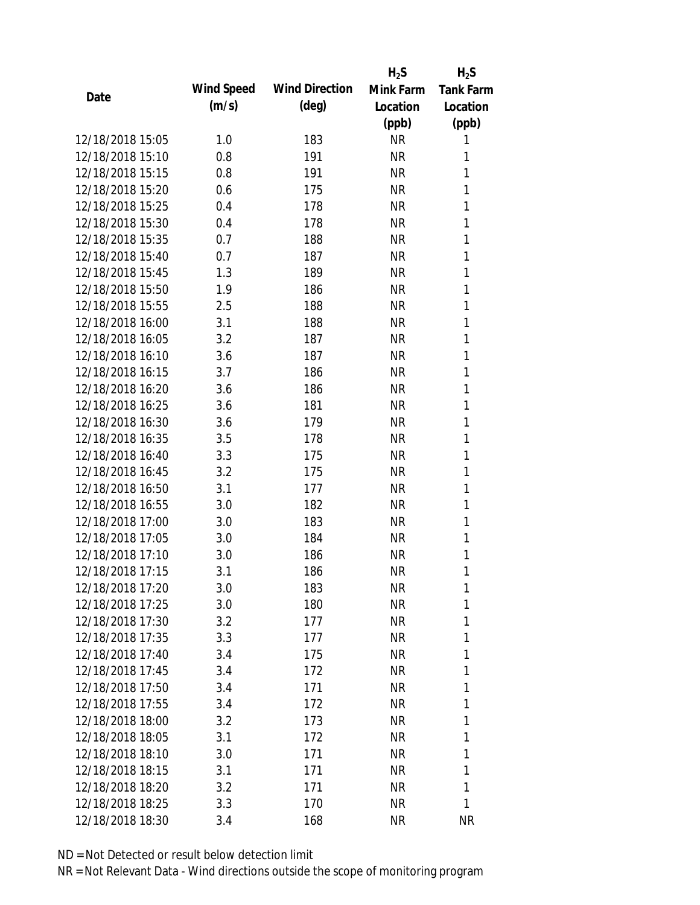|                  |            |                       | $H_2S$    | $H_2S$           |
|------------------|------------|-----------------------|-----------|------------------|
| Date             | Wind Speed | <b>Wind Direction</b> | Mink Farm | <b>Tank Farm</b> |
|                  | (m/s)      | $(\text{deg})$        | Location  | Location         |
|                  |            |                       | (ppb)     | (ppb)            |
| 12/18/2018 15:05 | 1.0        | 183                   | <b>NR</b> | 1                |
| 12/18/2018 15:10 | 0.8        | 191                   | <b>NR</b> | 1                |
| 12/18/2018 15:15 | 0.8        | 191                   | <b>NR</b> | 1                |
| 12/18/2018 15:20 | 0.6        | 175                   | <b>NR</b> | 1                |
| 12/18/2018 15:25 | 0.4        | 178                   | <b>NR</b> | 1                |
| 12/18/2018 15:30 | 0.4        | 178                   | <b>NR</b> | 1                |
| 12/18/2018 15:35 | 0.7        | 188                   | <b>NR</b> | 1                |
| 12/18/2018 15:40 | 0.7        | 187                   | <b>NR</b> | 1                |
| 12/18/2018 15:45 | 1.3        | 189                   | <b>NR</b> | 1                |
| 12/18/2018 15:50 | 1.9        | 186                   | <b>NR</b> | 1                |
| 12/18/2018 15:55 | 2.5        | 188                   | <b>NR</b> | 1                |
| 12/18/2018 16:00 | 3.1        | 188                   | <b>NR</b> | 1                |
| 12/18/2018 16:05 | 3.2        | 187                   | <b>NR</b> | 1                |
| 12/18/2018 16:10 | 3.6        | 187                   | <b>NR</b> | 1                |
| 12/18/2018 16:15 | 3.7        | 186                   | <b>NR</b> | 1                |
| 12/18/2018 16:20 | 3.6        | 186                   | <b>NR</b> | 1                |
| 12/18/2018 16:25 | 3.6        | 181                   | <b>NR</b> | 1                |
| 12/18/2018 16:30 | 3.6        | 179                   | <b>NR</b> | 1                |
| 12/18/2018 16:35 | 3.5        | 178                   | <b>NR</b> | 1                |
| 12/18/2018 16:40 | 3.3        | 175                   | <b>NR</b> | 1                |
| 12/18/2018 16:45 | 3.2        | 175                   | <b>NR</b> | 1                |
| 12/18/2018 16:50 | 3.1        | 177                   | <b>NR</b> | 1                |
| 12/18/2018 16:55 | 3.0        | 182                   | <b>NR</b> | 1                |
| 12/18/2018 17:00 | 3.0        | 183                   | <b>NR</b> | 1                |
| 12/18/2018 17:05 | 3.0        | 184                   | <b>NR</b> | 1                |
| 12/18/2018 17:10 | 3.0        | 186                   | <b>NR</b> | 1                |
| 12/18/2018 17:15 | 3.1        | 186                   | <b>NR</b> | 1                |
| 12/18/2018 17:20 | 3.0        | 183                   | <b>NR</b> | 1                |
| 12/18/2018 17:25 | 3.0        | 180                   | <b>NR</b> | 1                |
| 12/18/2018 17:30 | 3.2        | 177                   | <b>NR</b> | 1                |
| 12/18/2018 17:35 | 3.3        | 177                   | <b>NR</b> | 1                |
| 12/18/2018 17:40 | 3.4        | 175                   | <b>NR</b> | 1                |
| 12/18/2018 17:45 | 3.4        | 172                   | <b>NR</b> | 1                |
| 12/18/2018 17:50 | 3.4        | 171                   | <b>NR</b> | 1                |
| 12/18/2018 17:55 | 3.4        | 172                   | <b>NR</b> | 1                |
| 12/18/2018 18:00 | 3.2        | 173                   | <b>NR</b> | 1                |
| 12/18/2018 18:05 | 3.1        | 172                   | <b>NR</b> | 1                |
| 12/18/2018 18:10 | 3.0        | 171                   | <b>NR</b> | 1                |
| 12/18/2018 18:15 | 3.1        | 171                   | <b>NR</b> | 1                |
| 12/18/2018 18:20 | 3.2        | 171                   | <b>NR</b> | 1                |
| 12/18/2018 18:25 | 3.3        | 170                   | <b>NR</b> | 1                |
| 12/18/2018 18:30 | 3.4        | 168                   | <b>NR</b> | <b>NR</b>        |
|                  |            |                       |           |                  |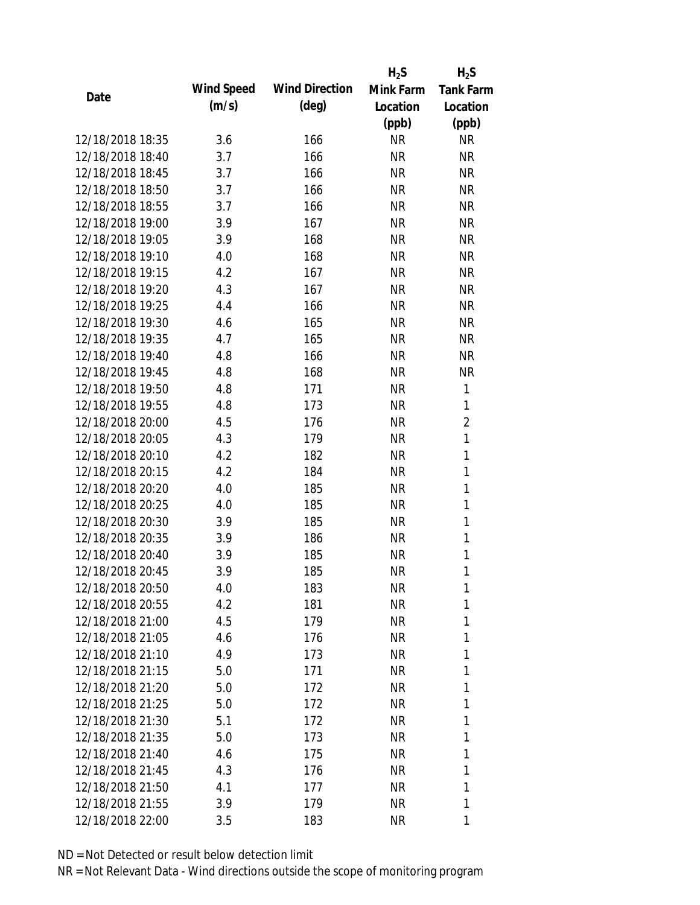|                  |            |                       | $H_2S$    | $H_2S$           |
|------------------|------------|-----------------------|-----------|------------------|
| Date             | Wind Speed | <b>Wind Direction</b> | Mink Farm | <b>Tank Farm</b> |
|                  | (m/s)      | $(\text{deg})$        | Location  | Location         |
|                  |            |                       | (ppb)     | (ppb)            |
| 12/18/2018 18:35 | 3.6        | 166                   | <b>NR</b> | <b>NR</b>        |
| 12/18/2018 18:40 | 3.7        | 166                   | <b>NR</b> | <b>NR</b>        |
| 12/18/2018 18:45 | 3.7        | 166                   | <b>NR</b> | <b>NR</b>        |
| 12/18/2018 18:50 | 3.7        | 166                   | NR        | <b>NR</b>        |
| 12/18/2018 18:55 | 3.7        | 166                   | <b>NR</b> | <b>NR</b>        |
| 12/18/2018 19:00 | 3.9        | 167                   | <b>NR</b> | <b>NR</b>        |
| 12/18/2018 19:05 | 3.9        | 168                   | NR        | <b>NR</b>        |
| 12/18/2018 19:10 | 4.0        | 168                   | <b>NR</b> | <b>NR</b>        |
| 12/18/2018 19:15 | 4.2        | 167                   | <b>NR</b> | <b>NR</b>        |
| 12/18/2018 19:20 | 4.3        | 167                   | <b>NR</b> | <b>NR</b>        |
| 12/18/2018 19:25 | 4.4        | 166                   | <b>NR</b> | <b>NR</b>        |
| 12/18/2018 19:30 | 4.6        | 165                   | NR        | <b>NR</b>        |
| 12/18/2018 19:35 | 4.7        | 165                   | <b>NR</b> | <b>NR</b>        |
| 12/18/2018 19:40 | 4.8        | 166                   | NR        | <b>NR</b>        |
| 12/18/2018 19:45 | 4.8        | 168                   | <b>NR</b> | <b>NR</b>        |
| 12/18/2018 19:50 | 4.8        | 171                   | <b>NR</b> | $\mathbf{1}$     |
| 12/18/2018 19:55 | 4.8        | 173                   | NR        | 1                |
| 12/18/2018 20:00 | 4.5        | 176                   | <b>NR</b> | $\overline{2}$   |
| 12/18/2018 20:05 | 4.3        | 179                   | <b>NR</b> | $\mathbf{1}$     |
| 12/18/2018 20:10 | 4.2        | 182                   | <b>NR</b> | 1                |
| 12/18/2018 20:15 | 4.2        | 184                   | <b>NR</b> | $\mathbf{1}$     |
| 12/18/2018 20:20 | 4.0        | 185                   | <b>NR</b> | $\mathbf{1}$     |
| 12/18/2018 20:25 | 4.0        | 185                   | <b>NR</b> | 1                |
| 12/18/2018 20:30 | 3.9        | 185                   | <b>NR</b> | $\mathbf{1}$     |
| 12/18/2018 20:35 | 3.9        | 186                   | <b>NR</b> | 1                |
| 12/18/2018 20:40 | 3.9        | 185                   | <b>NR</b> | $\mathbf{1}$     |
| 12/18/2018 20:45 | 3.9        | 185                   | <b>NR</b> | 1                |
| 12/18/2018 20:50 | 4.0        | 183                   | <b>NR</b> | 1                |
| 12/18/2018 20:55 | 4.2        | 181                   | <b>NR</b> | 1                |
| 12/18/2018 21:00 | 4.5        | 179                   | NR        | 1                |
| 12/18/2018 21:05 | 4.6        | 176                   | NR        | 1                |
| 12/18/2018 21:10 | 4.9        | 173                   | NR        | 1                |
| 12/18/2018 21:15 | 5.0        | 171                   | NR        | 1                |
| 12/18/2018 21:20 | 5.0        | 172                   | <b>NR</b> | 1                |
| 12/18/2018 21:25 | 5.0        | 172                   | NR        | 1                |
| 12/18/2018 21:30 | 5.1        | 172                   | NR        | 1                |
| 12/18/2018 21:35 | 5.0        | 173                   | NR        | 1                |
| 12/18/2018 21:40 | 4.6        | 175                   | NR        | 1                |
| 12/18/2018 21:45 | 4.3        | 176                   | NR        | 1                |
| 12/18/2018 21:50 | 4.1        | 177                   | <b>NR</b> | 1                |
| 12/18/2018 21:55 | 3.9        | 179                   | <b>NR</b> | 1                |
| 12/18/2018 22:00 | 3.5        | 183                   | <b>NR</b> | 1                |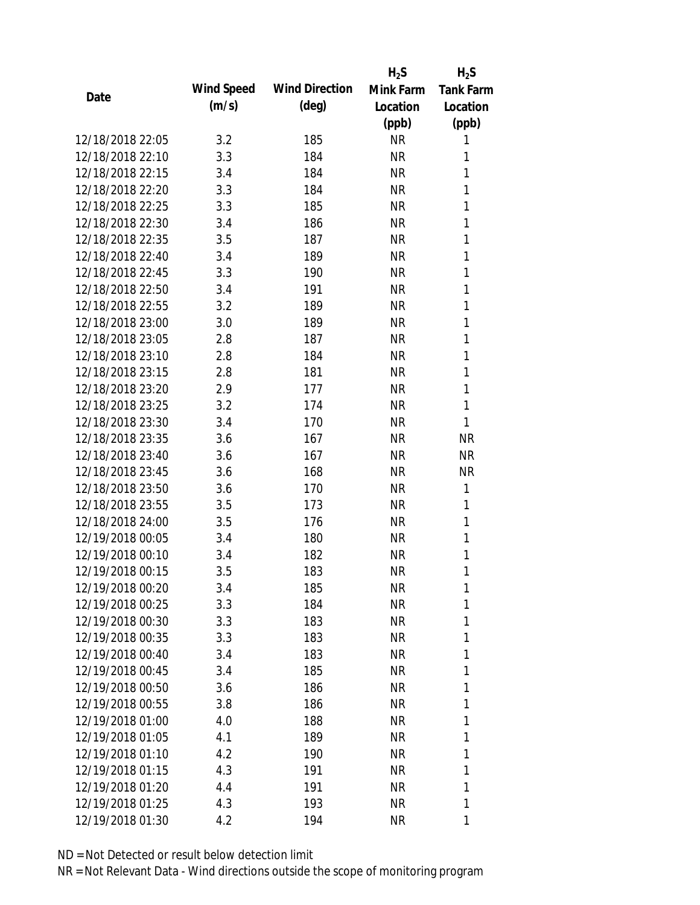|                  |            |                       | $H_2S$    | $H_2S$           |
|------------------|------------|-----------------------|-----------|------------------|
| Date             | Wind Speed | <b>Wind Direction</b> | Mink Farm | <b>Tank Farm</b> |
|                  | (m/s)      | $(\text{deg})$        | Location  | Location         |
|                  |            |                       | (ppb)     | (ppb)            |
| 12/18/2018 22:05 | 3.2        | 185                   | <b>NR</b> | 1                |
| 12/18/2018 22:10 | 3.3        | 184                   | <b>NR</b> | 1                |
| 12/18/2018 22:15 | 3.4        | 184                   | <b>NR</b> | 1                |
| 12/18/2018 22:20 | 3.3        | 184                   | <b>NR</b> | 1                |
| 12/18/2018 22:25 | 3.3        | 185                   | <b>NR</b> | 1                |
| 12/18/2018 22:30 | 3.4        | 186                   | <b>NR</b> | 1                |
| 12/18/2018 22:35 | 3.5        | 187                   | <b>NR</b> | 1                |
| 12/18/2018 22:40 | 3.4        | 189                   | <b>NR</b> | $\mathbf{1}$     |
| 12/18/2018 22:45 | 3.3        | 190                   | <b>NR</b> | 1                |
| 12/18/2018 22:50 | 3.4        | 191                   | <b>NR</b> | 1                |
| 12/18/2018 22:55 | 3.2        | 189                   | <b>NR</b> | $\mathbf{1}$     |
| 12/18/2018 23:00 | 3.0        | 189                   | <b>NR</b> | 1                |
| 12/18/2018 23:05 | 2.8        | 187                   | <b>NR</b> | $\mathbf{1}$     |
| 12/18/2018 23:10 | 2.8        | 184                   | <b>NR</b> | 1                |
| 12/18/2018 23:15 | 2.8        | 181                   | <b>NR</b> | 1                |
| 12/18/2018 23:20 | 2.9        | 177                   | <b>NR</b> | 1                |
| 12/18/2018 23:25 | 3.2        | 174                   | <b>NR</b> | 1                |
| 12/18/2018 23:30 | 3.4        | 170                   | <b>NR</b> | 1                |
| 12/18/2018 23:35 | 3.6        | 167                   | <b>NR</b> | <b>NR</b>        |
| 12/18/2018 23:40 | 3.6        | 167                   | <b>NR</b> | <b>NR</b>        |
| 12/18/2018 23:45 | 3.6        | 168                   | <b>NR</b> | <b>NR</b>        |
| 12/18/2018 23:50 | 3.6        | 170                   | <b>NR</b> | 1                |
| 12/18/2018 23:55 | 3.5        | 173                   | <b>NR</b> | 1                |
| 12/18/2018 24:00 | 3.5        | 176                   | <b>NR</b> | 1                |
| 12/19/2018 00:05 | 3.4        | 180                   | <b>NR</b> | 1                |
| 12/19/2018 00:10 | 3.4        | 182                   | <b>NR</b> | 1                |
| 12/19/2018 00:15 | 3.5        | 183                   | <b>NR</b> | 1                |
| 12/19/2018 00:20 | 3.4        | 185                   | <b>NR</b> | 1                |
| 12/19/2018 00:25 | 3.3        | 184                   | <b>NR</b> | 1                |
| 12/19/2018 00:30 | 3.3        | 183                   | <b>NR</b> | 1                |
| 12/19/2018 00:35 | 3.3        | 183                   | <b>NR</b> | 1                |
| 12/19/2018 00:40 | 3.4        | 183                   | <b>NR</b> | 1                |
| 12/19/2018 00:45 | 3.4        | 185                   | <b>NR</b> | 1                |
| 12/19/2018 00:50 | 3.6        | 186                   | <b>NR</b> | 1                |
| 12/19/2018 00:55 | 3.8        | 186                   | <b>NR</b> | 1                |
| 12/19/2018 01:00 | 4.0        | 188                   | <b>NR</b> | 1                |
| 12/19/2018 01:05 | 4.1        | 189                   | <b>NR</b> | 1                |
| 12/19/2018 01:10 | 4.2        | 190                   | NR        | 1                |
| 12/19/2018 01:15 | 4.3        | 191                   | <b>NR</b> | 1                |
| 12/19/2018 01:20 | 4.4        | 191                   | <b>NR</b> | 1                |
| 12/19/2018 01:25 | 4.3        | 193                   | <b>NR</b> | 1                |
| 12/19/2018 01:30 | 4.2        | 194                   | <b>NR</b> | 1                |
|                  |            |                       |           |                  |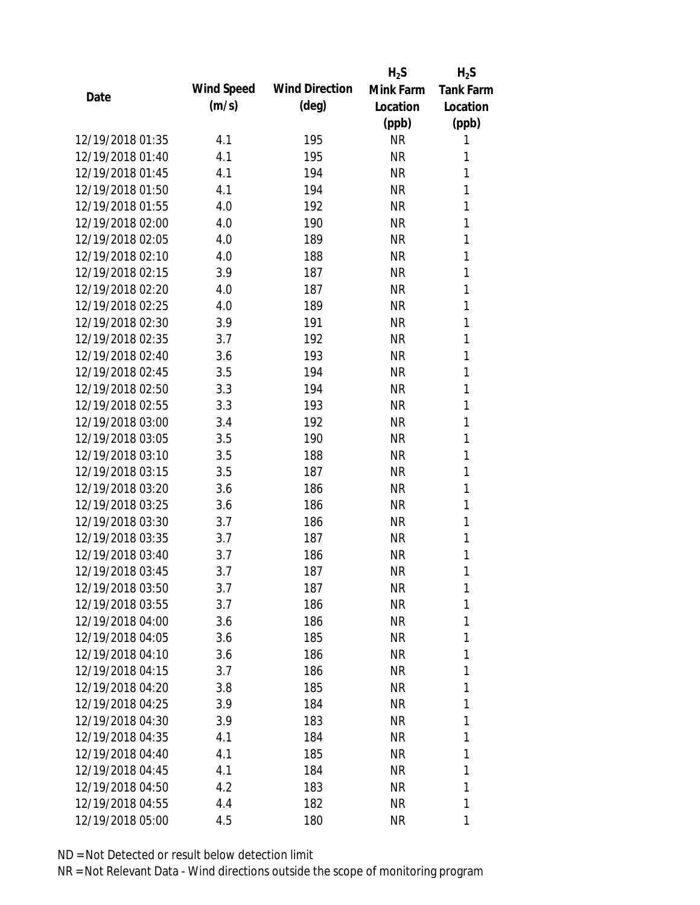|                  |            |                       | $H_2S$    | $H_2S$           |
|------------------|------------|-----------------------|-----------|------------------|
| Date             | Wind Speed | <b>Wind Direction</b> | Mink Farm | <b>Tank Farm</b> |
|                  | (m/s)      | $(\text{deg})$        | Location  | Location         |
|                  |            |                       | (ppb)     | (ppb)            |
| 12/19/2018 01:35 | 4.1        | 195                   | <b>NR</b> | 1                |
| 12/19/2018 01:40 | 4.1        | 195                   | <b>NR</b> | 1                |
| 12/19/2018 01:45 | 4.1        | 194                   | <b>NR</b> | 1                |
| 12/19/2018 01:50 | 4.1        | 194                   | <b>NR</b> | 1                |
| 12/19/2018 01:55 | 4.0        | 192                   | <b>NR</b> | 1                |
| 12/19/2018 02:00 | 4.0        | 190                   | <b>NR</b> | 1                |
| 12/19/2018 02:05 | 4.0        | 189                   | <b>NR</b> | 1                |
| 12/19/2018 02:10 | 4.0        | 188                   | <b>NR</b> | $\mathbf{1}$     |
| 12/19/2018 02:15 | 3.9        | 187                   | <b>NR</b> | 1                |
| 12/19/2018 02:20 | 4.0        | 187                   | <b>NR</b> | 1                |
| 12/19/2018 02:25 | 4.0        | 189                   | <b>NR</b> | $\mathbf{1}$     |
| 12/19/2018 02:30 | 3.9        | 191                   | <b>NR</b> | 1                |
| 12/19/2018 02:35 | 3.7        | 192                   | <b>NR</b> | $\mathbf{1}$     |
| 12/19/2018 02:40 | 3.6        | 193                   | <b>NR</b> | 1                |
| 12/19/2018 02:45 | 3.5        | 194                   | <b>NR</b> | 1                |
| 12/19/2018 02:50 | 3.3        | 194                   | <b>NR</b> | 1                |
| 12/19/2018 02:55 | 3.3        | 193                   | <b>NR</b> | 1                |
| 12/19/2018 03:00 | 3.4        | 192                   | <b>NR</b> | $\mathbf{1}$     |
| 12/19/2018 03:05 | 3.5        | 190                   | <b>NR</b> | 1                |
| 12/19/2018 03:10 | 3.5        | 188                   | <b>NR</b> | 1                |
| 12/19/2018 03:15 | 3.5        | 187                   | <b>NR</b> | 1                |
| 12/19/2018 03:20 | 3.6        | 186                   | <b>NR</b> | 1                |
| 12/19/2018 03:25 | 3.6        | 186                   | <b>NR</b> | 1                |
| 12/19/2018 03:30 | 3.7        | 186                   | <b>NR</b> | 1                |
| 12/19/2018 03:35 | 3.7        | 187                   | <b>NR</b> | 1                |
| 12/19/2018 03:40 | 3.7        | 186                   | <b>NR</b> | 1                |
| 12/19/2018 03:45 | 3.7        | 187                   | <b>NR</b> | 1                |
| 12/19/2018 03:50 | 3.7        | 187                   | <b>NR</b> | 1                |
| 12/19/2018 03:55 | 3.7        | 186                   | <b>NR</b> | 1                |
| 12/19/2018 04:00 | 3.6        | 186                   | <b>NR</b> | 1                |
| 12/19/2018 04:05 | 3.6        | 185                   | <b>NR</b> | 1                |
| 12/19/2018 04:10 | 3.6        | 186                   | <b>NR</b> | 1                |
| 12/19/2018 04:15 | 3.7        | 186                   | <b>NR</b> | 1                |
| 12/19/2018 04:20 | 3.8        | 185                   | <b>NR</b> | 1                |
| 12/19/2018 04:25 | 3.9        | 184                   | <b>NR</b> | 1                |
| 12/19/2018 04:30 | 3.9        | 183                   | <b>NR</b> | 1                |
| 12/19/2018 04:35 | 4.1        | 184                   | <b>NR</b> | 1                |
| 12/19/2018 04:40 | 4.1        | 185                   | NR        | 1                |
| 12/19/2018 04:45 | 4.1        | 184                   | <b>NR</b> | 1                |
| 12/19/2018 04:50 | 4.2        | 183                   | <b>NR</b> | 1                |
| 12/19/2018 04:55 | 4.4        | 182                   | <b>NR</b> | 1                |
| 12/19/2018 05:00 | 4.5        | 180                   | <b>NR</b> | 1                |
|                  |            |                       |           |                  |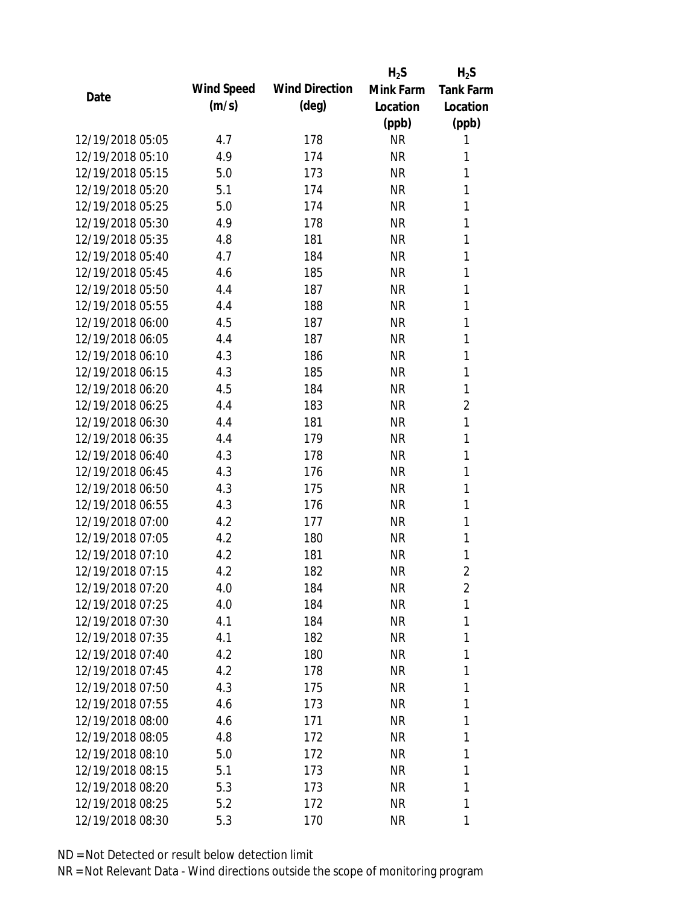|                  |            |                       | $H_2S$    | $H_2S$           |
|------------------|------------|-----------------------|-----------|------------------|
| Date             | Wind Speed | <b>Wind Direction</b> | Mink Farm | <b>Tank Farm</b> |
|                  | (m/s)      | $(\text{deg})$        | Location  | Location         |
|                  |            |                       | (ppb)     | (ppb)            |
| 12/19/2018 05:05 | 4.7        | 178                   | <b>NR</b> | 1                |
| 12/19/2018 05:10 | 4.9        | 174                   | <b>NR</b> | 1                |
| 12/19/2018 05:15 | 5.0        | 173                   | <b>NR</b> | 1                |
| 12/19/2018 05:20 | 5.1        | 174                   | <b>NR</b> | 1                |
| 12/19/2018 05:25 | 5.0        | 174                   | <b>NR</b> | 1                |
| 12/19/2018 05:30 | 4.9        | 178                   | <b>NR</b> | $\mathbf{1}$     |
| 12/19/2018 05:35 | 4.8        | 181                   | <b>NR</b> | 1                |
| 12/19/2018 05:40 | 4.7        | 184                   | <b>NR</b> | $\mathbf{1}$     |
| 12/19/2018 05:45 | 4.6        | 185                   | <b>NR</b> | 1                |
| 12/19/2018 05:50 | 4.4        | 187                   | <b>NR</b> | 1                |
| 12/19/2018 05:55 | 4.4        | 188                   | <b>NR</b> | $\mathbf{1}$     |
| 12/19/2018 06:00 | 4.5        | 187                   | <b>NR</b> | 1                |
| 12/19/2018 06:05 | 4.4        | 187                   | <b>NR</b> | $\mathbf{1}$     |
| 12/19/2018 06:10 | 4.3        | 186                   | <b>NR</b> | 1                |
| 12/19/2018 06:15 | 4.3        | 185                   | <b>NR</b> | 1                |
| 12/19/2018 06:20 | 4.5        | 184                   | <b>NR</b> | 1                |
| 12/19/2018 06:25 | 4.4        | 183                   | <b>NR</b> | 2                |
| 12/19/2018 06:30 | 4.4        | 181                   | <b>NR</b> | $\mathbf{1}$     |
| 12/19/2018 06:35 | 4.4        | 179                   | <b>NR</b> | 1                |
| 12/19/2018 06:40 | 4.3        | 178                   | <b>NR</b> | 1                |
| 12/19/2018 06:45 | 4.3        | 176                   | <b>NR</b> | 1                |
| 12/19/2018 06:50 | 4.3        | 175                   | <b>NR</b> | 1                |
| 12/19/2018 06:55 | 4.3        | 176                   | <b>NR</b> | 1                |
| 12/19/2018 07:00 | 4.2        | 177                   | <b>NR</b> | 1                |
| 12/19/2018 07:05 | 4.2        | 180                   | <b>NR</b> | $\mathbf{1}$     |
| 12/19/2018 07:10 | 4.2        | 181                   | <b>NR</b> | 1                |
| 12/19/2018 07:15 | 4.2        | 182                   | <b>NR</b> | $\overline{2}$   |
| 12/19/2018 07:20 | 4.0        | 184                   | <b>NR</b> | 2                |
| 12/19/2018 07:25 | 4.0        | 184                   | <b>NR</b> | 1                |
| 12/19/2018 07:30 | 4.1        | 184                   | <b>NR</b> | 1                |
| 12/19/2018 07:35 | 4.1        | 182                   | <b>NR</b> | 1                |
| 12/19/2018 07:40 | 4.2        | 180                   | <b>NR</b> | 1                |
| 12/19/2018 07:45 | 4.2        | 178                   | <b>NR</b> | 1                |
| 12/19/2018 07:50 | 4.3        | 175                   | <b>NR</b> | 1                |
| 12/19/2018 07:55 | 4.6        | 173                   | <b>NR</b> | 1                |
| 12/19/2018 08:00 | 4.6        | 171                   | <b>NR</b> | 1                |
| 12/19/2018 08:05 | 4.8        | 172                   | <b>NR</b> | 1                |
| 12/19/2018 08:10 | 5.0        | 172                   | NR        | 1                |
| 12/19/2018 08:15 | 5.1        | 173                   | <b>NR</b> | 1                |
| 12/19/2018 08:20 | 5.3        | 173                   | <b>NR</b> | 1                |
| 12/19/2018 08:25 | 5.2        | 172                   | <b>NR</b> | 1                |
| 12/19/2018 08:30 | 5.3        | 170                   | <b>NR</b> | 1                |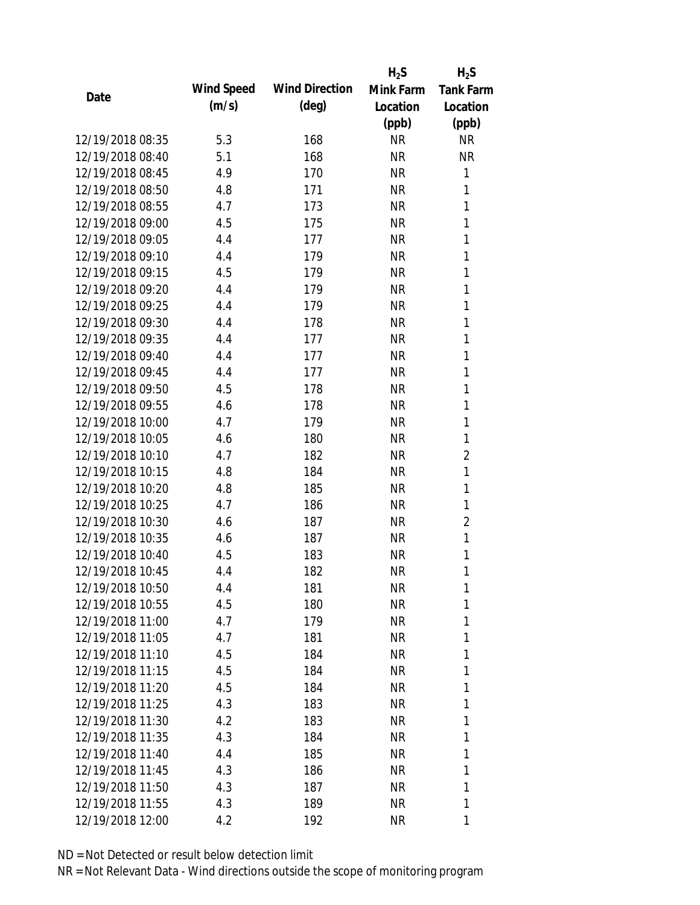|                  |            |                       | $H_2S$    | $H_2S$           |
|------------------|------------|-----------------------|-----------|------------------|
| Date             | Wind Speed | <b>Wind Direction</b> | Mink Farm | <b>Tank Farm</b> |
|                  | (m/s)      | $(\text{deg})$        | Location  | Location         |
|                  |            |                       | (ppb)     | (ppb)            |
| 12/19/2018 08:35 | 5.3        | 168                   | <b>NR</b> | <b>NR</b>        |
| 12/19/2018 08:40 | 5.1        | 168                   | <b>NR</b> | <b>NR</b>        |
| 12/19/2018 08:45 | 4.9        | 170                   | <b>NR</b> | 1                |
| 12/19/2018 08:50 | 4.8        | 171                   | <b>NR</b> | 1                |
| 12/19/2018 08:55 | 4.7        | 173                   | <b>NR</b> | 1                |
| 12/19/2018 09:00 | 4.5        | 175                   | <b>NR</b> | 1                |
| 12/19/2018 09:05 | 4.4        | 177                   | <b>NR</b> | 1                |
| 12/19/2018 09:10 | 4.4        | 179                   | <b>NR</b> | 1                |
| 12/19/2018 09:15 | 4.5        | 179                   | <b>NR</b> | 1                |
| 12/19/2018 09:20 | 4.4        | 179                   | <b>NR</b> | 1                |
| 12/19/2018 09:25 | 4.4        | 179                   | <b>NR</b> | 1                |
| 12/19/2018 09:30 | 4.4        | 178                   | <b>NR</b> | 1                |
| 12/19/2018 09:35 | 4.4        | 177                   | <b>NR</b> | 1                |
| 12/19/2018 09:40 | 4.4        | 177                   | <b>NR</b> | 1                |
| 12/19/2018 09:45 | 4.4        | 177                   | <b>NR</b> | 1                |
| 12/19/2018 09:50 | 4.5        | 178                   | <b>NR</b> | 1                |
| 12/19/2018 09:55 | 4.6        | 178                   | <b>NR</b> | 1                |
| 12/19/2018 10:00 | 4.7        | 179                   | <b>NR</b> | 1                |
| 12/19/2018 10:05 | 4.6        | 180                   | <b>NR</b> | $\mathbf{1}$     |
| 12/19/2018 10:10 | 4.7        | 182                   | <b>NR</b> | $\overline{c}$   |
| 12/19/2018 10:15 | 4.8        | 184                   | <b>NR</b> | $\mathbf{1}$     |
| 12/19/2018 10:20 | 4.8        | 185                   | <b>NR</b> | 1                |
| 12/19/2018 10:25 | 4.7        | 186                   | <b>NR</b> | 1                |
| 12/19/2018 10:30 | 4.6        | 187                   | <b>NR</b> | $\overline{2}$   |
| 12/19/2018 10:35 | 4.6        | 187                   | <b>NR</b> | $\mathbf{1}$     |
| 12/19/2018 10:40 | 4.5        | 183                   | <b>NR</b> | 1                |
| 12/19/2018 10:45 | 4.4        | 182                   | <b>NR</b> | 1                |
| 12/19/2018 10:50 | 4.4        | 181                   | <b>NR</b> | 1                |
| 12/19/2018 10:55 | 4.5        | 180                   | <b>NR</b> | 1                |
| 12/19/2018 11:00 | 4.7        | 179                   | NR        | 1                |
| 12/19/2018 11:05 | 4.7        | 181                   | NR        | 1                |
| 12/19/2018 11:10 | 4.5        | 184                   | NR        | 1                |
| 12/19/2018 11:15 | 4.5        | 184                   | NR        | 1                |
| 12/19/2018 11:20 | 4.5        | 184                   | <b>NR</b> | 1                |
| 12/19/2018 11:25 | 4.3        | 183                   | <b>NR</b> | 1                |
| 12/19/2018 11:30 | 4.2        | 183                   | NR        | 1                |
| 12/19/2018 11:35 | 4.3        | 184                   | NR        | 1                |
| 12/19/2018 11:40 | 4.4        | 185                   | NR        | 1                |
| 12/19/2018 11:45 | 4.3        | 186                   | NR        | 1                |
| 12/19/2018 11:50 | 4.3        | 187                   | <b>NR</b> | 1                |
| 12/19/2018 11:55 | 4.3        | 189                   | <b>NR</b> | 1                |
| 12/19/2018 12:00 | 4.2        | 192                   | <b>NR</b> | 1                |
|                  |            |                       |           |                  |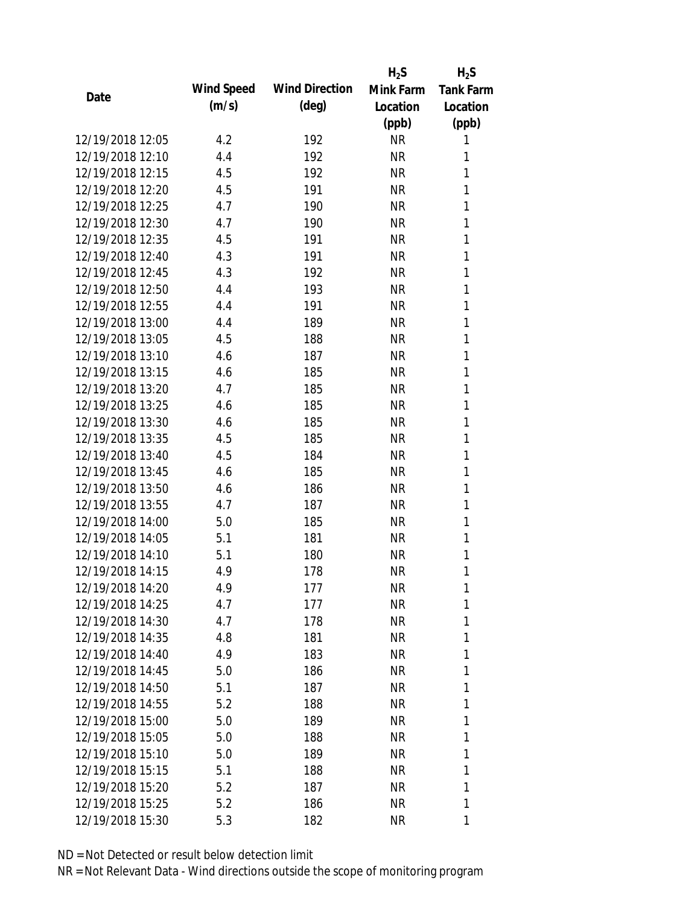|                  |            |                       | $H_2S$    | $H_2S$           |
|------------------|------------|-----------------------|-----------|------------------|
| Date             | Wind Speed | <b>Wind Direction</b> | Mink Farm | <b>Tank Farm</b> |
|                  | (m/s)      | $(\text{deg})$        | Location  | Location         |
|                  |            |                       | (ppb)     | (ppb)            |
| 12/19/2018 12:05 | 4.2        | 192                   | <b>NR</b> | 1                |
| 12/19/2018 12:10 | 4.4        | 192                   | <b>NR</b> | 1                |
| 12/19/2018 12:15 | 4.5        | 192                   | <b>NR</b> | 1                |
| 12/19/2018 12:20 | 4.5        | 191                   | <b>NR</b> | 1                |
| 12/19/2018 12:25 | 4.7        | 190                   | <b>NR</b> | 1                |
| 12/19/2018 12:30 | 4.7        | 190                   | <b>NR</b> | 1                |
| 12/19/2018 12:35 | 4.5        | 191                   | <b>NR</b> | 1                |
| 12/19/2018 12:40 | 4.3        | 191                   | <b>NR</b> | 1                |
| 12/19/2018 12:45 | 4.3        | 192                   | <b>NR</b> | 1                |
| 12/19/2018 12:50 | 4.4        | 193                   | <b>NR</b> | 1                |
| 12/19/2018 12:55 | 4.4        | 191                   | <b>NR</b> | 1                |
| 12/19/2018 13:00 | 4.4        | 189                   | <b>NR</b> | 1                |
| 12/19/2018 13:05 | 4.5        | 188                   | <b>NR</b> | 1                |
| 12/19/2018 13:10 | 4.6        | 187                   | <b>NR</b> | 1                |
| 12/19/2018 13:15 | 4.6        | 185                   | <b>NR</b> | 1                |
| 12/19/2018 13:20 | 4.7        | 185                   | <b>NR</b> | 1                |
| 12/19/2018 13:25 | 4.6        | 185                   | <b>NR</b> | 1                |
| 12/19/2018 13:30 | 4.6        | 185                   | <b>NR</b> | 1                |
| 12/19/2018 13:35 | 4.5        | 185                   | <b>NR</b> | 1                |
| 12/19/2018 13:40 | 4.5        | 184                   | NR        | 1                |
| 12/19/2018 13:45 | 4.6        | 185                   | <b>NR</b> | 1                |
| 12/19/2018 13:50 | 4.6        | 186                   | <b>NR</b> | 1                |
| 12/19/2018 13:55 | 4.7        | 187                   | <b>NR</b> | 1                |
| 12/19/2018 14:00 | 5.0        | 185                   | <b>NR</b> | 1                |
| 12/19/2018 14:05 | 5.1        | 181                   | <b>NR</b> | 1                |
| 12/19/2018 14:10 | 5.1        | 180                   | <b>NR</b> | 1                |
| 12/19/2018 14:15 | 4.9        | 178                   | <b>NR</b> | 1                |
| 12/19/2018 14:20 | 4.9        | 177                   | <b>NR</b> | 1                |
| 12/19/2018 14:25 | 4.7        | 177                   | <b>NR</b> | 1                |
| 12/19/2018 14:30 | 4.7        | 178                   | NR        | 1                |
| 12/19/2018 14:35 | 4.8        | 181                   | NR        | 1                |
| 12/19/2018 14:40 | 4.9        | 183                   | NR        | 1                |
| 12/19/2018 14:45 | 5.0        | 186                   | NR        | 1                |
| 12/19/2018 14:50 | 5.1        | 187                   | <b>NR</b> | 1                |
| 12/19/2018 14:55 | 5.2        | 188                   | NR        | 1                |
| 12/19/2018 15:00 | 5.0        | 189                   | NR        | 1                |
| 12/19/2018 15:05 | 5.0        | 188                   | NR        | 1                |
| 12/19/2018 15:10 | 5.0        | 189                   | NR        | 1                |
| 12/19/2018 15:15 | 5.1        | 188                   | NR        | 1                |
| 12/19/2018 15:20 | 5.2        | 187                   | <b>NR</b> | 1                |
| 12/19/2018 15:25 | 5.2        | 186                   | <b>NR</b> | 1                |
| 12/19/2018 15:30 | 5.3        | 182                   | <b>NR</b> | 1                |
|                  |            |                       |           |                  |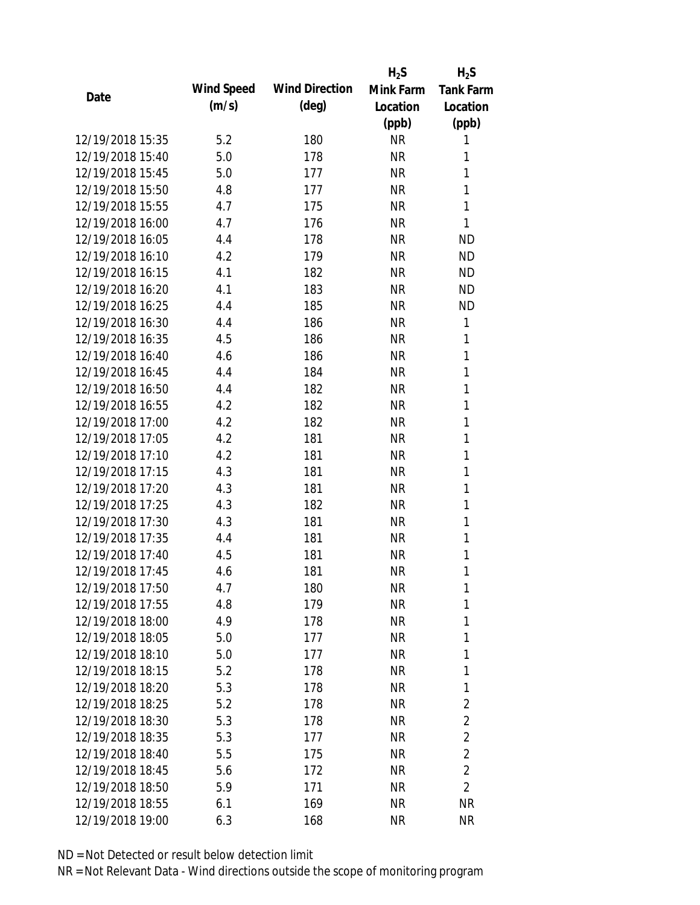|                  |            |                       | $H_2S$    | $H_2S$           |
|------------------|------------|-----------------------|-----------|------------------|
| Date             | Wind Speed | <b>Wind Direction</b> | Mink Farm | <b>Tank Farm</b> |
|                  | (m/s)      | $(\text{deg})$        | Location  | Location         |
|                  |            |                       | (ppb)     | (ppb)            |
| 12/19/2018 15:35 | 5.2        | 180                   | <b>NR</b> | 1                |
| 12/19/2018 15:40 | 5.0        | 178                   | <b>NR</b> | 1                |
| 12/19/2018 15:45 | 5.0        | 177                   | <b>NR</b> | 1                |
| 12/19/2018 15:50 | 4.8        | 177                   | <b>NR</b> | 1                |
| 12/19/2018 15:55 | 4.7        | 175                   | <b>NR</b> | $\mathbf{1}$     |
| 12/19/2018 16:00 | 4.7        | 176                   | <b>NR</b> | 1                |
| 12/19/2018 16:05 | 4.4        | 178                   | <b>NR</b> | <b>ND</b>        |
| 12/19/2018 16:10 | 4.2        | 179                   | <b>NR</b> | <b>ND</b>        |
| 12/19/2018 16:15 | 4.1        | 182                   | <b>NR</b> | <b>ND</b>        |
| 12/19/2018 16:20 | 4.1        | 183                   | <b>NR</b> | <b>ND</b>        |
| 12/19/2018 16:25 | 4.4        | 185                   | <b>NR</b> | <b>ND</b>        |
| 12/19/2018 16:30 | 4.4        | 186                   | <b>NR</b> | 1                |
| 12/19/2018 16:35 | 4.5        | 186                   | <b>NR</b> | 1                |
| 12/19/2018 16:40 | 4.6        | 186                   | <b>NR</b> | 1                |
| 12/19/2018 16:45 | 4.4        | 184                   | <b>NR</b> | $\mathbf{1}$     |
| 12/19/2018 16:50 | 4.4        | 182                   | <b>NR</b> | 1                |
| 12/19/2018 16:55 | 4.2        | 182                   | <b>NR</b> | 1                |
| 12/19/2018 17:00 | 4.2        | 182                   | <b>NR</b> | 1                |
| 12/19/2018 17:05 | 4.2        | 181                   | <b>NR</b> | $\mathbf{1}$     |
| 12/19/2018 17:10 | 4.2        | 181                   | <b>NR</b> | 1                |
| 12/19/2018 17:15 | 4.3        | 181                   | <b>NR</b> | 1                |
| 12/19/2018 17:20 | 4.3        | 181                   | <b>NR</b> | 1                |
| 12/19/2018 17:25 | 4.3        | 182                   | <b>NR</b> | 1                |
| 12/19/2018 17:30 | 4.3        | 181                   | <b>NR</b> | 1                |
| 12/19/2018 17:35 | 4.4        | 181                   | <b>NR</b> | 1                |
| 12/19/2018 17:40 | 4.5        | 181                   | <b>NR</b> | 1                |
| 12/19/2018 17:45 | 4.6        | 181                   | <b>NR</b> | 1                |
| 12/19/2018 17:50 | 4.7        | 180                   | <b>NR</b> | 1                |
| 12/19/2018 17:55 | 4.8        | 179                   | <b>NR</b> | 1                |
| 12/19/2018 18:00 | 4.9        | 178                   | <b>NR</b> | 1                |
| 12/19/2018 18:05 | 5.0        | 177                   | <b>NR</b> | 1                |
| 12/19/2018 18:10 | 5.0        | 177                   | <b>NR</b> | 1                |
| 12/19/2018 18:15 | 5.2        | 178                   | <b>NR</b> | 1                |
| 12/19/2018 18:20 | 5.3        | 178                   | <b>NR</b> | 1                |
| 12/19/2018 18:25 | 5.2        | 178                   | <b>NR</b> | $\overline{2}$   |
| 12/19/2018 18:30 | 5.3        | 178                   | <b>NR</b> | 2                |
| 12/19/2018 18:35 | 5.3        | 177                   | <b>NR</b> | $\overline{2}$   |
| 12/19/2018 18:40 | 5.5        | 175                   | <b>NR</b> | $\overline{2}$   |
| 12/19/2018 18:45 | 5.6        | 172                   | <b>NR</b> | $\overline{2}$   |
| 12/19/2018 18:50 | 5.9        | 171                   | <b>NR</b> | $\overline{2}$   |
| 12/19/2018 18:55 | 6.1        | 169                   | <b>NR</b> | <b>NR</b>        |
| 12/19/2018 19:00 | 6.3        | 168                   | <b>NR</b> | <b>NR</b>        |
|                  |            |                       |           |                  |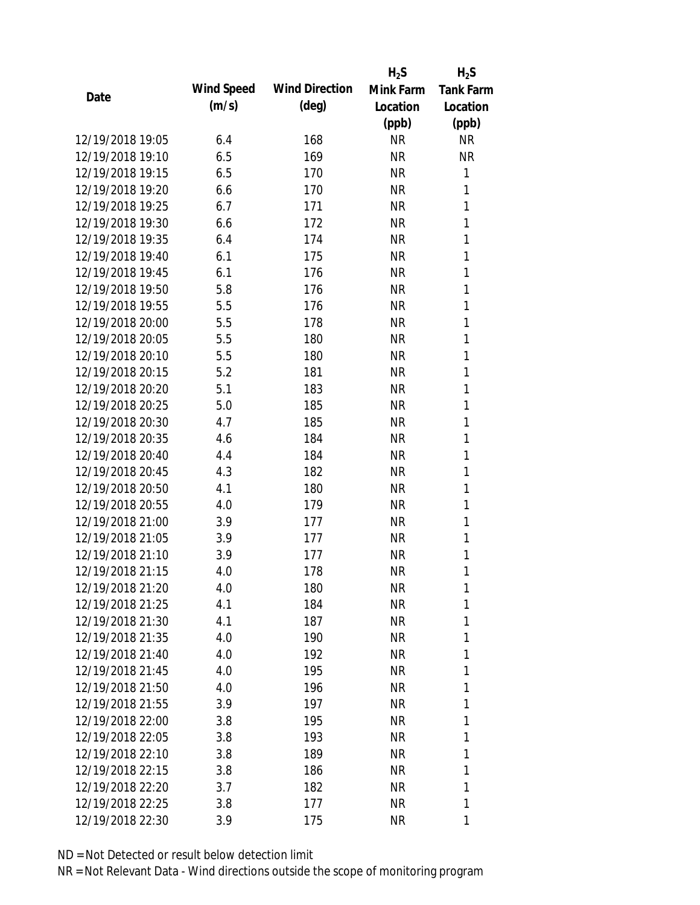|                  |            |                       | $H_2S$    | $H_2S$           |
|------------------|------------|-----------------------|-----------|------------------|
| Date             | Wind Speed | <b>Wind Direction</b> | Mink Farm | <b>Tank Farm</b> |
|                  | (m/s)      | $(\text{deg})$        | Location  | Location         |
|                  |            |                       | (ppb)     | (ppb)            |
| 12/19/2018 19:05 | 6.4        | 168                   | <b>NR</b> | <b>NR</b>        |
| 12/19/2018 19:10 | 6.5        | 169                   | <b>NR</b> | <b>NR</b>        |
| 12/19/2018 19:15 | 6.5        | 170                   | <b>NR</b> | 1                |
| 12/19/2018 19:20 | 6.6        | 170                   | <b>NR</b> | 1                |
| 12/19/2018 19:25 | 6.7        | 171                   | <b>NR</b> | 1                |
| 12/19/2018 19:30 | 6.6        | 172                   | <b>NR</b> | 1                |
| 12/19/2018 19:35 | 6.4        | 174                   | <b>NR</b> | 1                |
| 12/19/2018 19:40 | 6.1        | 175                   | <b>NR</b> | 1                |
| 12/19/2018 19:45 | 6.1        | 176                   | <b>NR</b> | 1                |
| 12/19/2018 19:50 | 5.8        | 176                   | <b>NR</b> | 1                |
| 12/19/2018 19:55 | 5.5        | 176                   | <b>NR</b> | 1                |
| 12/19/2018 20:00 | 5.5        | 178                   | <b>NR</b> | 1                |
| 12/19/2018 20:05 | 5.5        | 180                   | <b>NR</b> | 1                |
| 12/19/2018 20:10 | 5.5        | 180                   | <b>NR</b> | 1                |
| 12/19/2018 20:15 | 5.2        | 181                   | <b>NR</b> | 1                |
| 12/19/2018 20:20 | 5.1        | 183                   | <b>NR</b> | 1                |
| 12/19/2018 20:25 | 5.0        | 185                   | <b>NR</b> | 1                |
| 12/19/2018 20:30 | 4.7        | 185                   | <b>NR</b> | 1                |
| 12/19/2018 20:35 | 4.6        | 184                   | <b>NR</b> | 1                |
| 12/19/2018 20:40 | 4.4        | 184                   | <b>NR</b> | 1                |
| 12/19/2018 20:45 | 4.3        | 182                   | <b>NR</b> | 1                |
| 12/19/2018 20:50 | 4.1        | 180                   | <b>NR</b> | 1                |
| 12/19/2018 20:55 | 4.0        | 179                   | <b>NR</b> | 1                |
| 12/19/2018 21:00 | 3.9        | 177                   | <b>NR</b> | 1                |
| 12/19/2018 21:05 | 3.9        | 177                   | <b>NR</b> | 1                |
| 12/19/2018 21:10 | 3.9        | 177                   | <b>NR</b> | 1                |
| 12/19/2018 21:15 | 4.0        | 178                   | <b>NR</b> | 1                |
| 12/19/2018 21:20 | 4.0        | 180                   | <b>NR</b> | 1                |
| 12/19/2018 21:25 | 4.1        | 184                   | <b>NR</b> | 1                |
| 12/19/2018 21:30 | 4.1        | 187                   | NR        | 1                |
| 12/19/2018 21:35 | 4.0        | 190                   | NR        | 1                |
| 12/19/2018 21:40 | 4.0        | 192                   | NR        | 1                |
| 12/19/2018 21:45 | 4.0        | 195                   | NR        | 1                |
| 12/19/2018 21:50 | 4.0        | 196                   | <b>NR</b> | 1                |
| 12/19/2018 21:55 | 3.9        | 197                   | <b>NR</b> | 1                |
| 12/19/2018 22:00 | 3.8        | 195                   | NR        | 1                |
| 12/19/2018 22:05 | 3.8        | 193                   | NR        | 1                |
| 12/19/2018 22:10 | 3.8        | 189                   | NR        | 1                |
| 12/19/2018 22:15 | 3.8        | 186                   | NR        | 1                |
| 12/19/2018 22:20 | 3.7        | 182                   | <b>NR</b> | 1                |
| 12/19/2018 22:25 | 3.8        | 177                   | <b>NR</b> | 1                |
| 12/19/2018 22:30 | 3.9        | 175                   | <b>NR</b> | 1                |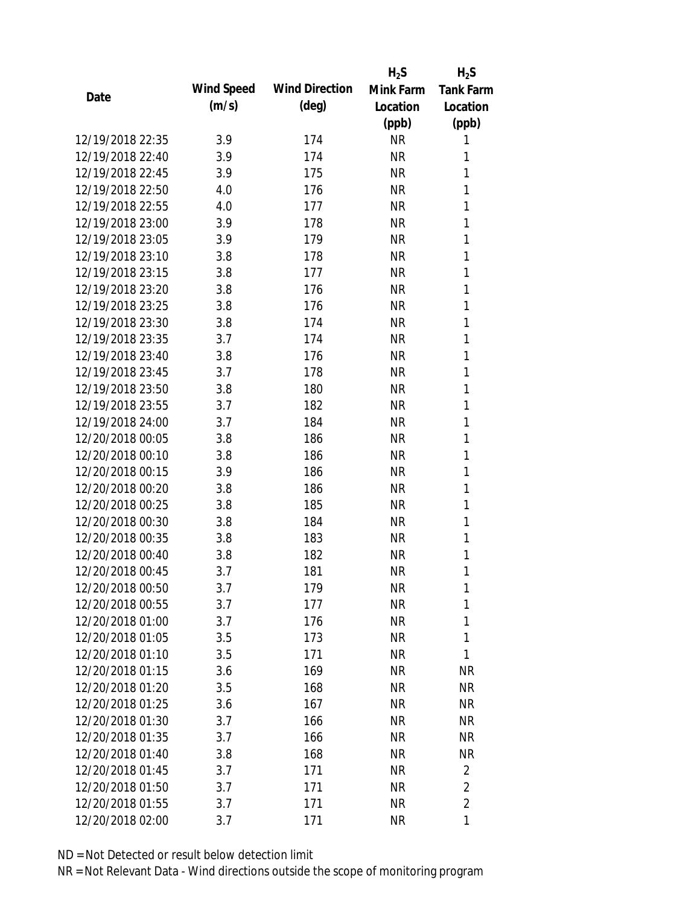|                  |            |                       | $H_2S$    | $H_2S$           |
|------------------|------------|-----------------------|-----------|------------------|
| Date             | Wind Speed | <b>Wind Direction</b> | Mink Farm | <b>Tank Farm</b> |
|                  | (m/s)      | $(\text{deg})$        | Location  | Location         |
|                  |            |                       | (ppb)     | (ppb)            |
| 12/19/2018 22:35 | 3.9        | 174                   | <b>NR</b> | 1                |
| 12/19/2018 22:40 | 3.9        | 174                   | <b>NR</b> | 1                |
| 12/19/2018 22:45 | 3.9        | 175                   | <b>NR</b> | 1                |
| 12/19/2018 22:50 | 4.0        | 176                   | <b>NR</b> | 1                |
| 12/19/2018 22:55 | 4.0        | 177                   | <b>NR</b> | 1                |
| 12/19/2018 23:00 | 3.9        | 178                   | <b>NR</b> | 1                |
| 12/19/2018 23:05 | 3.9        | 179                   | <b>NR</b> | 1                |
| 12/19/2018 23:10 | 3.8        | 178                   | <b>NR</b> | 1                |
| 12/19/2018 23:15 | 3.8        | 177                   | <b>NR</b> | 1                |
| 12/19/2018 23:20 | 3.8        | 176                   | <b>NR</b> | 1                |
| 12/19/2018 23:25 | 3.8        | 176                   | <b>NR</b> | 1                |
| 12/19/2018 23:30 | 3.8        | 174                   | <b>NR</b> | 1                |
| 12/19/2018 23:35 | 3.7        | 174                   | <b>NR</b> | 1                |
| 12/19/2018 23:40 | 3.8        | 176                   | <b>NR</b> | 1                |
| 12/19/2018 23:45 | 3.7        | 178                   | <b>NR</b> | 1                |
| 12/19/2018 23:50 | 3.8        | 180                   | <b>NR</b> | 1                |
| 12/19/2018 23:55 | 3.7        | 182                   | <b>NR</b> | 1                |
| 12/19/2018 24:00 | 3.7        | 184                   | <b>NR</b> | 1                |
| 12/20/2018 00:05 | 3.8        | 186                   | <b>NR</b> | 1                |
| 12/20/2018 00:10 | 3.8        | 186                   | <b>NR</b> | 1                |
| 12/20/2018 00:15 | 3.9        | 186                   | <b>NR</b> | 1                |
| 12/20/2018 00:20 | 3.8        | 186                   | <b>NR</b> | 1                |
| 12/20/2018 00:25 | 3.8        | 185                   | <b>NR</b> | 1                |
| 12/20/2018 00:30 | 3.8        | 184                   | <b>NR</b> | 1                |
| 12/20/2018 00:35 | 3.8        | 183                   | <b>NR</b> | 1                |
| 12/20/2018 00:40 | 3.8        | 182                   | <b>NR</b> | 1                |
| 12/20/2018 00:45 | 3.7        | 181                   | <b>NR</b> | 1                |
| 12/20/2018 00:50 | 3.7        | 179                   | <b>NR</b> | 1                |
| 12/20/2018 00:55 | 3.7        | 177                   | <b>NR</b> | 1                |
| 12/20/2018 01:00 | 3.7        | 176                   | <b>NR</b> | 1                |
| 12/20/2018 01:05 | 3.5        | 173                   | <b>NR</b> | 1                |
| 12/20/2018 01:10 | 3.5        | 171                   | <b>NR</b> | 1                |
| 12/20/2018 01:15 | 3.6        | 169                   | <b>NR</b> | <b>NR</b>        |
| 12/20/2018 01:20 | 3.5        | 168                   | <b>NR</b> | <b>NR</b>        |
| 12/20/2018 01:25 | 3.6        | 167                   | <b>NR</b> | NR               |
| 12/20/2018 01:30 | 3.7        | 166                   | <b>NR</b> | <b>NR</b>        |
| 12/20/2018 01:35 | 3.7        | 166                   | <b>NR</b> | NR               |
| 12/20/2018 01:40 |            | 168                   | <b>NR</b> | <b>NR</b>        |
| 12/20/2018 01:45 | 3.8<br>3.7 |                       | <b>NR</b> | $\overline{2}$   |
| 12/20/2018 01:50 |            | 171                   |           | $\overline{2}$   |
|                  | 3.7        | 171                   | <b>NR</b> | $\overline{2}$   |
| 12/20/2018 01:55 | 3.7        | 171                   | <b>NR</b> |                  |
| 12/20/2018 02:00 | 3.7        | 171                   | <b>NR</b> | 1                |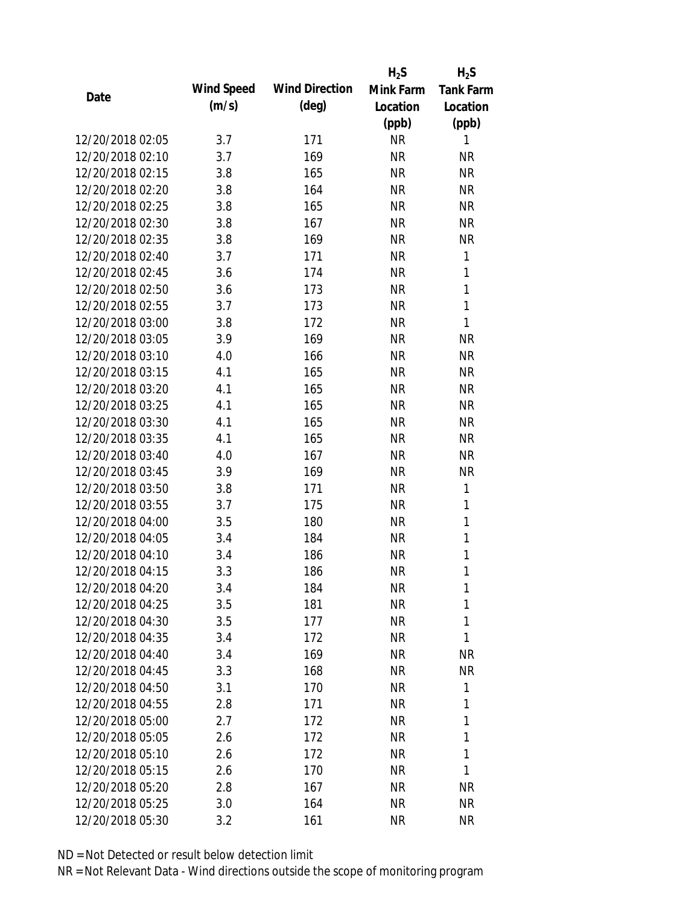|                  |            |                       | $H_2S$    | $H_2S$           |
|------------------|------------|-----------------------|-----------|------------------|
|                  | Wind Speed | <b>Wind Direction</b> | Mink Farm | <b>Tank Farm</b> |
| Date             | (m/s)      | $(\text{deg})$        | Location  | Location         |
|                  |            |                       | (ppb)     | (ppb)            |
| 12/20/2018 02:05 | 3.7        | 171                   | <b>NR</b> | 1                |
| 12/20/2018 02:10 | 3.7        | 169                   | <b>NR</b> | NR               |
| 12/20/2018 02:15 | 3.8        | 165                   | <b>NR</b> | <b>NR</b>        |
| 12/20/2018 02:20 | 3.8        | 164                   | <b>NR</b> | <b>NR</b>        |
| 12/20/2018 02:25 | 3.8        | 165                   | <b>NR</b> | <b>NR</b>        |
| 12/20/2018 02:30 | 3.8        | 167                   | <b>NR</b> | <b>NR</b>        |
| 12/20/2018 02:35 | 3.8        | 169                   | <b>NR</b> | <b>NR</b>        |
| 12/20/2018 02:40 | 3.7        | 171                   | <b>NR</b> | 1                |
| 12/20/2018 02:45 | 3.6        | 174                   | <b>NR</b> | 1                |
| 12/20/2018 02:50 | 3.6        | 173                   | <b>NR</b> | $\mathbf{1}$     |
| 12/20/2018 02:55 | 3.7        | 173                   | <b>NR</b> | $\mathbf{1}$     |
| 12/20/2018 03:00 | 3.8        | 172                   | <b>NR</b> | 1                |
| 12/20/2018 03:05 | 3.9        | 169                   | <b>NR</b> | <b>NR</b>        |
| 12/20/2018 03:10 | 4.0        | 166                   | <b>NR</b> | <b>NR</b>        |
| 12/20/2018 03:15 | 4.1        | 165                   | <b>NR</b> | <b>NR</b>        |
| 12/20/2018 03:20 | 4.1        | 165                   | <b>NR</b> | <b>NR</b>        |
| 12/20/2018 03:25 | 4.1        | 165                   | <b>NR</b> | <b>NR</b>        |
| 12/20/2018 03:30 | 4.1        | 165                   | <b>NR</b> | <b>NR</b>        |
| 12/20/2018 03:35 | 4.1        | 165                   | <b>NR</b> | <b>NR</b>        |
| 12/20/2018 03:40 | 4.0        | 167                   | <b>NR</b> | <b>NR</b>        |
| 12/20/2018 03:45 | 3.9        | 169                   | <b>NR</b> | <b>NR</b>        |
| 12/20/2018 03:50 | 3.8        | 171                   | <b>NR</b> | 1                |
| 12/20/2018 03:55 | 3.7        | 175                   | <b>NR</b> | 1                |
| 12/20/2018 04:00 | 3.5        | 180                   | <b>NR</b> | $\mathbf{1}$     |
| 12/20/2018 04:05 | 3.4        | 184                   | <b>NR</b> | 1                |
| 12/20/2018 04:10 | 3.4        | 186                   | <b>NR</b> | $\mathbf{1}$     |
| 12/20/2018 04:15 | 3.3        | 186                   | <b>NR</b> | 1                |
| 12/20/2018 04:20 | 3.4        | 184                   | <b>NR</b> | 1                |
| 12/20/2018 04:25 | 3.5        | 181                   | <b>NR</b> | 1                |
| 12/20/2018 04:30 | 3.5        | 177                   | <b>NR</b> | 1                |
| 12/20/2018 04:35 | 3.4        | 172                   | <b>NR</b> | 1                |
| 12/20/2018 04:40 | 3.4        | 169                   | <b>NR</b> | <b>NR</b>        |
| 12/20/2018 04:45 | 3.3        | 168                   | <b>NR</b> | <b>NR</b>        |
| 12/20/2018 04:50 | 3.1        | 170                   | <b>NR</b> | 1                |
| 12/20/2018 04:55 | 2.8        | 171                   | <b>NR</b> | 1                |
| 12/20/2018 05:00 | 2.7        | 172                   | <b>NR</b> | 1                |
| 12/20/2018 05:05 | 2.6        | 172                   | <b>NR</b> | 1                |
| 12/20/2018 05:10 | 2.6        | 172                   | <b>NR</b> | 1                |
| 12/20/2018 05:15 | 2.6        | 170                   | <b>NR</b> | 1                |
| 12/20/2018 05:20 | 2.8        | 167                   | <b>NR</b> | <b>NR</b>        |
| 12/20/2018 05:25 | 3.0        | 164                   | <b>NR</b> | <b>NR</b>        |
| 12/20/2018 05:30 | 3.2        | 161                   | <b>NR</b> | <b>NR</b>        |
|                  |            |                       |           |                  |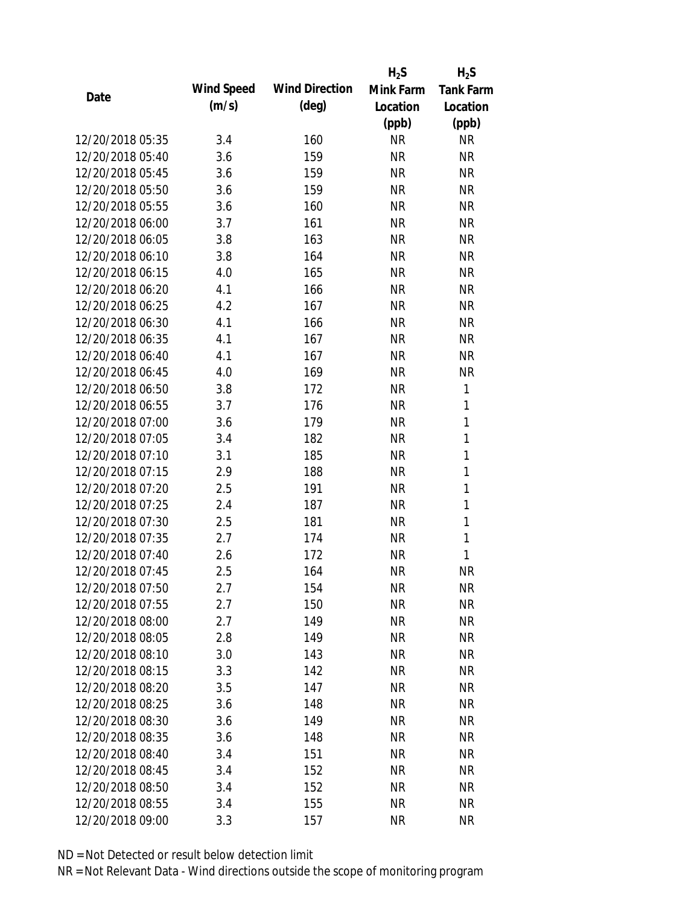|                  |            |                       | $H_2S$    | $H_2S$           |
|------------------|------------|-----------------------|-----------|------------------|
| Date             | Wind Speed | <b>Wind Direction</b> | Mink Farm | <b>Tank Farm</b> |
|                  | (m/s)      | $(\text{deg})$        | Location  | Location         |
|                  |            |                       | (ppb)     | (ppb)            |
| 12/20/2018 05:35 | 3.4        | 160                   | <b>NR</b> | NR               |
| 12/20/2018 05:40 | 3.6        | 159                   | <b>NR</b> | <b>NR</b>        |
| 12/20/2018 05:45 | 3.6        | 159                   | <b>NR</b> | <b>NR</b>        |
| 12/20/2018 05:50 | 3.6        | 159                   | <b>NR</b> | <b>NR</b>        |
| 12/20/2018 05:55 | 3.6        | 160                   | <b>NR</b> | <b>NR</b>        |
| 12/20/2018 06:00 | 3.7        | 161                   | <b>NR</b> | <b>NR</b>        |
| 12/20/2018 06:05 | 3.8        | 163                   | <b>NR</b> | <b>NR</b>        |
| 12/20/2018 06:10 | 3.8        | 164                   | <b>NR</b> | <b>NR</b>        |
| 12/20/2018 06:15 | 4.0        | 165                   | <b>NR</b> | <b>NR</b>        |
| 12/20/2018 06:20 | 4.1        | 166                   | <b>NR</b> | <b>NR</b>        |
| 12/20/2018 06:25 | 4.2        | 167                   | <b>NR</b> | <b>NR</b>        |
| 12/20/2018 06:30 | 4.1        | 166                   | <b>NR</b> | <b>NR</b>        |
| 12/20/2018 06:35 | 4.1        | 167                   | <b>NR</b> | <b>NR</b>        |
| 12/20/2018 06:40 | 4.1        | 167                   | <b>NR</b> | <b>NR</b>        |
| 12/20/2018 06:45 | 4.0        | 169                   | <b>NR</b> | <b>NR</b>        |
| 12/20/2018 06:50 | 3.8        | 172                   | <b>NR</b> | 1                |
| 12/20/2018 06:55 | 3.7        | 176                   | <b>NR</b> | 1                |
| 12/20/2018 07:00 | 3.6        | 179                   | <b>NR</b> | $\mathbf{1}$     |
| 12/20/2018 07:05 | 3.4        | 182                   | <b>NR</b> | $\mathbf{1}$     |
| 12/20/2018 07:10 | 3.1        | 185                   | <b>NR</b> | 1                |
| 12/20/2018 07:15 | 2.9        | 188                   | <b>NR</b> | $\mathbf{1}$     |
| 12/20/2018 07:20 | 2.5        | 191                   | <b>NR</b> | $\mathbf{1}$     |
| 12/20/2018 07:25 | 2.4        | 187                   | <b>NR</b> | 1                |
| 12/20/2018 07:30 | 2.5        | 181                   | <b>NR</b> | $\mathbf{1}$     |
| 12/20/2018 07:35 | 2.7        | 174                   | <b>NR</b> | 1                |
| 12/20/2018 07:40 | 2.6        | 172                   | <b>NR</b> | 1                |
| 12/20/2018 07:45 | 2.5        | 164                   | <b>NR</b> | <b>NR</b>        |
| 12/20/2018 07:50 | 2.7        | 154                   | <b>NR</b> | <b>NR</b>        |
| 12/20/2018 07:55 | 2.7        | 150                   | <b>NR</b> | <b>NR</b>        |
| 12/20/2018 08:00 | 2.7        | 149                   | <b>NR</b> | <b>NR</b>        |
| 12/20/2018 08:05 | 2.8        | 149                   | <b>NR</b> | <b>NR</b>        |
| 12/20/2018 08:10 | 3.0        | 143                   | <b>NR</b> | <b>NR</b>        |
| 12/20/2018 08:15 | 3.3        | 142                   | <b>NR</b> | <b>NR</b>        |
| 12/20/2018 08:20 | 3.5        | 147                   | <b>NR</b> | <b>NR</b>        |
| 12/20/2018 08:25 | 3.6        | 148                   | <b>NR</b> | NR               |
| 12/20/2018 08:30 | 3.6        | 149                   | <b>NR</b> | <b>NR</b>        |
| 12/20/2018 08:35 | 3.6        | 148                   | NR        | <b>NR</b>        |
| 12/20/2018 08:40 | 3.4        | 151                   | NR        | <b>NR</b>        |
| 12/20/2018 08:45 | 3.4        | 152                   | <b>NR</b> | NR               |
| 12/20/2018 08:50 | 3.4        | 152                   | <b>NR</b> | <b>NR</b>        |
| 12/20/2018 08:55 | 3.4        | 155                   | <b>NR</b> | <b>NR</b>        |
| 12/20/2018 09:00 | 3.3        | 157                   | <b>NR</b> | <b>NR</b>        |
|                  |            |                       |           |                  |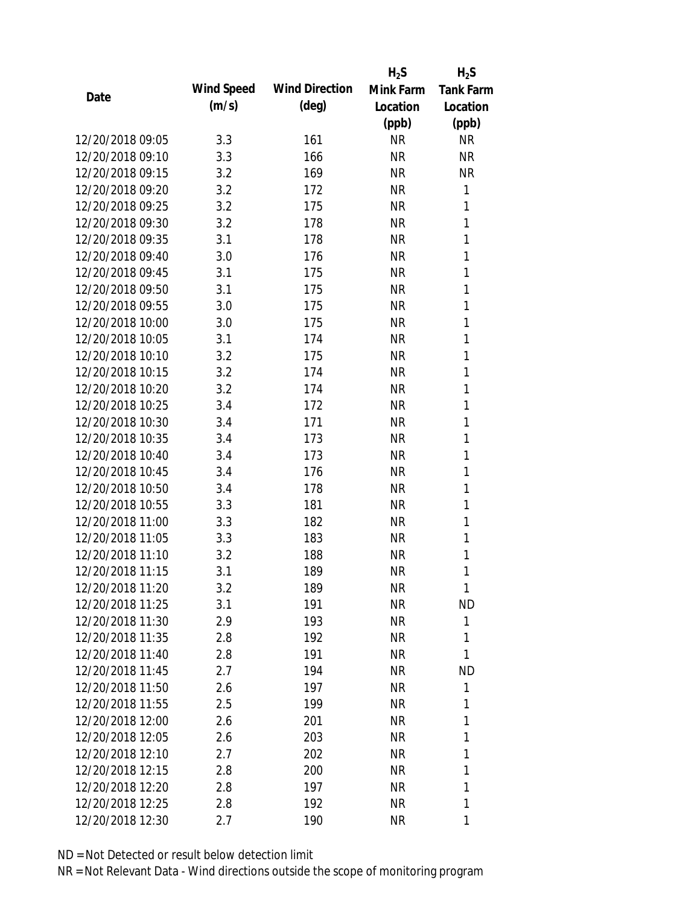|                  |            |                       | $H_2S$    | $H_2S$           |
|------------------|------------|-----------------------|-----------|------------------|
| Date             | Wind Speed | <b>Wind Direction</b> | Mink Farm | <b>Tank Farm</b> |
|                  | (m/s)      | $(\text{deg})$        | Location  | Location         |
|                  |            |                       | (ppb)     | (ppb)            |
| 12/20/2018 09:05 | 3.3        | 161                   | <b>NR</b> | <b>NR</b>        |
| 12/20/2018 09:10 | 3.3        | 166                   | <b>NR</b> | <b>NR</b>        |
| 12/20/2018 09:15 | 3.2        | 169                   | <b>NR</b> | <b>NR</b>        |
| 12/20/2018 09:20 | 3.2        | 172                   | <b>NR</b> | 1                |
| 12/20/2018 09:25 | 3.2        | 175                   | <b>NR</b> | 1                |
| 12/20/2018 09:30 | 3.2        | 178                   | <b>NR</b> | 1                |
| 12/20/2018 09:35 | 3.1        | 178                   | <b>NR</b> | 1                |
| 12/20/2018 09:40 | 3.0        | 176                   | <b>NR</b> | 1                |
| 12/20/2018 09:45 | 3.1        | 175                   | <b>NR</b> | 1                |
| 12/20/2018 09:50 | 3.1        | 175                   | <b>NR</b> | 1                |
| 12/20/2018 09:55 | 3.0        | 175                   | <b>NR</b> | 1                |
| 12/20/2018 10:00 | 3.0        | 175                   | <b>NR</b> | 1                |
| 12/20/2018 10:05 | 3.1        | 174                   | <b>NR</b> | 1                |
| 12/20/2018 10:10 | 3.2        | 175                   | <b>NR</b> | 1                |
| 12/20/2018 10:15 | 3.2        | 174                   | <b>NR</b> | 1                |
| 12/20/2018 10:20 | 3.2        | 174                   | <b>NR</b> | 1                |
| 12/20/2018 10:25 | 3.4        | 172                   | <b>NR</b> | 1                |
| 12/20/2018 10:30 | 3.4        | 171                   | <b>NR</b> | 1                |
| 12/20/2018 10:35 | 3.4        | 173                   | <b>NR</b> | 1                |
| 12/20/2018 10:40 | 3.4        | 173                   | <b>NR</b> | 1                |
| 12/20/2018 10:45 | 3.4        | 176                   | <b>NR</b> | 1                |
| 12/20/2018 10:50 | 3.4        | 178                   | <b>NR</b> | 1                |
| 12/20/2018 10:55 | 3.3        | 181                   | <b>NR</b> | 1                |
| 12/20/2018 11:00 | 3.3        | 182                   | <b>NR</b> | 1                |
| 12/20/2018 11:05 | 3.3        | 183                   | <b>NR</b> | 1                |
| 12/20/2018 11:10 | 3.2        | 188                   | <b>NR</b> | 1                |
| 12/20/2018 11:15 | 3.1        | 189                   | <b>NR</b> | 1                |
| 12/20/2018 11:20 | 3.2        | 189                   | <b>NR</b> | 1                |
| 12/20/2018 11:25 | 3.1        | 191                   | <b>NR</b> | <b>ND</b>        |
| 12/20/2018 11:30 | 2.9        | 193                   | NR        | 1                |
| 12/20/2018 11:35 | 2.8        | 192                   | NR        | 1                |
| 12/20/2018 11:40 | 2.8        | 191                   | NR        | 1                |
| 12/20/2018 11:45 | 2.7        | 194                   | NR        | <b>ND</b>        |
| 12/20/2018 11:50 | 2.6        | 197                   | <b>NR</b> | 1                |
| 12/20/2018 11:55 | 2.5        | 199                   | NR        | 1                |
| 12/20/2018 12:00 | 2.6        | 201                   | NR        | 1                |
| 12/20/2018 12:05 | 2.6        | 203                   | NR        | 1                |
| 12/20/2018 12:10 | 2.7        | 202                   | NR        | 1                |
| 12/20/2018 12:15 | 2.8        | 200                   | NR        | 1                |
| 12/20/2018 12:20 | 2.8        | 197                   | <b>NR</b> | 1                |
| 12/20/2018 12:25 | 2.8        | 192                   | <b>NR</b> | 1                |
| 12/20/2018 12:30 | 2.7        | 190                   | <b>NR</b> | 1                |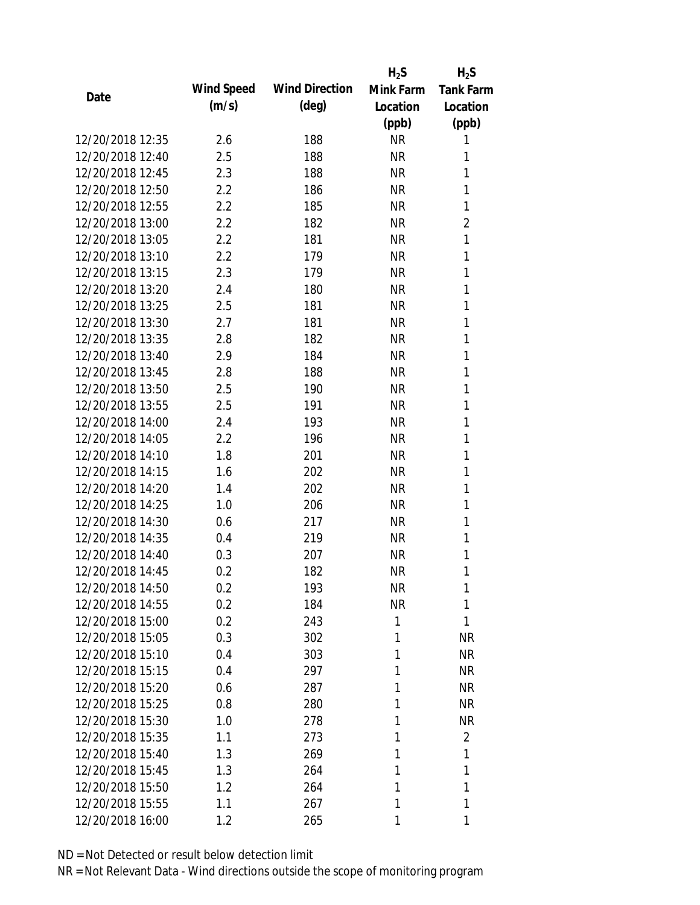|                  |            |                       | $H_2S$    | $H_2S$           |
|------------------|------------|-----------------------|-----------|------------------|
|                  | Wind Speed | <b>Wind Direction</b> | Mink Farm | <b>Tank Farm</b> |
| Date             | (m/s)      | $(\text{deg})$        | Location  | Location         |
|                  |            |                       | (ppb)     | (ppb)            |
| 12/20/2018 12:35 | 2.6        | 188                   | <b>NR</b> | 1                |
| 12/20/2018 12:40 | 2.5        | 188                   | <b>NR</b> | 1                |
| 12/20/2018 12:45 | 2.3        | 188                   | <b>NR</b> | 1                |
| 12/20/2018 12:50 | 2.2        | 186                   | <b>NR</b> | 1                |
| 12/20/2018 12:55 | 2.2        | 185                   | <b>NR</b> | 1                |
| 12/20/2018 13:00 | 2.2        | 182                   | <b>NR</b> | $\overline{2}$   |
| 12/20/2018 13:05 | 2.2        | 181                   | <b>NR</b> | 1                |
| 12/20/2018 13:10 | 2.2        | 179                   | <b>NR</b> | 1                |
| 12/20/2018 13:15 | 2.3        | 179                   | <b>NR</b> | 1                |
| 12/20/2018 13:20 | 2.4        | 180                   | <b>NR</b> | 1                |
| 12/20/2018 13:25 | 2.5        | 181                   | <b>NR</b> | 1                |
| 12/20/2018 13:30 | 2.7        | 181                   | <b>NR</b> | 1                |
| 12/20/2018 13:35 | 2.8        | 182                   | <b>NR</b> | 1                |
| 12/20/2018 13:40 | 2.9        | 184                   | <b>NR</b> | 1                |
| 12/20/2018 13:45 | 2.8        | 188                   | <b>NR</b> | 1                |
| 12/20/2018 13:50 | 2.5        | 190                   | <b>NR</b> | 1                |
| 12/20/2018 13:55 | 2.5        | 191                   | <b>NR</b> | 1                |
| 12/20/2018 14:00 | 2.4        | 193                   | <b>NR</b> | 1                |
| 12/20/2018 14:05 | 2.2        | 196                   | <b>NR</b> | 1                |
| 12/20/2018 14:10 | 1.8        | 201                   | <b>NR</b> | 1                |
| 12/20/2018 14:15 | 1.6        | 202                   | <b>NR</b> | 1                |
| 12/20/2018 14:20 | 1.4        | 202                   | <b>NR</b> | 1                |
| 12/20/2018 14:25 | 1.0        | 206                   | <b>NR</b> | 1                |
| 12/20/2018 14:30 | 0.6        | 217                   | <b>NR</b> | 1                |
| 12/20/2018 14:35 | 0.4        | 219                   | <b>NR</b> | 1                |
| 12/20/2018 14:40 | 0.3        | 207                   | <b>NR</b> | 1                |
| 12/20/2018 14:45 | 0.2        | 182                   | <b>NR</b> | 1                |
| 12/20/2018 14:50 | 0.2        | 193                   | <b>NR</b> | 1                |
| 12/20/2018 14:55 | 0.2        | 184                   | <b>NR</b> | 1                |
| 12/20/2018 15:00 | 0.2        | 243                   | 1         | 1                |
| 12/20/2018 15:05 | 0.3        | 302                   | 1         | <b>NR</b>        |
| 12/20/2018 15:10 | 0.4        | 303                   | 1         | <b>NR</b>        |
| 12/20/2018 15:15 | 0.4        | 297                   | 1         | <b>NR</b>        |
| 12/20/2018 15:20 | 0.6        | 287                   | 1         | <b>NR</b>        |
| 12/20/2018 15:25 | 0.8        | 280                   | 1         | <b>NR</b>        |
| 12/20/2018 15:30 | 1.0        | 278                   | 1         | <b>NR</b>        |
| 12/20/2018 15:35 | 1.1        | 273                   | 1         | $\overline{2}$   |
| 12/20/2018 15:40 | 1.3        | 269                   | 1         | 1                |
| 12/20/2018 15:45 | 1.3        | 264                   | 1         | 1                |
| 12/20/2018 15:50 | 1.2        | 264                   | 1         | 1                |
| 12/20/2018 15:55 | 1.1        | 267                   | 1         | 1                |
| 12/20/2018 16:00 | 1.2        | 265                   | 1         | 1                |
|                  |            |                       |           |                  |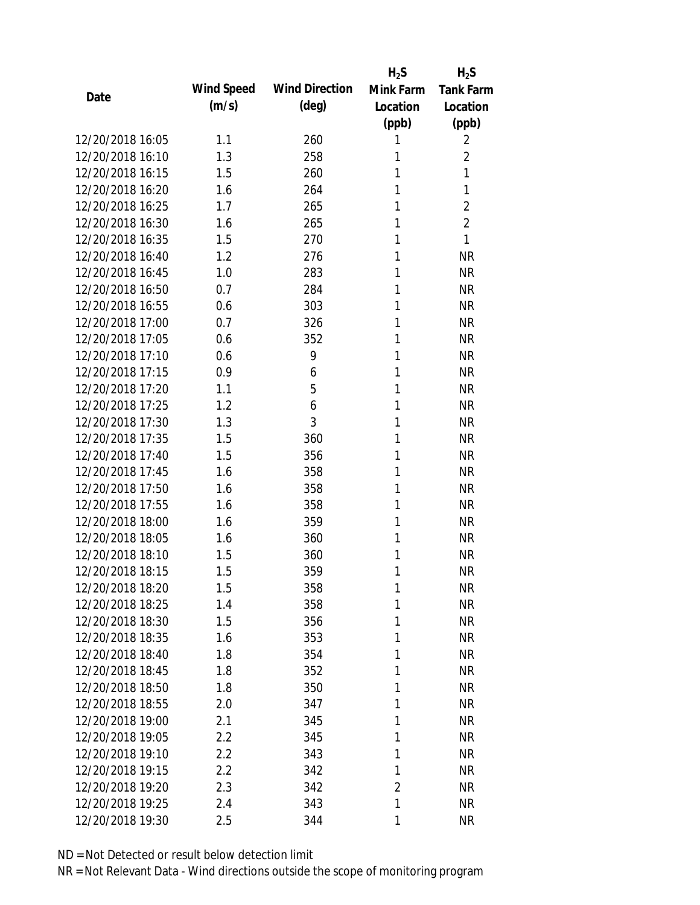|                  |            |                       | $H_2S$         | $H_2S$           |
|------------------|------------|-----------------------|----------------|------------------|
| Date             | Wind Speed | <b>Wind Direction</b> | Mink Farm      | <b>Tank Farm</b> |
|                  | (m/s)      | $(\text{deg})$        | Location       | Location         |
|                  |            |                       | (ppb)          | (ppb)            |
| 12/20/2018 16:05 | 1.1        | 260                   | 1              | 2                |
| 12/20/2018 16:10 | 1.3        | 258                   | 1              | $\overline{2}$   |
| 12/20/2018 16:15 | 1.5        | 260                   | 1              | 1                |
| 12/20/2018 16:20 | 1.6        | 264                   | 1              | 1                |
| 12/20/2018 16:25 | 1.7        | 265                   | 1              | $\overline{2}$   |
| 12/20/2018 16:30 | 1.6        | 265                   | 1              | $\overline{2}$   |
| 12/20/2018 16:35 | 1.5        | 270                   | 1              | 1                |
| 12/20/2018 16:40 | 1.2        | 276                   | 1              | <b>NR</b>        |
| 12/20/2018 16:45 | 1.0        | 283                   | 1              | <b>NR</b>        |
| 12/20/2018 16:50 | 0.7        | 284                   | 1              | <b>NR</b>        |
| 12/20/2018 16:55 | 0.6        | 303                   | 1              | <b>NR</b>        |
| 12/20/2018 17:00 | 0.7        | 326                   | 1              | <b>NR</b>        |
| 12/20/2018 17:05 | 0.6        | 352                   | 1              | <b>NR</b>        |
| 12/20/2018 17:10 | 0.6        | 9                     | 1              | <b>NR</b>        |
| 12/20/2018 17:15 | 0.9        | 6                     | 1              | <b>NR</b>        |
| 12/20/2018 17:20 | 1.1        | 5                     | 1              | <b>NR</b>        |
| 12/20/2018 17:25 | 1.2        | 6                     | 1              | <b>NR</b>        |
| 12/20/2018 17:30 | 1.3        | 3                     | 1              | <b>NR</b>        |
| 12/20/2018 17:35 | 1.5        | 360                   | 1              | <b>NR</b>        |
| 12/20/2018 17:40 | 1.5        | 356                   | 1              | <b>NR</b>        |
| 12/20/2018 17:45 | 1.6        | 358                   | 1              | <b>NR</b>        |
| 12/20/2018 17:50 | 1.6        | 358                   | 1              | <b>NR</b>        |
| 12/20/2018 17:55 | 1.6        | 358                   | 1              | <b>NR</b>        |
| 12/20/2018 18:00 | 1.6        | 359                   | 1              | <b>NR</b>        |
| 12/20/2018 18:05 | 1.6        | 360                   | 1              | <b>NR</b>        |
| 12/20/2018 18:10 | 1.5        | 360                   | 1              | <b>NR</b>        |
| 12/20/2018 18:15 | 1.5        | 359                   | 1              | <b>NR</b>        |
| 12/20/2018 18:20 | 1.5        | 358                   | 1              | <b>NR</b>        |
| 12/20/2018 18:25 | 1.4        | 358                   | 1              | <b>NR</b>        |
| 12/20/2018 18:30 | 1.5        | 356                   | 1              | <b>NR</b>        |
| 12/20/2018 18:35 | 1.6        | 353                   | 1              | <b>NR</b>        |
| 12/20/2018 18:40 | 1.8        | 354                   | 1              | <b>NR</b>        |
| 12/20/2018 18:45 | 1.8        | 352                   | 1              | <b>NR</b>        |
| 12/20/2018 18:50 | 1.8        | 350                   | 1              | <b>NR</b>        |
| 12/20/2018 18:55 | 2.0        | 347                   | 1              | NR               |
| 12/20/2018 19:00 | 2.1        | 345                   | 1              | <b>NR</b>        |
| 12/20/2018 19:05 | 2.2        | 345                   | 1              | <b>NR</b>        |
| 12/20/2018 19:10 | 2.2        | 343                   | 1              | <b>NR</b>        |
| 12/20/2018 19:15 | 2.2        | 342                   | 1              | <b>NR</b>        |
| 12/20/2018 19:20 | 2.3        | 342                   | $\overline{2}$ | <b>NR</b>        |
| 12/20/2018 19:25 | 2.4        | 343                   | 1              | <b>NR</b>        |
| 12/20/2018 19:30 | 2.5        | 344                   | 1              | <b>NR</b>        |
|                  |            |                       |                |                  |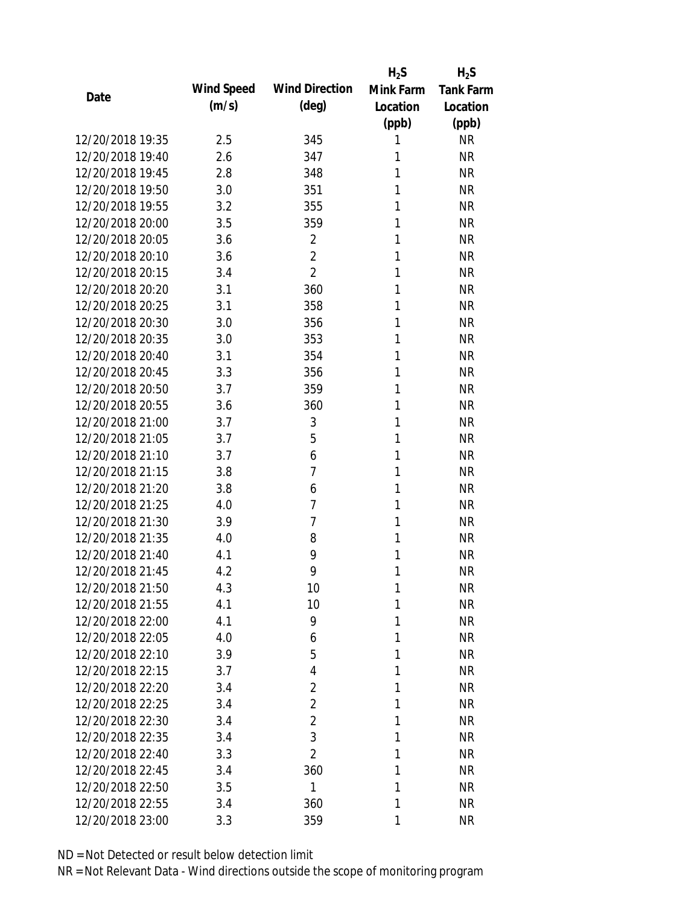|                  |            |                       | $H_2S$    | $H_2S$           |
|------------------|------------|-----------------------|-----------|------------------|
|                  | Wind Speed | <b>Wind Direction</b> | Mink Farm | <b>Tank Farm</b> |
| Date             | (m/s)      | $(\text{deg})$        | Location  | Location         |
|                  |            |                       | (ppb)     | (ppb)            |
| 12/20/2018 19:35 | 2.5        | 345                   | 1         | <b>NR</b>        |
| 12/20/2018 19:40 | 2.6        | 347                   | 1         | <b>NR</b>        |
| 12/20/2018 19:45 | 2.8        | 348                   | 1         | <b>NR</b>        |
| 12/20/2018 19:50 | 3.0        | 351                   | 1         | <b>NR</b>        |
| 12/20/2018 19:55 | 3.2        | 355                   | 1         | <b>NR</b>        |
| 12/20/2018 20:00 | 3.5        | 359                   | 1         | <b>NR</b>        |
| 12/20/2018 20:05 | 3.6        | $\overline{2}$        | 1         | <b>NR</b>        |
| 12/20/2018 20:10 | 3.6        | $\overline{2}$        | 1         | <b>NR</b>        |
| 12/20/2018 20:15 | 3.4        | $\overline{2}$        | 1         | <b>NR</b>        |
| 12/20/2018 20:20 | 3.1        | 360                   | 1         | <b>NR</b>        |
| 12/20/2018 20:25 | 3.1        | 358                   | 1         | <b>NR</b>        |
| 12/20/2018 20:30 | 3.0        | 356                   | 1         | <b>NR</b>        |
| 12/20/2018 20:35 | 3.0        | 353                   | 1         | <b>NR</b>        |
| 12/20/2018 20:40 | 3.1        | 354                   | 1         | <b>NR</b>        |
| 12/20/2018 20:45 | 3.3        | 356                   | 1         | <b>NR</b>        |
| 12/20/2018 20:50 | 3.7        | 359                   | 1         | <b>NR</b>        |
| 12/20/2018 20:55 | 3.6        | 360                   | 1         | <b>NR</b>        |
| 12/20/2018 21:00 | 3.7        | 3                     | 1         | <b>NR</b>        |
| 12/20/2018 21:05 | 3.7        | 5                     | 1         | <b>NR</b>        |
| 12/20/2018 21:10 | 3.7        | 6                     | 1         | <b>NR</b>        |
| 12/20/2018 21:15 | 3.8        | 7                     | 1         | <b>NR</b>        |
| 12/20/2018 21:20 | 3.8        | 6                     | 1         | <b>NR</b>        |
| 12/20/2018 21:25 | 4.0        | $\overline{7}$        | 1         | <b>NR</b>        |
| 12/20/2018 21:30 | 3.9        | $\overline{7}$        | 1         | <b>NR</b>        |
| 12/20/2018 21:35 | 4.0        | 8                     | 1         | <b>NR</b>        |
| 12/20/2018 21:40 | 4.1        | 9                     | 1         | <b>NR</b>        |
| 12/20/2018 21:45 | 4.2        | 9                     | 1         | <b>NR</b>        |
| 12/20/2018 21:50 | 4.3        | 10                    | 1         | <b>NR</b>        |
| 12/20/2018 21:55 | 4.1        | 10                    | 1         | <b>NR</b>        |
| 12/20/2018 22:00 | 4.1        | 9                     | 1         | <b>NR</b>        |
| 12/20/2018 22:05 | 4.0        | 6                     | 1         | <b>NR</b>        |
| 12/20/2018 22:10 | 3.9        | 5                     | 1         | <b>NR</b>        |
| 12/20/2018 22:15 | 3.7        | 4                     | 1         | <b>NR</b>        |
| 12/20/2018 22:20 | 3.4        | $\overline{2}$        | 1         | <b>NR</b>        |
| 12/20/2018 22:25 | 3.4        | $\overline{2}$        | 1         | <b>NR</b>        |
| 12/20/2018 22:30 | 3.4        | $\overline{2}$        | 1         | <b>NR</b>        |
| 12/20/2018 22:35 | 3.4        | 3                     | 1         | <b>NR</b>        |
| 12/20/2018 22:40 | 3.3        | $\overline{2}$        | 1         | <b>NR</b>        |
| 12/20/2018 22:45 | 3.4        | 360                   | 1         | <b>NR</b>        |
| 12/20/2018 22:50 | 3.5        | 1                     | 1         | <b>NR</b>        |
| 12/20/2018 22:55 | 3.4        | 360                   | 1         | <b>NR</b>        |
| 12/20/2018 23:00 | 3.3        | 359                   | 1         | <b>NR</b>        |
|                  |            |                       |           |                  |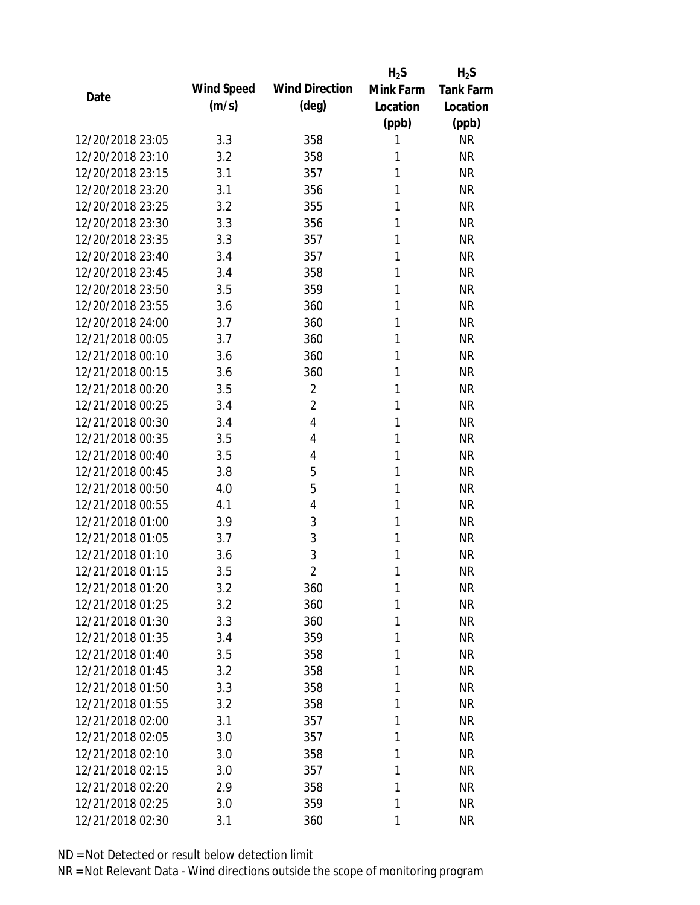|                  |            |                       | $H_2S$    | $H_2S$           |
|------------------|------------|-----------------------|-----------|------------------|
| Date             | Wind Speed | <b>Wind Direction</b> | Mink Farm | <b>Tank Farm</b> |
|                  | (m/s)      | $(\text{deg})$        | Location  | Location         |
|                  |            |                       | (ppb)     | (ppb)            |
| 12/20/2018 23:05 | 3.3        | 358                   | 1         | <b>NR</b>        |
| 12/20/2018 23:10 | 3.2        | 358                   | 1         | <b>NR</b>        |
| 12/20/2018 23:15 | 3.1        | 357                   | 1         | <b>NR</b>        |
| 12/20/2018 23:20 | 3.1        | 356                   | 1         | <b>NR</b>        |
| 12/20/2018 23:25 | 3.2        | 355                   | 1         | <b>NR</b>        |
| 12/20/2018 23:30 | 3.3        | 356                   | 1         | <b>NR</b>        |
| 12/20/2018 23:35 | 3.3        | 357                   | 1         | <b>NR</b>        |
| 12/20/2018 23:40 | 3.4        | 357                   | 1         | <b>NR</b>        |
| 12/20/2018 23:45 | 3.4        | 358                   | 1         | <b>NR</b>        |
| 12/20/2018 23:50 | 3.5        | 359                   | 1         | <b>NR</b>        |
| 12/20/2018 23:55 | 3.6        | 360                   | 1         | <b>NR</b>        |
| 12/20/2018 24:00 | 3.7        | 360                   | 1         | <b>NR</b>        |
| 12/21/2018 00:05 | 3.7        | 360                   | 1         | <b>NR</b>        |
| 12/21/2018 00:10 | 3.6        | 360                   | 1         | <b>NR</b>        |
| 12/21/2018 00:15 | 3.6        | 360                   | 1         | <b>NR</b>        |
| 12/21/2018 00:20 | 3.5        | $\overline{2}$        | 1         | <b>NR</b>        |
| 12/21/2018 00:25 | 3.4        | $\overline{2}$        | 1         | <b>NR</b>        |
| 12/21/2018 00:30 | 3.4        | $\overline{4}$        | 1         | <b>NR</b>        |
| 12/21/2018 00:35 | 3.5        | 4                     | 1         | <b>NR</b>        |
| 12/21/2018 00:40 | 3.5        | 4                     | 1         | <b>NR</b>        |
| 12/21/2018 00:45 | 3.8        | 5                     | 1         | <b>NR</b>        |
| 12/21/2018 00:50 | 4.0        | 5                     | 1         | <b>NR</b>        |
| 12/21/2018 00:55 | 4.1        | $\overline{4}$        | 1         | <b>NR</b>        |
| 12/21/2018 01:00 | 3.9        | 3                     | 1         | <b>NR</b>        |
| 12/21/2018 01:05 | 3.7        | 3                     | 1         | <b>NR</b>        |
| 12/21/2018 01:10 | 3.6        | 3                     | 1         | <b>NR</b>        |
| 12/21/2018 01:15 | 3.5        | $\overline{2}$        | 1         | <b>NR</b>        |
| 12/21/2018 01:20 | 3.2        | 360                   | 1         | <b>NR</b>        |
| 12/21/2018 01:25 | 3.2        | 360                   | 1         | <b>NR</b>        |
| 12/21/2018 01:30 | 3.3        | 360                   | 1         | <b>NR</b>        |
| 12/21/2018 01:35 | 3.4        | 359                   | 1         | <b>NR</b>        |
| 12/21/2018 01:40 | 3.5        | 358                   | 1         | <b>NR</b>        |
| 12/21/2018 01:45 | 3.2        | 358                   | 1         | <b>NR</b>        |
| 12/21/2018 01:50 | 3.3        | 358                   | 1         | <b>NR</b>        |
| 12/21/2018 01:55 | 3.2        | 358                   | 1         | <b>NR</b>        |
| 12/21/2018 02:00 | 3.1        | 357                   | 1         | <b>NR</b>        |
| 12/21/2018 02:05 | 3.0        | 357                   | 1         | <b>NR</b>        |
| 12/21/2018 02:10 | 3.0        | 358                   | 1         | <b>NR</b>        |
| 12/21/2018 02:15 | 3.0        | 357                   | 1         | <b>NR</b>        |
| 12/21/2018 02:20 | 2.9        | 358                   | 1         | <b>NR</b>        |
| 12/21/2018 02:25 | 3.0        | 359                   | 1         | <b>NR</b>        |
| 12/21/2018 02:30 | 3.1        | 360                   | 1         | <b>NR</b>        |
|                  |            |                       |           |                  |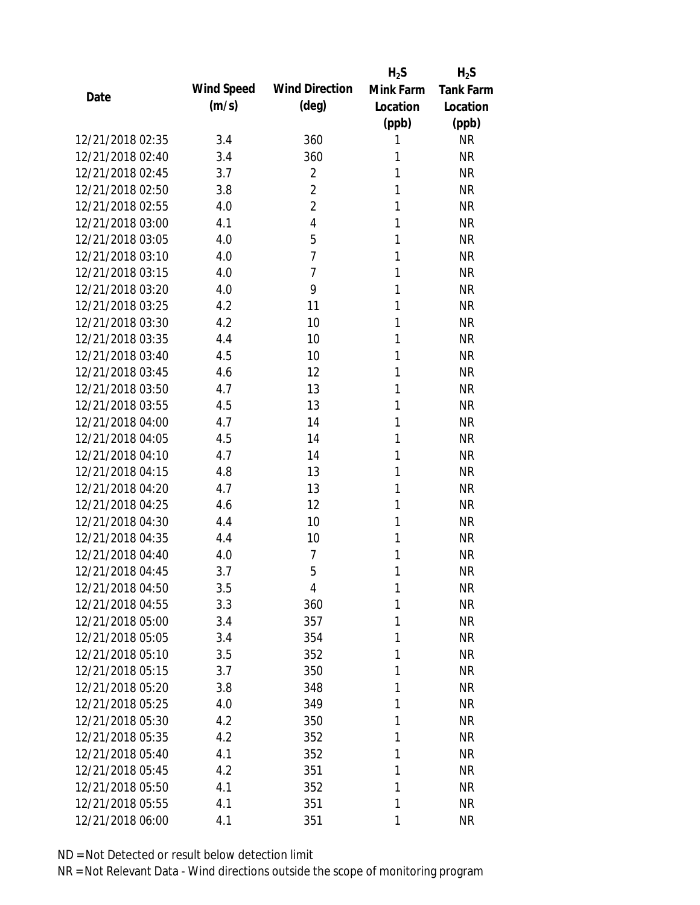|                  |            |                       | $H_2S$    | $H_2S$           |
|------------------|------------|-----------------------|-----------|------------------|
| Date             | Wind Speed | <b>Wind Direction</b> | Mink Farm | <b>Tank Farm</b> |
|                  | (m/s)      | (deg)                 | Location  | Location         |
|                  |            |                       | (ppb)     | (ppb)            |
| 12/21/2018 02:35 | 3.4        | 360                   | 1         | <b>NR</b>        |
| 12/21/2018 02:40 | 3.4        | 360                   | 1         | <b>NR</b>        |
| 12/21/2018 02:45 | 3.7        | $\overline{2}$        | 1         | <b>NR</b>        |
| 12/21/2018 02:50 | 3.8        | $\overline{2}$        | 1         | <b>NR</b>        |
| 12/21/2018 02:55 | 4.0        | $\overline{2}$        | 1         | <b>NR</b>        |
| 12/21/2018 03:00 | 4.1        | $\overline{4}$        | 1         | <b>NR</b>        |
| 12/21/2018 03:05 | 4.0        | 5                     | 1         | <b>NR</b>        |
| 12/21/2018 03:10 | 4.0        | $\overline{7}$        | 1         | <b>NR</b>        |
| 12/21/2018 03:15 | 4.0        | $\overline{7}$        | 1         | <b>NR</b>        |
| 12/21/2018 03:20 | 4.0        | 9                     | 1         | <b>NR</b>        |
| 12/21/2018 03:25 | 4.2        | 11                    | 1         | <b>NR</b>        |
| 12/21/2018 03:30 | 4.2        | 10                    | 1         | <b>NR</b>        |
| 12/21/2018 03:35 | 4.4        | 10                    | 1         | <b>NR</b>        |
| 12/21/2018 03:40 | 4.5        | 10                    | 1         | <b>NR</b>        |
| 12/21/2018 03:45 | 4.6        | 12                    | 1         | <b>NR</b>        |
| 12/21/2018 03:50 | 4.7        | 13                    | 1         | <b>NR</b>        |
| 12/21/2018 03:55 | 4.5        | 13                    | 1         | <b>NR</b>        |
| 12/21/2018 04:00 | 4.7        | 14                    | 1         | <b>NR</b>        |
| 12/21/2018 04:05 | 4.5        | 14                    | 1         | <b>NR</b>        |
| 12/21/2018 04:10 | 4.7        | 14                    | 1         | <b>NR</b>        |
| 12/21/2018 04:15 | 4.8        | 13                    | 1         | <b>NR</b>        |
| 12/21/2018 04:20 | 4.7        | 13                    | 1         | <b>NR</b>        |
| 12/21/2018 04:25 | 4.6        | 12                    | 1         | <b>NR</b>        |
| 12/21/2018 04:30 | 4.4        | 10                    | 1         | <b>NR</b>        |
| 12/21/2018 04:35 | 4.4        | 10                    | 1         | <b>NR</b>        |
| 12/21/2018 04:40 | 4.0        | 7                     | 1         | <b>NR</b>        |
| 12/21/2018 04:45 | 3.7        | 5                     | 1         | <b>NR</b>        |
| 12/21/2018 04:50 | 3.5        | 4                     | 1         | <b>NR</b>        |
| 12/21/2018 04:55 | 3.3        | 360                   | 1         | <b>NR</b>        |
| 12/21/2018 05:00 | 3.4        | 357                   | 1         | <b>NR</b>        |
| 12/21/2018 05:05 | 3.4        | 354                   | 1         | <b>NR</b>        |
| 12/21/2018 05:10 | 3.5        | 352                   | 1         | <b>NR</b>        |
| 12/21/2018 05:15 | 3.7        | 350                   | 1         | <b>NR</b>        |
| 12/21/2018 05:20 | 3.8        | 348                   | 1         | <b>NR</b>        |
| 12/21/2018 05:25 | 4.0        | 349                   | 1         | <b>NR</b>        |
| 12/21/2018 05:30 | 4.2        | 350                   | 1         | <b>NR</b>        |
| 12/21/2018 05:35 | 4.2        | 352                   | 1         | <b>NR</b>        |
| 12/21/2018 05:40 | 4.1        | 352                   | 1         | <b>NR</b>        |
| 12/21/2018 05:45 | 4.2        | 351                   | 1         | <b>NR</b>        |
| 12/21/2018 05:50 | 4.1        | 352                   | 1         | <b>NR</b>        |
| 12/21/2018 05:55 | 4.1        | 351                   | 1         | <b>NR</b>        |
| 12/21/2018 06:00 | 4.1        | 351                   | 1         | <b>NR</b>        |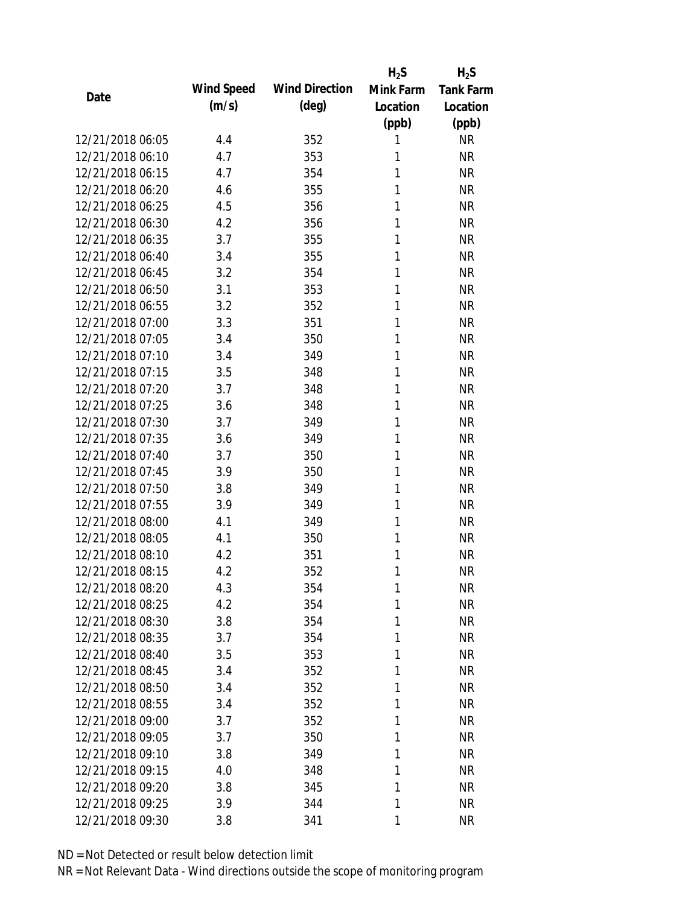|                  |            |                       | $H_2S$    | $H_2S$           |
|------------------|------------|-----------------------|-----------|------------------|
|                  | Wind Speed | <b>Wind Direction</b> | Mink Farm | <b>Tank Farm</b> |
| Date             | (m/s)      | $(\text{deg})$        | Location  | Location         |
|                  |            |                       | (ppb)     | (ppb)            |
| 12/21/2018 06:05 | 4.4        | 352                   | 1         | <b>NR</b>        |
| 12/21/2018 06:10 | 4.7        | 353                   | 1         | <b>NR</b>        |
| 12/21/2018 06:15 | 4.7        | 354                   | 1         | <b>NR</b>        |
| 12/21/2018 06:20 | 4.6        | 355                   | 1         | <b>NR</b>        |
| 12/21/2018 06:25 | 4.5        | 356                   | 1         | <b>NR</b>        |
| 12/21/2018 06:30 | 4.2        | 356                   | 1         | <b>NR</b>        |
| 12/21/2018 06:35 | 3.7        | 355                   | 1         | <b>NR</b>        |
| 12/21/2018 06:40 | 3.4        | 355                   | 1         | <b>NR</b>        |
| 12/21/2018 06:45 | 3.2        | 354                   | 1         | <b>NR</b>        |
| 12/21/2018 06:50 | 3.1        | 353                   | 1         | <b>NR</b>        |
| 12/21/2018 06:55 | 3.2        | 352                   | 1         | <b>NR</b>        |
| 12/21/2018 07:00 | 3.3        | 351                   | 1         | <b>NR</b>        |
| 12/21/2018 07:05 | 3.4        | 350                   | 1         | <b>NR</b>        |
| 12/21/2018 07:10 | 3.4        | 349                   | 1         | <b>NR</b>        |
| 12/21/2018 07:15 | 3.5        | 348                   | 1         | <b>NR</b>        |
| 12/21/2018 07:20 | 3.7        | 348                   | 1         | <b>NR</b>        |
| 12/21/2018 07:25 | 3.6        | 348                   | 1         | <b>NR</b>        |
| 12/21/2018 07:30 | 3.7        | 349                   | 1         | <b>NR</b>        |
| 12/21/2018 07:35 | 3.6        | 349                   | 1         | <b>NR</b>        |
| 12/21/2018 07:40 | 3.7        | 350                   | 1         | <b>NR</b>        |
| 12/21/2018 07:45 | 3.9        | 350                   | 1         | <b>NR</b>        |
| 12/21/2018 07:50 | 3.8        | 349                   | 1         | <b>NR</b>        |
| 12/21/2018 07:55 | 3.9        | 349                   | 1         | <b>NR</b>        |
| 12/21/2018 08:00 | 4.1        | 349                   | 1         | <b>NR</b>        |
| 12/21/2018 08:05 | 4.1        | 350                   | 1         | <b>NR</b>        |
| 12/21/2018 08:10 | 4.2        | 351                   | 1         | <b>NR</b>        |
| 12/21/2018 08:15 | 4.2        | 352                   | 1         | <b>NR</b>        |
| 12/21/2018 08:20 | 4.3        | 354                   | 1         | <b>NR</b>        |
| 12/21/2018 08:25 | 4.2        | 354                   | 1         | <b>NR</b>        |
| 12/21/2018 08:30 | 3.8        | 354                   | 1         | <b>NR</b>        |
| 12/21/2018 08:35 | 3.7        | 354                   | 1         | <b>NR</b>        |
| 12/21/2018 08:40 | 3.5        | 353                   | 1         | <b>NR</b>        |
| 12/21/2018 08:45 | 3.4        | 352                   | 1         | <b>NR</b>        |
| 12/21/2018 08:50 | 3.4        | 352                   | 1         | <b>NR</b>        |
| 12/21/2018 08:55 | 3.4        | 352                   | 1         | <b>NR</b>        |
| 12/21/2018 09:00 | 3.7        | 352                   | 1         | <b>NR</b>        |
| 12/21/2018 09:05 |            |                       |           |                  |
|                  | 3.7        | 350                   | 1         | <b>NR</b>        |
| 12/21/2018 09:10 | 3.8        | 349                   | 1         | <b>NR</b>        |
| 12/21/2018 09:15 | 4.0        | 348                   | 1         | <b>NR</b>        |
| 12/21/2018 09:20 | 3.8        | 345                   | 1         | <b>NR</b>        |
| 12/21/2018 09:25 | 3.9        | 344                   | 1         | <b>NR</b>        |
| 12/21/2018 09:30 | 3.8        | 341                   | 1         | <b>NR</b>        |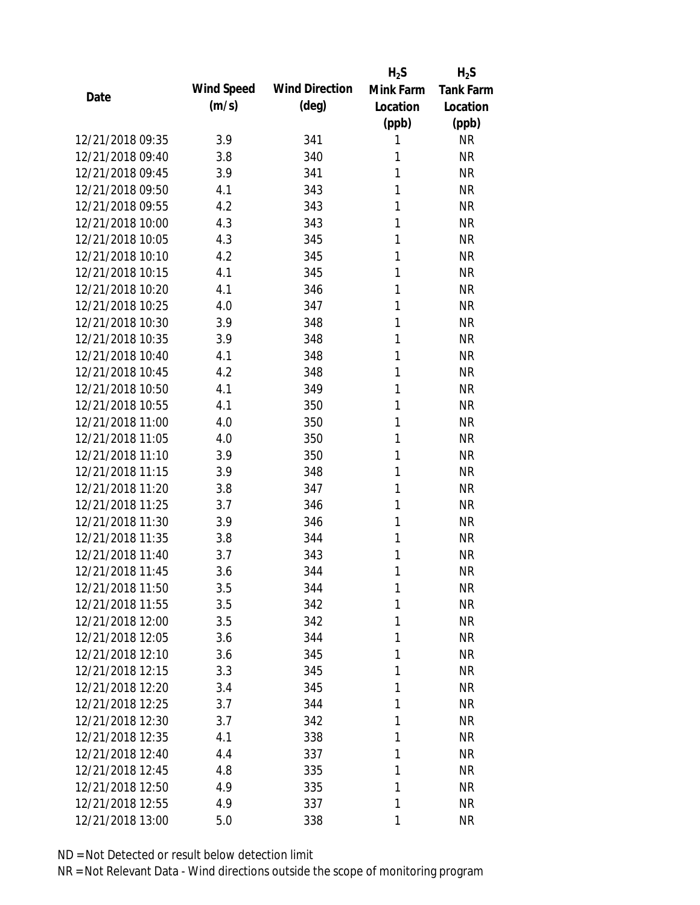|                  |            |                       | $H_2S$    | $H_2S$           |
|------------------|------------|-----------------------|-----------|------------------|
| Date             | Wind Speed | <b>Wind Direction</b> | Mink Farm | <b>Tank Farm</b> |
|                  | (m/s)      | $(\text{deg})$        | Location  | Location         |
|                  |            |                       | (ppb)     | (ppb)            |
| 12/21/2018 09:35 | 3.9        | 341                   | 1         | <b>NR</b>        |
| 12/21/2018 09:40 | 3.8        | 340                   | 1         | <b>NR</b>        |
| 12/21/2018 09:45 | 3.9        | 341                   | 1         | <b>NR</b>        |
| 12/21/2018 09:50 | 4.1        | 343                   | 1         | <b>NR</b>        |
| 12/21/2018 09:55 | 4.2        | 343                   | 1         | <b>NR</b>        |
| 12/21/2018 10:00 | 4.3        | 343                   | 1         | <b>NR</b>        |
| 12/21/2018 10:05 | 4.3        | 345                   | 1         | <b>NR</b>        |
| 12/21/2018 10:10 | 4.2        | 345                   | 1         | <b>NR</b>        |
| 12/21/2018 10:15 | 4.1        | 345                   | 1         | <b>NR</b>        |
| 12/21/2018 10:20 | 4.1        | 346                   | 1         | <b>NR</b>        |
| 12/21/2018 10:25 | 4.0        | 347                   | 1         | <b>NR</b>        |
| 12/21/2018 10:30 | 3.9        | 348                   | 1         | <b>NR</b>        |
| 12/21/2018 10:35 | 3.9        | 348                   | 1         | <b>NR</b>        |
| 12/21/2018 10:40 | 4.1        | 348                   | 1         | <b>NR</b>        |
| 12/21/2018 10:45 | 4.2        | 348                   | 1         | <b>NR</b>        |
| 12/21/2018 10:50 | 4.1        | 349                   | 1         | <b>NR</b>        |
| 12/21/2018 10:55 | 4.1        | 350                   | 1         | <b>NR</b>        |
| 12/21/2018 11:00 | 4.0        | 350                   | 1         | <b>NR</b>        |
| 12/21/2018 11:05 | 4.0        | 350                   | 1         | <b>NR</b>        |
| 12/21/2018 11:10 | 3.9        | 350                   | 1         | <b>NR</b>        |
| 12/21/2018 11:15 | 3.9        | 348                   | 1         | <b>NR</b>        |
| 12/21/2018 11:20 | 3.8        | 347                   | 1         | <b>NR</b>        |
| 12/21/2018 11:25 | 3.7        | 346                   | 1         | <b>NR</b>        |
| 12/21/2018 11:30 | 3.9        | 346                   | 1         | <b>NR</b>        |
| 12/21/2018 11:35 | 3.8        | 344                   | 1         | <b>NR</b>        |
| 12/21/2018 11:40 | 3.7        | 343                   | 1         | <b>NR</b>        |
| 12/21/2018 11:45 | 3.6        | 344                   | 1         | <b>NR</b>        |
| 12/21/2018 11:50 | 3.5        | 344                   | 1         | <b>NR</b>        |
| 12/21/2018 11:55 | 3.5        | 342                   | 1         | <b>NR</b>        |
| 12/21/2018 12:00 | 3.5        | 342                   | 1         | <b>NR</b>        |
| 12/21/2018 12:05 | 3.6        | 344                   | 1         | <b>NR</b>        |
| 12/21/2018 12:10 | 3.6        | 345                   | 1         | <b>NR</b>        |
| 12/21/2018 12:15 | 3.3        | 345                   | 1         | <b>NR</b>        |
| 12/21/2018 12:20 | 3.4        | 345                   | 1         | <b>NR</b>        |
| 12/21/2018 12:25 | 3.7        | 344                   | 1         | <b>NR</b>        |
| 12/21/2018 12:30 | 3.7        |                       | 1         | <b>NR</b>        |
| 12/21/2018 12:35 |            | 342                   | 1         | <b>NR</b>        |
|                  | 4.1        | 338                   |           |                  |
| 12/21/2018 12:40 | 4.4        | 337                   | 1         | <b>NR</b>        |
| 12/21/2018 12:45 | 4.8        | 335                   | 1         | <b>NR</b>        |
| 12/21/2018 12:50 | 4.9        | 335                   | 1         | <b>NR</b>        |
| 12/21/2018 12:55 | 4.9        | 337                   | 1         | <b>NR</b>        |
| 12/21/2018 13:00 | 5.0        | 338                   | 1         | <b>NR</b>        |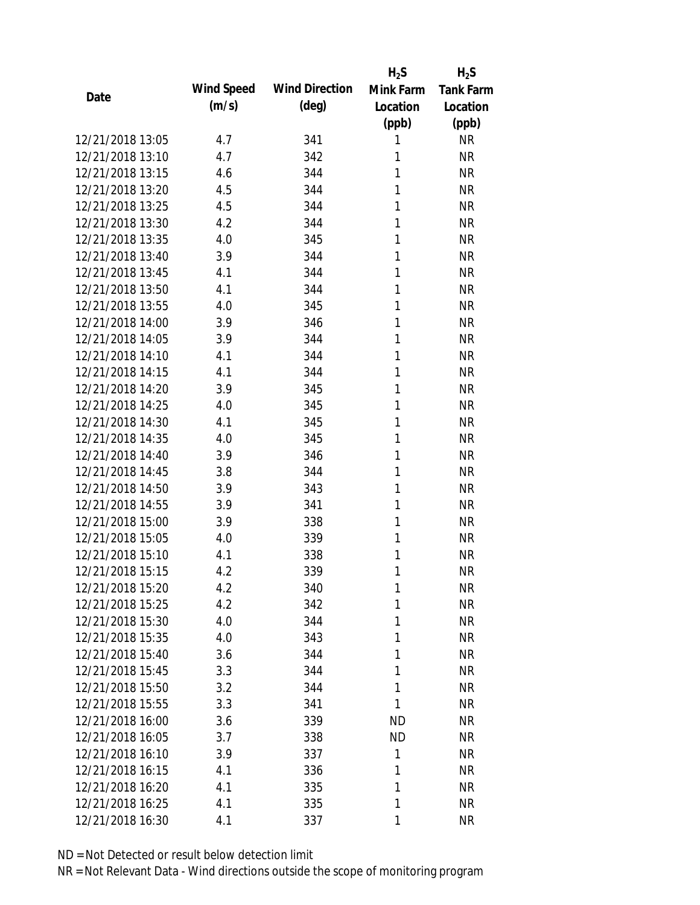|                  |            |                       | $H_2S$    | $H_2S$           |
|------------------|------------|-----------------------|-----------|------------------|
|                  | Wind Speed | <b>Wind Direction</b> | Mink Farm | <b>Tank Farm</b> |
| Date             | (m/s)      | $(\text{deg})$        | Location  | Location         |
|                  |            |                       | (ppb)     | (ppb)            |
| 12/21/2018 13:05 | 4.7        | 341                   | 1         | <b>NR</b>        |
| 12/21/2018 13:10 | 4.7        | 342                   | 1         | <b>NR</b>        |
| 12/21/2018 13:15 | 4.6        | 344                   | 1         | <b>NR</b>        |
| 12/21/2018 13:20 | 4.5        | 344                   | 1         | <b>NR</b>        |
| 12/21/2018 13:25 | 4.5        | 344                   | 1         | <b>NR</b>        |
| 12/21/2018 13:30 | 4.2        | 344                   | 1         | <b>NR</b>        |
| 12/21/2018 13:35 | 4.0        | 345                   | 1         | <b>NR</b>        |
| 12/21/2018 13:40 | 3.9        | 344                   | 1         | <b>NR</b>        |
| 12/21/2018 13:45 | 4.1        | 344                   | 1         | <b>NR</b>        |
| 12/21/2018 13:50 | 4.1        | 344                   | 1         | <b>NR</b>        |
| 12/21/2018 13:55 | 4.0        | 345                   | 1         | <b>NR</b>        |
| 12/21/2018 14:00 | 3.9        | 346                   | 1         | <b>NR</b>        |
| 12/21/2018 14:05 | 3.9        | 344                   | 1         | <b>NR</b>        |
| 12/21/2018 14:10 | 4.1        | 344                   | 1         | <b>NR</b>        |
| 12/21/2018 14:15 | 4.1        | 344                   | 1         | <b>NR</b>        |
| 12/21/2018 14:20 | 3.9        | 345                   | 1         | <b>NR</b>        |
| 12/21/2018 14:25 | 4.0        | 345                   | 1         | <b>NR</b>        |
| 12/21/2018 14:30 | 4.1        | 345                   | 1         | <b>NR</b>        |
| 12/21/2018 14:35 | 4.0        | 345                   | 1         | <b>NR</b>        |
| 12/21/2018 14:40 | 3.9        | 346                   | 1         | <b>NR</b>        |
| 12/21/2018 14:45 | 3.8        | 344                   | 1         | <b>NR</b>        |
| 12/21/2018 14:50 | 3.9        | 343                   | 1         | <b>NR</b>        |
| 12/21/2018 14:55 | 3.9        | 341                   | 1         | <b>NR</b>        |
| 12/21/2018 15:00 | 3.9        | 338                   | 1         | <b>NR</b>        |
| 12/21/2018 15:05 | 4.0        | 339                   | 1         | <b>NR</b>        |
| 12/21/2018 15:10 | 4.1        | 338                   | 1         | <b>NR</b>        |
| 12/21/2018 15:15 | 4.2        | 339                   | 1         | <b>NR</b>        |
| 12/21/2018 15:20 | 4.2        | 340                   | 1         | <b>NR</b>        |
| 12/21/2018 15:25 | 4.2        | 342                   | 1         | <b>NR</b>        |
| 12/21/2018 15:30 | 4.0        | 344                   | 1         | <b>NR</b>        |
| 12/21/2018 15:35 | 4.0        | 343                   | 1         | <b>NR</b>        |
| 12/21/2018 15:40 | 3.6        | 344                   | 1         | <b>NR</b>        |
| 12/21/2018 15:45 | 3.3        | 344                   | 1         | NR               |
| 12/21/2018 15:50 | 3.2        | 344                   | 1         | <b>NR</b>        |
| 12/21/2018 15:55 | 3.3        | 341                   | 1         | <b>NR</b>        |
| 12/21/2018 16:00 | 3.6        | 339                   | <b>ND</b> | <b>NR</b>        |
| 12/21/2018 16:05 | 3.7        | 338                   | <b>ND</b> | <b>NR</b>        |
| 12/21/2018 16:10 | 3.9        | 337                   | 1         | <b>NR</b>        |
| 12/21/2018 16:15 | 4.1        | 336                   | 1         | NR               |
| 12/21/2018 16:20 | 4.1        | 335                   | 1         | <b>NR</b>        |
| 12/21/2018 16:25 | 4.1        | 335                   | 1         | <b>NR</b>        |
| 12/21/2018 16:30 | 4.1        | 337                   | 1         | <b>NR</b>        |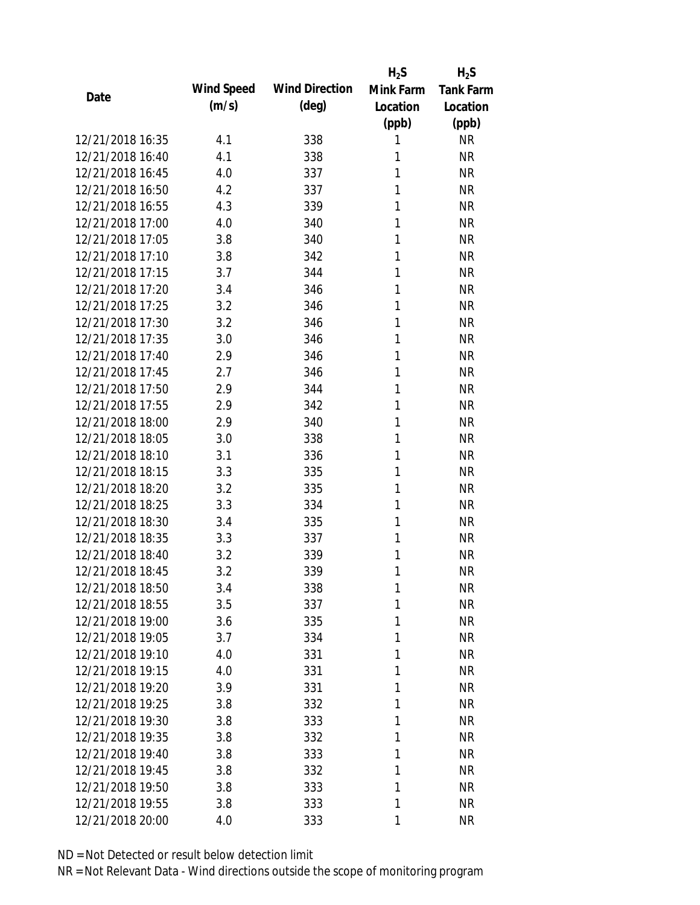|                  |            |                       | $H_2S$    | $H_2S$           |
|------------------|------------|-----------------------|-----------|------------------|
| Date             | Wind Speed | <b>Wind Direction</b> | Mink Farm | <b>Tank Farm</b> |
|                  | (m/s)      | $(\text{deg})$        | Location  | Location         |
|                  |            |                       | (ppb)     | (ppb)            |
| 12/21/2018 16:35 | 4.1        | 338                   | 1         | <b>NR</b>        |
| 12/21/2018 16:40 | 4.1        | 338                   | 1         | <b>NR</b>        |
| 12/21/2018 16:45 | 4.0        | 337                   | 1         | <b>NR</b>        |
| 12/21/2018 16:50 | 4.2        | 337                   | 1         | <b>NR</b>        |
| 12/21/2018 16:55 | 4.3        | 339                   | 1         | <b>NR</b>        |
| 12/21/2018 17:00 | 4.0        | 340                   | 1         | <b>NR</b>        |
| 12/21/2018 17:05 | 3.8        | 340                   | 1         | <b>NR</b>        |
| 12/21/2018 17:10 | 3.8        | 342                   | 1         | <b>NR</b>        |
| 12/21/2018 17:15 | 3.7        | 344                   | 1         | <b>NR</b>        |
| 12/21/2018 17:20 | 3.4        | 346                   | 1         | <b>NR</b>        |
| 12/21/2018 17:25 | 3.2        | 346                   | 1         | <b>NR</b>        |
| 12/21/2018 17:30 | 3.2        | 346                   | 1         | <b>NR</b>        |
| 12/21/2018 17:35 | 3.0        | 346                   | 1         | <b>NR</b>        |
| 12/21/2018 17:40 | 2.9        | 346                   | 1         | <b>NR</b>        |
| 12/21/2018 17:45 | 2.7        | 346                   | 1         | <b>NR</b>        |
| 12/21/2018 17:50 | 2.9        | 344                   | 1         | <b>NR</b>        |
| 12/21/2018 17:55 | 2.9        | 342                   | 1         | <b>NR</b>        |
| 12/21/2018 18:00 | 2.9        | 340                   | 1         | <b>NR</b>        |
| 12/21/2018 18:05 | 3.0        | 338                   | 1         | <b>NR</b>        |
| 12/21/2018 18:10 | 3.1        | 336                   | 1         | <b>NR</b>        |
| 12/21/2018 18:15 | 3.3        | 335                   | 1         | <b>NR</b>        |
| 12/21/2018 18:20 | 3.2        | 335                   | 1         | <b>NR</b>        |
| 12/21/2018 18:25 | 3.3        | 334                   | 1         | <b>NR</b>        |
| 12/21/2018 18:30 | 3.4        | 335                   | 1         | <b>NR</b>        |
| 12/21/2018 18:35 | 3.3        | 337                   | 1         | <b>NR</b>        |
| 12/21/2018 18:40 | 3.2        | 339                   | 1         | <b>NR</b>        |
| 12/21/2018 18:45 | 3.2        | 339                   | 1         | <b>NR</b>        |
| 12/21/2018 18:50 | 3.4        | 338                   | 1         | <b>NR</b>        |
| 12/21/2018 18:55 | 3.5        | 337                   | 1         | <b>NR</b>        |
| 12/21/2018 19:00 | 3.6        | 335                   | 1         | <b>NR</b>        |
| 12/21/2018 19:05 | 3.7        | 334                   | 1         | <b>NR</b>        |
| 12/21/2018 19:10 | 4.0        | 331                   | 1         | <b>NR</b>        |
| 12/21/2018 19:15 | 4.0        | 331                   | 1         | <b>NR</b>        |
| 12/21/2018 19:20 | 3.9        | 331                   | 1         | <b>NR</b>        |
| 12/21/2018 19:25 | 3.8        | 332                   | 1         | <b>NR</b>        |
| 12/21/2018 19:30 | 3.8        | 333                   | 1         | <b>NR</b>        |
| 12/21/2018 19:35 | 3.8        | 332                   | 1         | <b>NR</b>        |
| 12/21/2018 19:40 | 3.8        | 333                   | 1         | <b>NR</b>        |
| 12/21/2018 19:45 | 3.8        | 332                   | 1         | <b>NR</b>        |
| 12/21/2018 19:50 | 3.8        | 333                   | 1         | <b>NR</b>        |
| 12/21/2018 19:55 | 3.8        | 333                   | 1         | <b>NR</b>        |
| 12/21/2018 20:00 | 4.0        | 333                   | 1         | <b>NR</b>        |
|                  |            |                       |           |                  |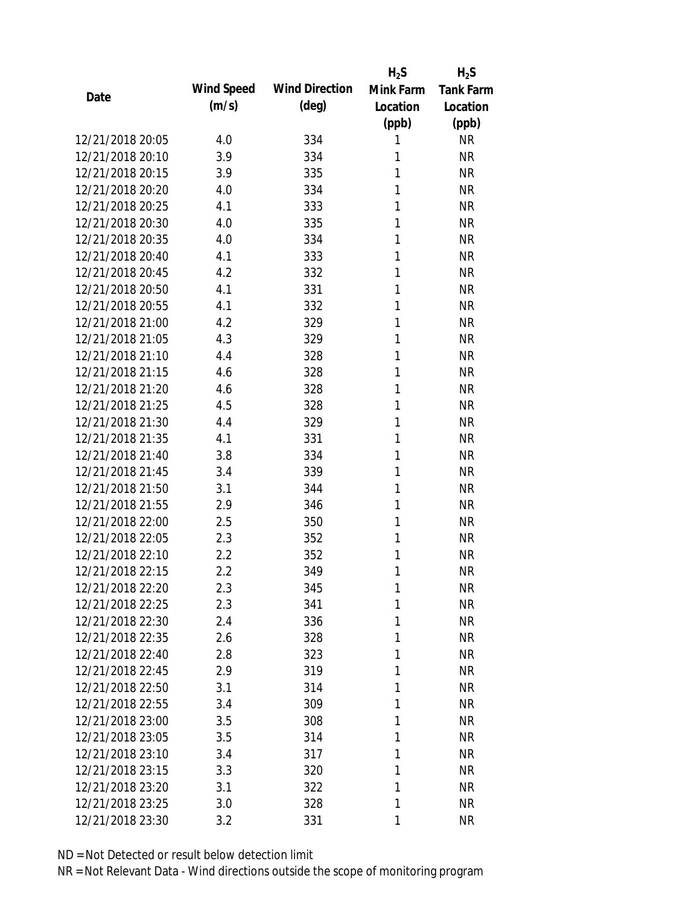|                  |            |                       | $H_2S$    | $H_2S$           |
|------------------|------------|-----------------------|-----------|------------------|
| Date             | Wind Speed | <b>Wind Direction</b> | Mink Farm | <b>Tank Farm</b> |
|                  | (m/s)      | $(\text{deg})$        | Location  | Location         |
|                  |            |                       | (ppb)     | (ppb)            |
| 12/21/2018 20:05 | 4.0        | 334                   | 1         | <b>NR</b>        |
| 12/21/2018 20:10 | 3.9        | 334                   | 1         | <b>NR</b>        |
| 12/21/2018 20:15 | 3.9        | 335                   | 1         | <b>NR</b>        |
| 12/21/2018 20:20 | 4.0        | 334                   | 1         | <b>NR</b>        |
| 12/21/2018 20:25 | 4.1        | 333                   | 1         | <b>NR</b>        |
| 12/21/2018 20:30 | 4.0        | 335                   | 1         | <b>NR</b>        |
| 12/21/2018 20:35 | 4.0        | 334                   | 1         | <b>NR</b>        |
| 12/21/2018 20:40 | 4.1        | 333                   | 1         | <b>NR</b>        |
| 12/21/2018 20:45 | 4.2        | 332                   | 1         | <b>NR</b>        |
| 12/21/2018 20:50 | 4.1        | 331                   | 1         | <b>NR</b>        |
| 12/21/2018 20:55 | 4.1        | 332                   | 1         | <b>NR</b>        |
| 12/21/2018 21:00 | 4.2        | 329                   | 1         | <b>NR</b>        |
| 12/21/2018 21:05 | 4.3        | 329                   | 1         | <b>NR</b>        |
| 12/21/2018 21:10 | 4.4        | 328                   | 1         | <b>NR</b>        |
| 12/21/2018 21:15 | 4.6        | 328                   | 1         | <b>NR</b>        |
| 12/21/2018 21:20 | 4.6        | 328                   | 1         | <b>NR</b>        |
| 12/21/2018 21:25 | 4.5        | 328                   | 1         | <b>NR</b>        |
| 12/21/2018 21:30 | 4.4        | 329                   | 1         | <b>NR</b>        |
| 12/21/2018 21:35 | 4.1        | 331                   | 1         | <b>NR</b>        |
| 12/21/2018 21:40 | 3.8        | 334                   | 1         | <b>NR</b>        |
| 12/21/2018 21:45 | 3.4        | 339                   | 1         | <b>NR</b>        |
| 12/21/2018 21:50 | 3.1        | 344                   | 1         | <b>NR</b>        |
| 12/21/2018 21:55 | 2.9        | 346                   | 1         | <b>NR</b>        |
| 12/21/2018 22:00 | 2.5        | 350                   | 1         | <b>NR</b>        |
| 12/21/2018 22:05 | 2.3        | 352                   | 1         | <b>NR</b>        |
| 12/21/2018 22:10 | 2.2        | 352                   | 1         | <b>NR</b>        |
| 12/21/2018 22:15 | 2.2        | 349                   | 1         | <b>NR</b>        |
| 12/21/2018 22:20 | 2.3        | 345                   | 1         | <b>NR</b>        |
| 12/21/2018 22:25 | 2.3        | 341                   | 1         | <b>NR</b>        |
| 12/21/2018 22:30 | 2.4        | 336                   | 1         | <b>NR</b>        |
| 12/21/2018 22:35 | 2.6        | 328                   | 1         | <b>NR</b>        |
| 12/21/2018 22:40 | 2.8        | 323                   | 1         | <b>NR</b>        |
| 12/21/2018 22:45 | 2.9        | 319                   | 1         | <b>NR</b>        |
| 12/21/2018 22:50 | 3.1        | 314                   | 1         | <b>NR</b>        |
| 12/21/2018 22:55 | 3.4        | 309                   | 1         | <b>NR</b>        |
| 12/21/2018 23:00 | 3.5        | 308                   | 1         | <b>NR</b>        |
| 12/21/2018 23:05 | 3.5        |                       | 1         | <b>NR</b>        |
| 12/21/2018 23:10 | 3.4        | 314<br>317            | 1         | <b>NR</b>        |
| 12/21/2018 23:15 | 3.3        |                       | 1         | <b>NR</b>        |
| 12/21/2018 23:20 |            | 320                   | 1         | <b>NR</b>        |
|                  | 3.1        | 322                   | 1         |                  |
| 12/21/2018 23:25 | 3.0        | 328                   |           | <b>NR</b>        |
| 12/21/2018 23:30 | 3.2        | 331                   | 1         | <b>NR</b>        |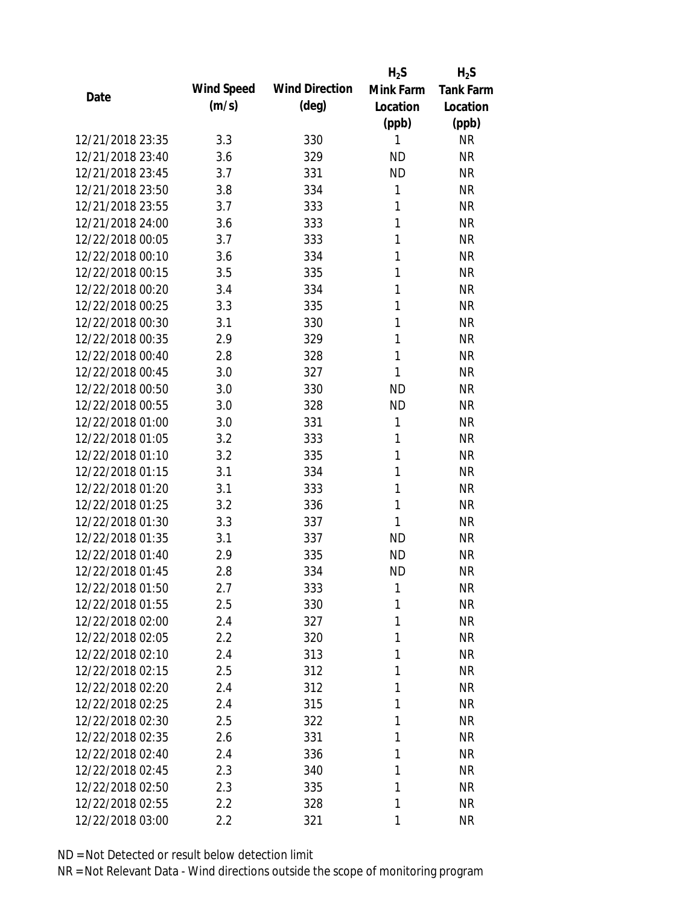|                  |            |                       | $H_2S$    | $H_2S$           |
|------------------|------------|-----------------------|-----------|------------------|
| Date             | Wind Speed | <b>Wind Direction</b> | Mink Farm | <b>Tank Farm</b> |
|                  | (m/s)      | $(\text{deg})$        | Location  | Location         |
|                  |            |                       | (ppb)     | (ppb)            |
| 12/21/2018 23:35 | 3.3        | 330                   | 1         | <b>NR</b>        |
| 12/21/2018 23:40 | 3.6        | 329                   | <b>ND</b> | <b>NR</b>        |
| 12/21/2018 23:45 | 3.7        | 331                   | <b>ND</b> | <b>NR</b>        |
| 12/21/2018 23:50 | 3.8        | 334                   | 1         | <b>NR</b>        |
| 12/21/2018 23:55 | 3.7        | 333                   | 1         | <b>NR</b>        |
| 12/21/2018 24:00 | 3.6        | 333                   | 1         | <b>NR</b>        |
| 12/22/2018 00:05 | 3.7        | 333                   | 1         | <b>NR</b>        |
| 12/22/2018 00:10 | 3.6        | 334                   | 1         | <b>NR</b>        |
| 12/22/2018 00:15 | 3.5        | 335                   | 1         | <b>NR</b>        |
| 12/22/2018 00:20 | 3.4        | 334                   | 1         | <b>NR</b>        |
| 12/22/2018 00:25 | 3.3        | 335                   | 1         | <b>NR</b>        |
| 12/22/2018 00:30 | 3.1        | 330                   | 1         | <b>NR</b>        |
| 12/22/2018 00:35 | 2.9        | 329                   | 1         | <b>NR</b>        |
| 12/22/2018 00:40 | 2.8        | 328                   | 1         | <b>NR</b>        |
| 12/22/2018 00:45 | 3.0        | 327                   | 1         | <b>NR</b>        |
| 12/22/2018 00:50 | 3.0        | 330                   | <b>ND</b> | <b>NR</b>        |
| 12/22/2018 00:55 | 3.0        | 328                   | <b>ND</b> | <b>NR</b>        |
| 12/22/2018 01:00 | 3.0        | 331                   | 1         | <b>NR</b>        |
| 12/22/2018 01:05 | 3.2        | 333                   | 1         | <b>NR</b>        |
| 12/22/2018 01:10 | 3.2        | 335                   | 1         | <b>NR</b>        |
| 12/22/2018 01:15 | 3.1        | 334                   | 1         | <b>NR</b>        |
| 12/22/2018 01:20 | 3.1        | 333                   | 1         | <b>NR</b>        |
| 12/22/2018 01:25 | 3.2        | 336                   | 1         | <b>NR</b>        |
| 12/22/2018 01:30 | 3.3        | 337                   | 1         | <b>NR</b>        |
| 12/22/2018 01:35 | 3.1        | 337                   | <b>ND</b> | <b>NR</b>        |
| 12/22/2018 01:40 | 2.9        | 335                   | <b>ND</b> | <b>NR</b>        |
| 12/22/2018 01:45 | 2.8        | 334                   | <b>ND</b> | <b>NR</b>        |
| 12/22/2018 01:50 | 2.7        | 333                   | 1         | <b>NR</b>        |
| 12/22/2018 01:55 | 2.5        | 330                   | 1         | <b>NR</b>        |
| 12/22/2018 02:00 | 2.4        | 327                   | 1         | <b>NR</b>        |
| 12/22/2018 02:05 | 2.2        | 320                   | 1         | <b>NR</b>        |
| 12/22/2018 02:10 | 2.4        | 313                   | 1         | <b>NR</b>        |
| 12/22/2018 02:15 | 2.5        | 312                   | 1         | <b>NR</b>        |
| 12/22/2018 02:20 | 2.4        | 312                   | 1         | <b>NR</b>        |
| 12/22/2018 02:25 | 2.4        | 315                   | 1         | <b>NR</b>        |
| 12/22/2018 02:30 | 2.5        | 322                   | 1         | <b>NR</b>        |
| 12/22/2018 02:35 | 2.6        | 331                   | 1         | <b>NR</b>        |
| 12/22/2018 02:40 | 2.4        | 336                   | 1         | <b>NR</b>        |
| 12/22/2018 02:45 | 2.3        | 340                   | 1         | <b>NR</b>        |
| 12/22/2018 02:50 | 2.3        | 335                   | 1         | <b>NR</b>        |
| 12/22/2018 02:55 | 2.2        | 328                   | 1         | <b>NR</b>        |
| 12/22/2018 03:00 | 2.2        | 321                   | 1         | <b>NR</b>        |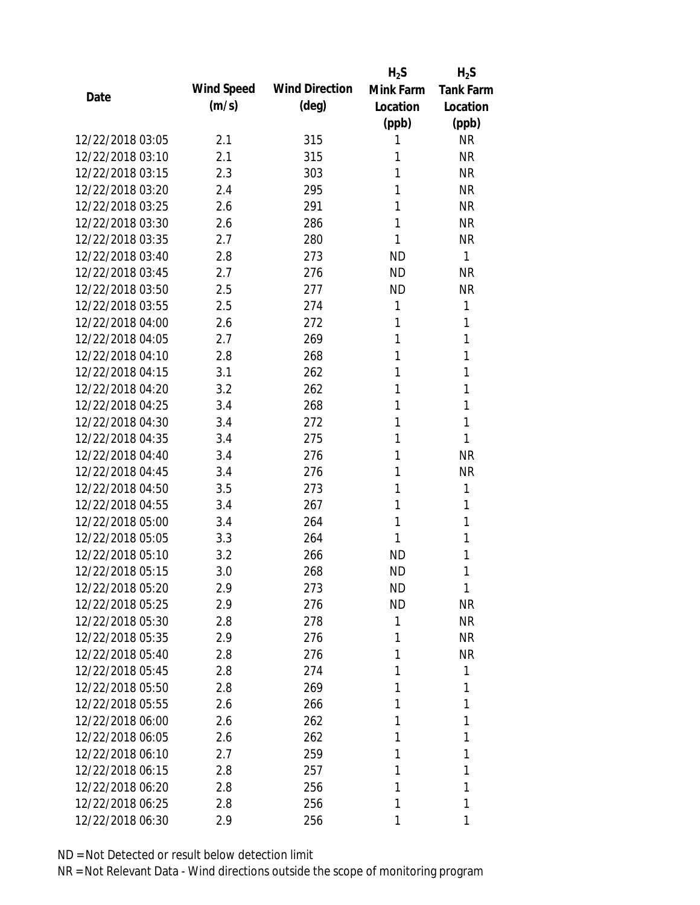|                  |            |                       | $H_2S$    | $H_2S$           |
|------------------|------------|-----------------------|-----------|------------------|
| Date             | Wind Speed | <b>Wind Direction</b> | Mink Farm | <b>Tank Farm</b> |
|                  | (m/s)      | $(\text{deg})$        | Location  | Location         |
|                  |            |                       | (ppb)     | (ppb)            |
| 12/22/2018 03:05 | 2.1        | 315                   | 1         | <b>NR</b>        |
| 12/22/2018 03:10 | 2.1        | 315                   | 1         | <b>NR</b>        |
| 12/22/2018 03:15 | 2.3        | 303                   | 1         | <b>NR</b>        |
| 12/22/2018 03:20 | 2.4        | 295                   | 1         | <b>NR</b>        |
| 12/22/2018 03:25 | 2.6        | 291                   | 1         | <b>NR</b>        |
| 12/22/2018 03:30 | 2.6        | 286                   | 1         | <b>NR</b>        |
| 12/22/2018 03:35 | 2.7        | 280                   | 1         | <b>NR</b>        |
| 12/22/2018 03:40 | 2.8        | 273                   | <b>ND</b> | $\mathbf{1}$     |
| 12/22/2018 03:45 | 2.7        | 276                   | <b>ND</b> | <b>NR</b>        |
| 12/22/2018 03:50 | 2.5        | 277                   | <b>ND</b> | <b>NR</b>        |
| 12/22/2018 03:55 | 2.5        | 274                   | 1         | 1                |
| 12/22/2018 04:00 | 2.6        | 272                   | 1         | 1                |
| 12/22/2018 04:05 | 2.7        | 269                   | 1         | 1                |
| 12/22/2018 04:10 | 2.8        | 268                   | 1         | 1                |
| 12/22/2018 04:15 | 3.1        | 262                   | 1         | 1                |
| 12/22/2018 04:20 | 3.2        | 262                   | 1         | 1                |
| 12/22/2018 04:25 | 3.4        | 268                   | 1         | 1                |
| 12/22/2018 04:30 | 3.4        | 272                   | 1         | 1                |
| 12/22/2018 04:35 | 3.4        | 275                   | 1         | 1                |
| 12/22/2018 04:40 | 3.4        | 276                   | 1         | <b>NR</b>        |
| 12/22/2018 04:45 | 3.4        | 276                   | 1         | <b>NR</b>        |
| 12/22/2018 04:50 | 3.5        | 273                   | 1         | 1                |
| 12/22/2018 04:55 | 3.4        | 267                   | 1         | 1                |
| 12/22/2018 05:00 | 3.4        | 264                   | 1         | 1                |
| 12/22/2018 05:05 | 3.3        | 264                   | 1         | 1                |
| 12/22/2018 05:10 | 3.2        | 266                   | <b>ND</b> | 1                |
| 12/22/2018 05:15 | 3.0        | 268                   | <b>ND</b> | 1                |
| 12/22/2018 05:20 | 2.9        | 273                   | <b>ND</b> | 1                |
| 12/22/2018 05:25 | 2.9        | 276                   | <b>ND</b> | <b>NR</b>        |
| 12/22/2018 05:30 | 2.8        | 278                   | 1         | <b>NR</b>        |
| 12/22/2018 05:35 | 2.9        | 276                   | 1         | <b>NR</b>        |
| 12/22/2018 05:40 | 2.8        | 276                   | 1         | <b>NR</b>        |
| 12/22/2018 05:45 | 2.8        | 274                   | 1         | 1                |
| 12/22/2018 05:50 | 2.8        | 269                   | 1         | 1                |
| 12/22/2018 05:55 | 2.6        | 266                   | 1         | 1                |
| 12/22/2018 06:00 | 2.6        | 262                   | 1         | 1                |
| 12/22/2018 06:05 | 2.6        | 262                   | 1         | 1                |
| 12/22/2018 06:10 | 2.7        | 259                   | 1         | 1                |
| 12/22/2018 06:15 | 2.8        | 257                   | 1         | 1                |
| 12/22/2018 06:20 | 2.8        | 256                   | 1         | 1                |
| 12/22/2018 06:25 | 2.8        | 256                   | 1         | 1                |
| 12/22/2018 06:30 | 2.9        | 256                   | 1         | 1                |
|                  |            |                       |           |                  |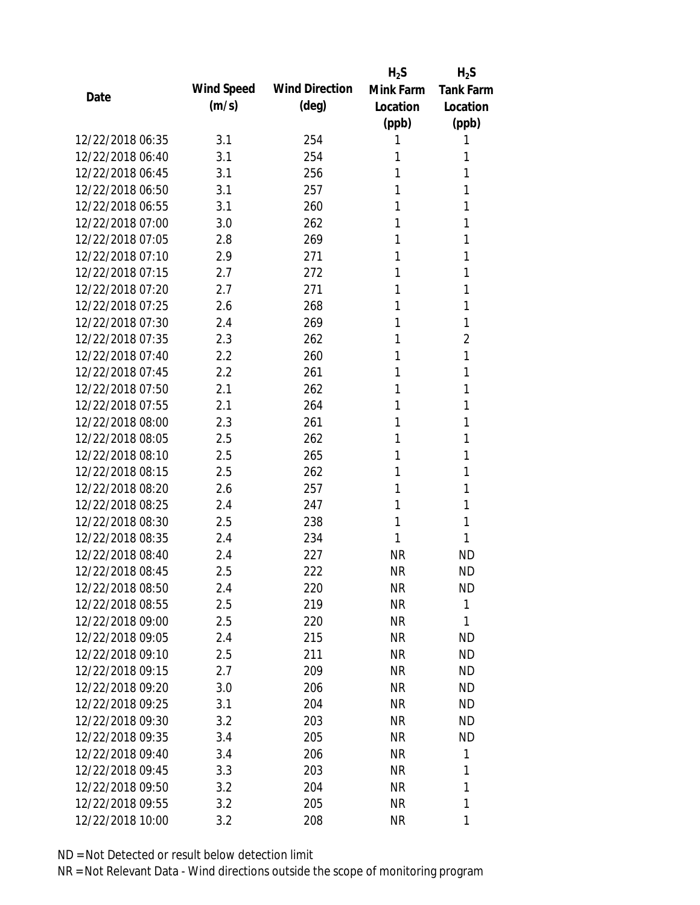|                  |            |                       | $H_2S$    | $H_2S$           |
|------------------|------------|-----------------------|-----------|------------------|
|                  | Wind Speed | <b>Wind Direction</b> | Mink Farm | <b>Tank Farm</b> |
| Date             | (m/s)      | $(\text{deg})$        | Location  | Location         |
|                  |            |                       | (ppb)     | (ppb)            |
| 12/22/2018 06:35 | 3.1        | 254                   | 1         | 1                |
| 12/22/2018 06:40 | 3.1        | 254                   | 1         | 1                |
| 12/22/2018 06:45 | 3.1        | 256                   | 1         | 1                |
| 12/22/2018 06:50 | 3.1        | 257                   | 1         | 1                |
| 12/22/2018 06:55 | 3.1        | 260                   | 1         | 1                |
| 12/22/2018 07:00 | 3.0        | 262                   | 1         | 1                |
| 12/22/2018 07:05 | 2.8        | 269                   | 1         | 1                |
| 12/22/2018 07:10 | 2.9        | 271                   | 1         | 1                |
| 12/22/2018 07:15 | 2.7        | 272                   | 1         | 1                |
| 12/22/2018 07:20 | 2.7        | 271                   | 1         | 1                |
| 12/22/2018 07:25 | 2.6        | 268                   | 1         | 1                |
| 12/22/2018 07:30 | 2.4        | 269                   | 1         | 1                |
| 12/22/2018 07:35 | 2.3        | 262                   | 1         | $\overline{2}$   |
| 12/22/2018 07:40 | 2.2        | 260                   | 1         | 1                |
| 12/22/2018 07:45 | 2.2        | 261                   | 1         | 1                |
| 12/22/2018 07:50 | 2.1        | 262                   | 1         | 1                |
| 12/22/2018 07:55 | 2.1        | 264                   | 1         | 1                |
| 12/22/2018 08:00 | 2.3        | 261                   | 1         | 1                |
| 12/22/2018 08:05 | 2.5        | 262                   | 1         | 1                |
| 12/22/2018 08:10 | 2.5        | 265                   | 1         | 1                |
| 12/22/2018 08:15 | 2.5        | 262                   | 1         | 1                |
| 12/22/2018 08:20 | 2.6        | 257                   | 1         | 1                |
| 12/22/2018 08:25 | 2.4        | 247                   | 1         | 1                |
| 12/22/2018 08:30 | 2.5        | 238                   | 1         | 1                |
| 12/22/2018 08:35 | 2.4        | 234                   | 1         | 1                |
| 12/22/2018 08:40 | 2.4        | 227                   | <b>NR</b> | <b>ND</b>        |
| 12/22/2018 08:45 | 2.5        | 222                   | <b>NR</b> | <b>ND</b>        |
| 12/22/2018 08:50 | 2.4        | 220                   | <b>NR</b> | <b>ND</b>        |
| 12/22/2018 08:55 | 2.5        | 219                   | <b>NR</b> | 1                |
| 12/22/2018 09:00 | 2.5        | 220                   | <b>NR</b> | 1                |
| 12/22/2018 09:05 | 2.4        | 215                   | <b>NR</b> | <b>ND</b>        |
| 12/22/2018 09:10 | 2.5        | 211                   | <b>NR</b> | <b>ND</b>        |
| 12/22/2018 09:15 | 2.7        | 209                   | <b>NR</b> | <b>ND</b>        |
| 12/22/2018 09:20 | 3.0        | 206                   | <b>NR</b> | <b>ND</b>        |
| 12/22/2018 09:25 | 3.1        | 204                   | <b>NR</b> | <b>ND</b>        |
| 12/22/2018 09:30 | 3.2        | 203                   | <b>NR</b> | <b>ND</b>        |
| 12/22/2018 09:35 | 3.4        | 205                   | <b>NR</b> | <b>ND</b>        |
| 12/22/2018 09:40 | 3.4        | 206                   | <b>NR</b> | 1                |
| 12/22/2018 09:45 | 3.3        | 203                   | <b>NR</b> | 1                |
| 12/22/2018 09:50 | 3.2        | 204                   | <b>NR</b> | 1                |
| 12/22/2018 09:55 | 3.2        | 205                   | <b>NR</b> | 1                |
| 12/22/2018 10:00 | 3.2        | 208                   | <b>NR</b> | 1                |
|                  |            |                       |           |                  |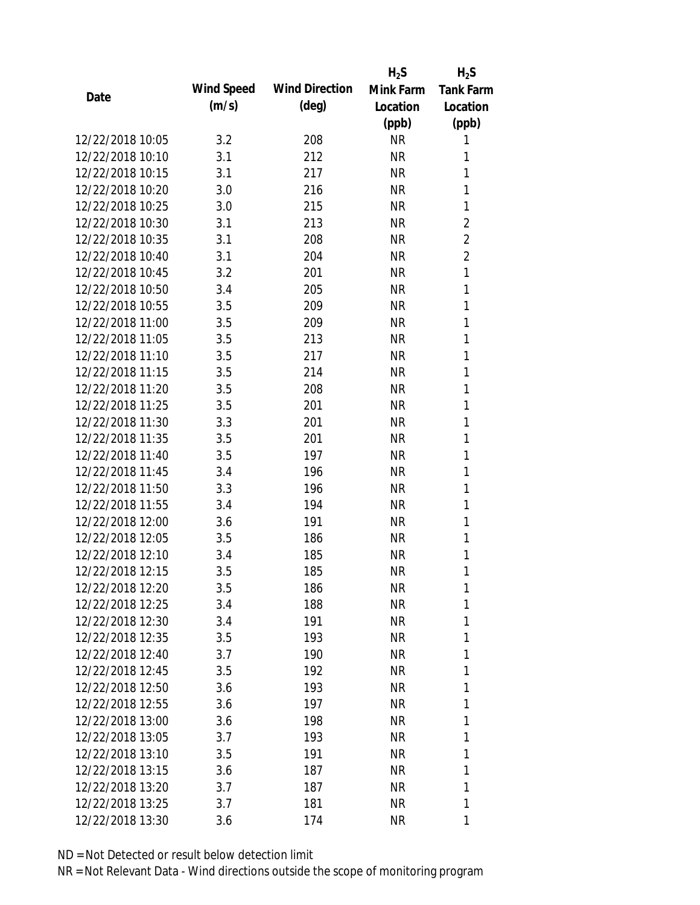|                  |            |                       | $H_2S$    | $H_2S$           |
|------------------|------------|-----------------------|-----------|------------------|
|                  | Wind Speed | <b>Wind Direction</b> | Mink Farm | <b>Tank Farm</b> |
| Date             | (m/s)      | $(\text{deg})$        | Location  | Location         |
|                  |            |                       | (ppb)     | (ppb)            |
| 12/22/2018 10:05 | 3.2        | 208                   | <b>NR</b> | 1                |
| 12/22/2018 10:10 | 3.1        | 212                   | <b>NR</b> | 1                |
| 12/22/2018 10:15 | 3.1        | 217                   | <b>NR</b> | 1                |
| 12/22/2018 10:20 | 3.0        | 216                   | <b>NR</b> | 1                |
| 12/22/2018 10:25 | 3.0        | 215                   | <b>NR</b> | 1                |
| 12/22/2018 10:30 | 3.1        | 213                   | <b>NR</b> | 2                |
| 12/22/2018 10:35 | 3.1        | 208                   | <b>NR</b> | $\overline{2}$   |
| 12/22/2018 10:40 | 3.1        | 204                   | <b>NR</b> | $\overline{2}$   |
| 12/22/2018 10:45 | 3.2        | 201                   | <b>NR</b> | $\mathbf{1}$     |
| 12/22/2018 10:50 | 3.4        | 205                   | <b>NR</b> | 1                |
| 12/22/2018 10:55 | 3.5        | 209                   | <b>NR</b> | 1                |
| 12/22/2018 11:00 | 3.5        | 209                   | <b>NR</b> | 1                |
| 12/22/2018 11:05 | 3.5        | 213                   | <b>NR</b> | 1                |
| 12/22/2018 11:10 | 3.5        | 217                   | <b>NR</b> | 1                |
| 12/22/2018 11:15 | 3.5        | 214                   | <b>NR</b> | 1                |
| 12/22/2018 11:20 | 3.5        | 208                   | <b>NR</b> | 1                |
| 12/22/2018 11:25 | 3.5        | 201                   | <b>NR</b> | 1                |
| 12/22/2018 11:30 | 3.3        | 201                   | <b>NR</b> | $\mathbf{1}$     |
| 12/22/2018 11:35 | 3.5        | 201                   | <b>NR</b> | 1                |
| 12/22/2018 11:40 | 3.5        | 197                   | <b>NR</b> | 1                |
| 12/22/2018 11:45 | 3.4        | 196                   | <b>NR</b> | 1                |
| 12/22/2018 11:50 | 3.3        | 196                   | <b>NR</b> | 1                |
| 12/22/2018 11:55 | 3.4        | 194                   | <b>NR</b> | 1                |
| 12/22/2018 12:00 | 3.6        | 191                   | <b>NR</b> | 1                |
| 12/22/2018 12:05 | 3.5        | 186                   | <b>NR</b> | 1                |
| 12/22/2018 12:10 | 3.4        | 185                   | <b>NR</b> | 1                |
| 12/22/2018 12:15 | 3.5        | 185                   | <b>NR</b> | 1                |
| 12/22/2018 12:20 | 3.5        | 186                   | <b>NR</b> | 1                |
| 12/22/2018 12:25 | 3.4        | 188                   | <b>NR</b> | 1                |
| 12/22/2018 12:30 | 3.4        | 191                   | NR        | 1                |
| 12/22/2018 12:35 | 3.5        | 193                   | <b>NR</b> | 1                |
| 12/22/2018 12:40 | 3.7        | 190                   | <b>NR</b> | 1                |
| 12/22/2018 12:45 | 3.5        | 192                   | NR        | 1                |
| 12/22/2018 12:50 | 3.6        | 193                   | <b>NR</b> | 1                |
| 12/22/2018 12:55 | 3.6        | 197                   | <b>NR</b> | 1                |
| 12/22/2018 13:00 | 3.6        | 198                   | <b>NR</b> | 1                |
| 12/22/2018 13:05 | 3.7        | 193                   | <b>NR</b> | 1                |
| 12/22/2018 13:10 | 3.5        | 191                   | NR        | 1                |
| 12/22/2018 13:15 | 3.6        | 187                   | <b>NR</b> | 1                |
| 12/22/2018 13:20 | 3.7        | 187                   | <b>NR</b> | 1                |
| 12/22/2018 13:25 | 3.7        | 181                   | <b>NR</b> | 1                |
| 12/22/2018 13:30 | 3.6        | 174                   | <b>NR</b> | 1                |
|                  |            |                       |           |                  |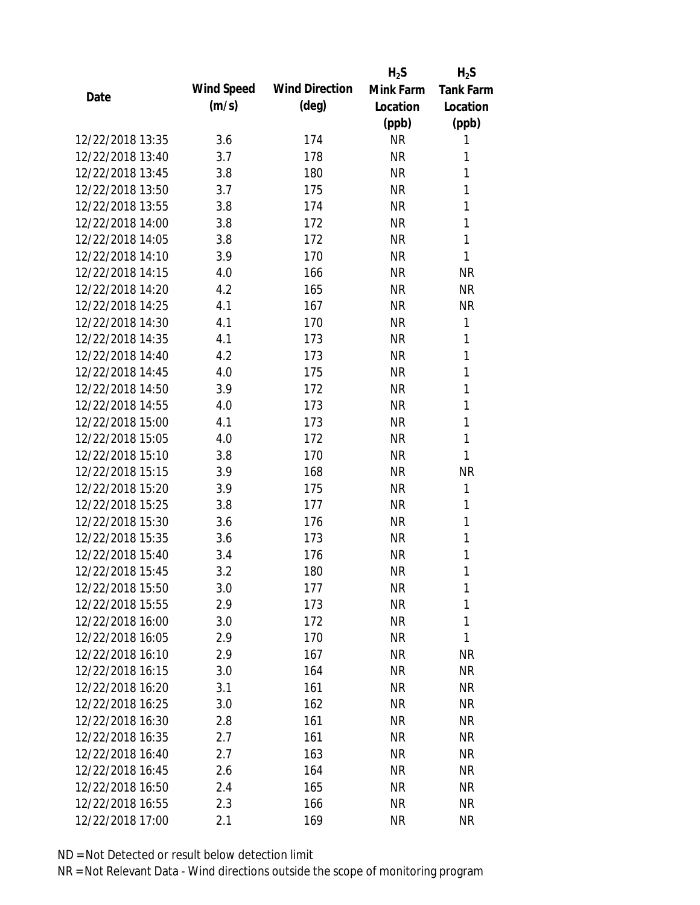|                  |            |                       | $H_2S$    | $H_2S$           |
|------------------|------------|-----------------------|-----------|------------------|
| Date             | Wind Speed | <b>Wind Direction</b> | Mink Farm | <b>Tank Farm</b> |
|                  | (m/s)      | $(\text{deg})$        | Location  | Location         |
|                  |            |                       | (ppb)     | (ppb)            |
| 12/22/2018 13:35 | 3.6        | 174                   | <b>NR</b> | 1                |
| 12/22/2018 13:40 | 3.7        | 178                   | <b>NR</b> | 1                |
| 12/22/2018 13:45 | 3.8        | 180                   | <b>NR</b> | 1                |
| 12/22/2018 13:50 | 3.7        | 175                   | <b>NR</b> | 1                |
| 12/22/2018 13:55 | 3.8        | 174                   | <b>NR</b> | 1                |
| 12/22/2018 14:00 | 3.8        | 172                   | <b>NR</b> | 1                |
| 12/22/2018 14:05 | 3.8        | 172                   | <b>NR</b> | 1                |
| 12/22/2018 14:10 | 3.9        | 170                   | <b>NR</b> | 1                |
| 12/22/2018 14:15 | 4.0        | 166                   | <b>NR</b> | <b>NR</b>        |
| 12/22/2018 14:20 | 4.2        | 165                   | <b>NR</b> | <b>NR</b>        |
| 12/22/2018 14:25 | 4.1        | 167                   | <b>NR</b> | <b>NR</b>        |
| 12/22/2018 14:30 | 4.1        | 170                   | <b>NR</b> | 1                |
| 12/22/2018 14:35 | 4.1        | 173                   | <b>NR</b> | 1                |
| 12/22/2018 14:40 | 4.2        | 173                   | <b>NR</b> | 1                |
| 12/22/2018 14:45 | 4.0        | 175                   | <b>NR</b> | 1                |
| 12/22/2018 14:50 | 3.9        | 172                   | <b>NR</b> | 1                |
| 12/22/2018 14:55 | 4.0        | 173                   | <b>NR</b> | 1                |
| 12/22/2018 15:00 | 4.1        | 173                   | <b>NR</b> | 1                |
| 12/22/2018 15:05 | 4.0        | 172                   | <b>NR</b> | $\mathbf{1}$     |
| 12/22/2018 15:10 | 3.8        | 170                   | <b>NR</b> | 1                |
| 12/22/2018 15:15 | 3.9        | 168                   | <b>NR</b> | <b>NR</b>        |
| 12/22/2018 15:20 | 3.9        | 175                   | <b>NR</b> | 1                |
| 12/22/2018 15:25 | 3.8        | 177                   | <b>NR</b> | 1                |
| 12/22/2018 15:30 | 3.6        | 176                   | <b>NR</b> | 1                |
| 12/22/2018 15:35 | 3.6        | 173                   | <b>NR</b> | 1                |
| 12/22/2018 15:40 | 3.4        | 176                   | <b>NR</b> | 1                |
| 12/22/2018 15:45 | 3.2        | 180                   | <b>NR</b> | 1                |
| 12/22/2018 15:50 | 3.0        | 177                   | <b>NR</b> | 1                |
| 12/22/2018 15:55 | 2.9        | 173                   | <b>NR</b> | 1                |
| 12/22/2018 16:00 | 3.0        | 172                   | <b>NR</b> | 1                |
| 12/22/2018 16:05 | 2.9        | 170                   | <b>NR</b> | 1                |
| 12/22/2018 16:10 | 2.9        | 167                   | <b>NR</b> | <b>NR</b>        |
| 12/22/2018 16:15 | 3.0        | 164                   | <b>NR</b> | <b>NR</b>        |
| 12/22/2018 16:20 | 3.1        | 161                   | <b>NR</b> | <b>NR</b>        |
| 12/22/2018 16:25 | 3.0        | 162                   | <b>NR</b> | NR               |
| 12/22/2018 16:30 | 2.8        | 161                   | <b>NR</b> | <b>NR</b>        |
| 12/22/2018 16:35 | 2.7        | 161                   | <b>NR</b> | NR               |
| 12/22/2018 16:40 | 2.7        | 163                   | <b>NR</b> | NR               |
| 12/22/2018 16:45 | 2.6        | 164                   | <b>NR</b> | NR               |
| 12/22/2018 16:50 | 2.4        | 165                   | <b>NR</b> | NR               |
| 12/22/2018 16:55 | 2.3        | 166                   | <b>NR</b> | ΝR               |
| 12/22/2018 17:00 | 2.1        | 169                   | <b>NR</b> | <b>NR</b>        |
|                  |            |                       |           |                  |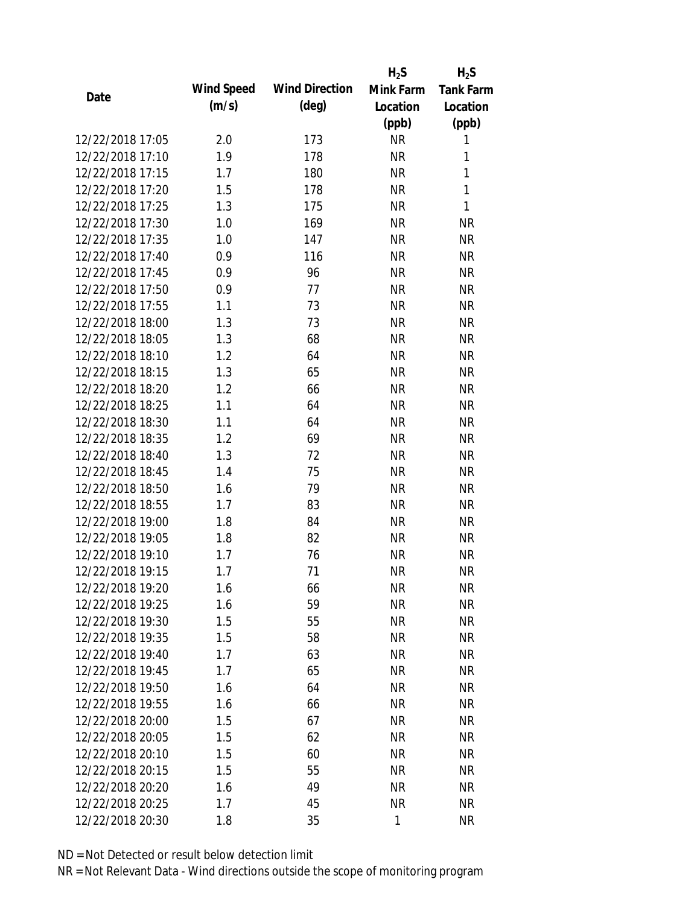|                  |            |                       | $H_2S$       | $H_2S$           |
|------------------|------------|-----------------------|--------------|------------------|
| Date             | Wind Speed | <b>Wind Direction</b> | Mink Farm    | <b>Tank Farm</b> |
|                  | (m/s)      | $(\text{deg})$        | Location     | Location         |
|                  |            |                       | (ppb)        | (ppb)            |
| 12/22/2018 17:05 | 2.0        | 173                   | <b>NR</b>    | 1                |
| 12/22/2018 17:10 | 1.9        | 178                   | <b>NR</b>    | 1                |
| 12/22/2018 17:15 | 1.7        | 180                   | <b>NR</b>    | 1                |
| 12/22/2018 17:20 | 1.5        | 178                   | <b>NR</b>    | 1                |
| 12/22/2018 17:25 | 1.3        | 175                   | <b>NR</b>    | 1                |
| 12/22/2018 17:30 | 1.0        | 169                   | <b>NR</b>    | <b>NR</b>        |
| 12/22/2018 17:35 | 1.0        | 147                   | <b>NR</b>    | <b>NR</b>        |
| 12/22/2018 17:40 | 0.9        | 116                   | <b>NR</b>    | <b>NR</b>        |
| 12/22/2018 17:45 | 0.9        | 96                    | <b>NR</b>    | <b>NR</b>        |
| 12/22/2018 17:50 | 0.9        | 77                    | <b>NR</b>    | <b>NR</b>        |
| 12/22/2018 17:55 | 1.1        | 73                    | <b>NR</b>    | <b>NR</b>        |
| 12/22/2018 18:00 | 1.3        | 73                    | <b>NR</b>    | <b>NR</b>        |
| 12/22/2018 18:05 | 1.3        | 68                    | <b>NR</b>    | <b>NR</b>        |
| 12/22/2018 18:10 | 1.2        | 64                    | <b>NR</b>    | <b>NR</b>        |
| 12/22/2018 18:15 | 1.3        | 65                    | <b>NR</b>    | <b>NR</b>        |
| 12/22/2018 18:20 | 1.2        | 66                    | <b>NR</b>    | <b>NR</b>        |
| 12/22/2018 18:25 | 1.1        | 64                    | <b>NR</b>    | <b>NR</b>        |
| 12/22/2018 18:30 | 1.1        | 64                    | <b>NR</b>    | <b>NR</b>        |
| 12/22/2018 18:35 | 1.2        | 69                    | <b>NR</b>    | <b>NR</b>        |
| 12/22/2018 18:40 | 1.3        | 72                    | <b>NR</b>    | <b>NR</b>        |
| 12/22/2018 18:45 | 1.4        | 75                    | <b>NR</b>    | <b>NR</b>        |
| 12/22/2018 18:50 | 1.6        | 79                    | <b>NR</b>    | <b>NR</b>        |
| 12/22/2018 18:55 | 1.7        | 83                    | <b>NR</b>    | <b>NR</b>        |
| 12/22/2018 19:00 | 1.8        | 84                    | <b>NR</b>    | <b>NR</b>        |
| 12/22/2018 19:05 | 1.8        | 82                    | <b>NR</b>    | <b>NR</b>        |
| 12/22/2018 19:10 | 1.7        | 76                    | <b>NR</b>    | <b>NR</b>        |
| 12/22/2018 19:15 | 1.7        | 71                    | <b>NR</b>    | <b>NR</b>        |
| 12/22/2018 19:20 | 1.6        | 66                    | <b>NR</b>    | <b>NR</b>        |
| 12/22/2018 19:25 | 1.6        | 59                    | <b>NR</b>    | <b>NR</b>        |
| 12/22/2018 19:30 | 1.5        | 55                    | NR           | <b>NR</b>        |
| 12/22/2018 19:35 | 1.5        | 58                    | <b>NR</b>    | <b>NR</b>        |
| 12/22/2018 19:40 | 1.7        | 63                    | <b>NR</b>    | <b>NR</b>        |
| 12/22/2018 19:45 | 1.7        | 65                    | <b>NR</b>    | <b>NR</b>        |
| 12/22/2018 19:50 | 1.6        | 64                    | <b>NR</b>    | <b>NR</b>        |
| 12/22/2018 19:55 | 1.6        | 66                    | <b>NR</b>    | <b>NR</b>        |
| 12/22/2018 20:00 | 1.5        | 67                    | <b>NR</b>    | <b>NR</b>        |
| 12/22/2018 20:05 | 1.5        | 62                    | <b>NR</b>    | <b>NR</b>        |
| 12/22/2018 20:10 | 1.5        | 60                    | <b>NR</b>    | <b>NR</b>        |
| 12/22/2018 20:15 | 1.5        | 55                    | <b>NR</b>    | <b>NR</b>        |
| 12/22/2018 20:20 | 1.6        | 49                    | <b>NR</b>    | <b>NR</b>        |
| 12/22/2018 20:25 | 1.7        | 45                    | <b>NR</b>    | <b>NR</b>        |
| 12/22/2018 20:30 | 1.8        | 35                    | $\mathbf{1}$ | <b>NR</b>        |
|                  |            |                       |              |                  |